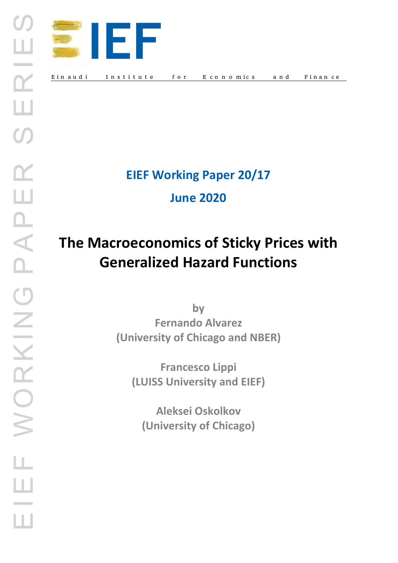

**EIEF Working Paper 20/17**

**June 2020** 

# **The Macroeconomics of Sticky Prices with Generalized Hazard Functions**

**by Fernando Alvarez (University of Chicago and NBER)**

**Francesco Lippi (LUISS University and EIEF)**

**Aleksei Oskolkov (University of Chicago)**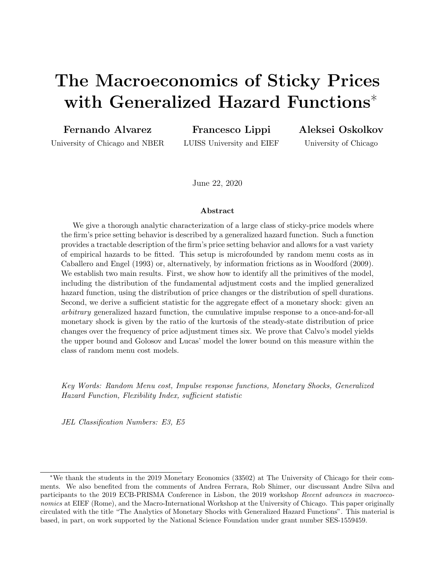# The Macroeconomics of Sticky Prices with Generalized Hazard Functions<sup>∗</sup>

Fernando Alvarez

Francesco Lippi

University of Chicago and NBER

LUISS University and EIEF

Aleksei Oskolkov

University of Chicago

June 22, 2020

#### Abstract

We give a thorough analytic characterization of a large class of sticky-price models where the firm's price setting behavior is described by a generalized hazard function. Such a function provides a tractable description of the firm's price setting behavior and allows for a vast variety of empirical hazards to be fitted. This setup is microfounded by random menu costs as in Caballero and Engel (1993) or, alternatively, by information frictions as in Woodford (2009). We establish two main results. First, we show how to identify all the primitives of the model, including the distribution of the fundamental adjustment costs and the implied generalized hazard function, using the distribution of price changes or the distribution of spell durations. Second, we derive a sufficient statistic for the aggregate effect of a monetary shock: given an arbitrary generalized hazard function, the cumulative impulse response to a once-and-for-all monetary shock is given by the ratio of the kurtosis of the steady-state distribution of price changes over the frequency of price adjustment times six. We prove that Calvo's model yields the upper bound and Golosov and Lucas' model the lower bound on this measure within the class of random menu cost models.

Key Words: Random Menu cost, Impulse response functions, Monetary Shocks, Generalized Hazard Function, Flexibility Index, sufficient statistic

JEL Classification Numbers: E3, E5

<sup>∗</sup>We thank the students in the 2019 Monetary Economics (33502) at The University of Chicago for their comments. We also benefited from the comments of Andrea Ferrara, Rob Shimer, our discussant Andre Silva and participants to the 2019 ECB-PRISMA Conference in Lisbon, the 2019 workshop Recent advances in macroeconomics at EIEF (Rome), and the Macro-International Workshop at the University of Chicago. This paper originally circulated with the title "The Analytics of Monetary Shocks with Generalized Hazard Functions". This material is based, in part, on work supported by the National Science Foundation under grant number SES-1559459.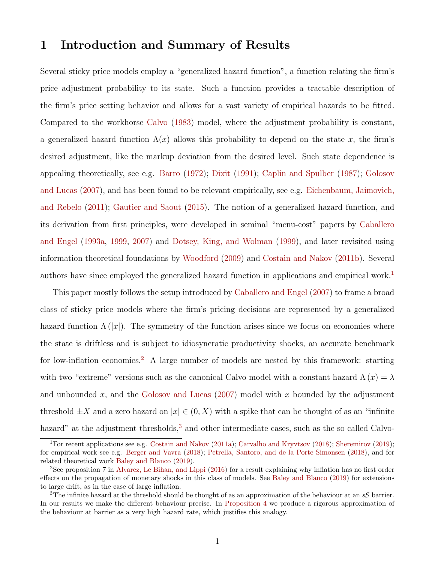## 1 Introduction and Summary of Results

Several sticky price models employ a "generalized hazard function", a function relating the firm's price adjustment probability to its state. Such a function provides a tractable description of the firm's price setting behavior and allows for a vast variety of empirical hazards to be fitted. Compared to the workhorse Calvo (1983) model, where the adjustment probability is constant, a generalized hazard function  $\Lambda(x)$  allows this probability to depend on the state x, the firm's desired adjustment, like the markup deviation from the desired level. Such state dependence is appealing theoretically, see e.g. Barro (1972); Dixit (1991); Caplin and Spulber (1987); Golosov and Lucas (2007), and has been found to be relevant empirically, see e.g. Eichenbaum, Jaimovich, and Rebelo (2011); Gautier and Saout (2015). The notion of a generalized hazard function, and its derivation from first principles, were developed in seminal "menu-cost" papers by Caballero and Engel (1993a, 1999, 2007) and Dotsey, King, and Wolman (1999), and later revisited using information theoretical foundations by Woodford (2009) and Costain and Nakov (2011b). Several authors have since employed the generalized hazard function in applications and empirical work.<sup>1</sup>

This paper mostly follows the setup introduced by Caballero and Engel (2007) to frame a broad class of sticky price models where the firm's pricing decisions are represented by a generalized hazard function  $\Lambda(|x|)$ . The symmetry of the function arises since we focus on economies where the state is driftless and is subject to idiosyncratic productivity shocks, an accurate benchmark for low-inflation economies.<sup>2</sup> A large number of models are nested by this framework: starting with two "extreme" versions such as the canonical Calvo model with a constant hazard  $\Lambda(x) = \lambda$ and unbounded x, and the Golosov and Lucas  $(2007)$  model with x bounded by the adjustment threshold  $\pm X$  and a zero hazard on  $|x| \in (0, X)$  with a spike that can be thought of as an "infinite hazard" at the adjustment thresholds,<sup>3</sup> and other intermediate cases, such as the so called Calvo-

<sup>&</sup>lt;sup>1</sup>For recent applications see e.g. Costain and Nakov (2011a); Carvalho and Kryvtsov (2018); Sheremirov (2019); for empirical work see e.g. Berger and Vavra (2018); Petrella, Santoro, and de la Porte Simonsen (2018), and for related theoretical work Baley and Blanco (2019).

<sup>2</sup>See proposition 7 in Alvarez, Le Bihan, and Lippi (2016) for a result explaining why inflation has no first order effects on the propagation of monetary shocks in this class of models. See Baley and Blanco (2019) for extensions to large drift, as in the case of large inflation.

<sup>&</sup>lt;sup>3</sup>The infinite hazard at the threshold should be thought of as an approximation of the behaviour at an  $sS$  barrier. In our results we make the different behaviour precise. In Proposition 4 we produce a rigorous approximation of the behaviour at barrier as a very high hazard rate, which justifies this analogy.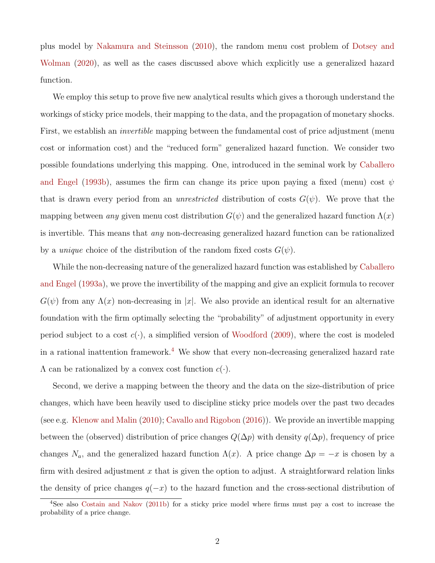plus model by Nakamura and Steinsson (2010), the random menu cost problem of Dotsey and Wolman (2020), as well as the cases discussed above which explicitly use a generalized hazard function.

We employ this setup to prove five new analytical results which gives a thorough understand the workings of sticky price models, their mapping to the data, and the propagation of monetary shocks. First, we establish an *invertible* mapping between the fundamental cost of price adjustment (menu cost or information cost) and the "reduced form" generalized hazard function. We consider two possible foundations underlying this mapping. One, introduced in the seminal work by Caballero and Engel (1993b), assumes the firm can change its price upon paying a fixed (menu) cost  $\psi$ that is drawn every period from an *unrestricted* distribution of costs  $G(\psi)$ . We prove that the mapping between any given menu cost distribution  $G(\psi)$  and the generalized hazard function  $\Lambda(x)$ is invertible. This means that any non-decreasing generalized hazard function can be rationalized by a *unique* choice of the distribution of the random fixed costs  $G(\psi)$ .

While the non-decreasing nature of the generalized hazard function was established by Caballero and Engel (1993a), we prove the invertibility of the mapping and give an explicit formula to recover  $G(\psi)$  from any  $\Lambda(x)$  non-decreasing in |x|. We also provide an identical result for an alternative foundation with the firm optimally selecting the "probability" of adjustment opportunity in every period subject to a cost  $c(\cdot)$ , a simplified version of Woodford (2009), where the cost is modeled in a rational inattention framework.<sup>4</sup> We show that every non-decreasing generalized hazard rate  $\Lambda$  can be rationalized by a convex cost function  $c(\cdot)$ .

Second, we derive a mapping between the theory and the data on the size-distribution of price changes, which have been heavily used to discipline sticky price models over the past two decades (see e.g. Klenow and Malin (2010); Cavallo and Rigobon (2016)). We provide an invertible mapping between the (observed) distribution of price changes  $Q(\Delta p)$  with density  $q(\Delta p)$ , frequency of price changes  $N_a$ , and the generalized hazard function  $\Lambda(x)$ . A price change  $\Delta p = -x$  is chosen by a firm with desired adjustment x that is given the option to adjust. A straightforward relation links the density of price changes  $q(-x)$  to the hazard function and the cross-sectional distribution of

<sup>4</sup>See also Costain and Nakov (2011b) for a sticky price model where firms must pay a cost to increase the probability of a price change.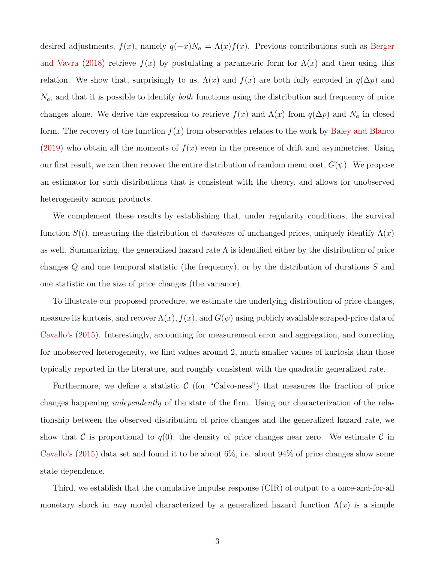desired adjustments,  $f(x)$ , namely  $q(-x)N_a = \Lambda(x)f(x)$ . Previous contributions such as Berger and Vavra (2018) retrieve  $f(x)$  by postulating a parametric form for  $\Lambda(x)$  and then using this relation. We show that, surprisingly to us,  $\Lambda(x)$  and  $f(x)$  are both fully encoded in  $q(\Delta p)$  and  $N_a$ , and that it is possible to identify *both* functions using the distribution and frequency of price changes alone. We derive the expression to retrieve  $f(x)$  and  $\Lambda(x)$  from  $q(\Delta p)$  and  $N_a$  in closed form. The recovery of the function  $f(x)$  from observables relates to the work by Baley and Blanco (2019) who obtain all the moments of  $f(x)$  even in the presence of drift and asymmetries. Using our first result, we can then recover the entire distribution of random menu cost,  $G(\psi)$ . We propose an estimator for such distributions that is consistent with the theory, and allows for unobserved heterogeneity among products.

We complement these results by establishing that, under regularity conditions, the survival function  $S(t)$ , measuring the distribution of durations of unchanged prices, uniquely identify  $\Lambda(x)$ as well. Summarizing, the generalized hazard rate  $\Lambda$  is identified either by the distribution of price changes Q and one temporal statistic (the frequency), or by the distribution of durations S and one statistic on the size of price changes (the variance).

To illustrate our proposed procedure, we estimate the underlying distribution of price changes, measure its kurtosis, and recover  $\Lambda(x)$ ,  $f(x)$ , and  $G(\psi)$  using publicly available scraped-price data of Cavallo's (2015). Interestingly, accounting for measurement error and aggregation, and correcting for unobserved heterogeneity, we find values around 2, much smaller values of kurtosis than those typically reported in the literature, and roughly consistent with the quadratic generalized rate.

Furthermore, we define a statistic  $\mathcal C$  (for "Calvo-ness") that measures the fraction of price changes happening independently of the state of the firm. Using our characterization of the relationship between the observed distribution of price changes and the generalized hazard rate, we show that C is proportional to  $q(0)$ , the density of price changes near zero. We estimate C in Cavallo's  $(2015)$  data set and found it to be about 6%, i.e. about 94% of price changes show some state dependence.

Third, we establish that the cumulative impulse response (CIR) of output to a once-and-for-all monetary shock in any model characterized by a generalized hazard function  $\Lambda(x)$  is a simple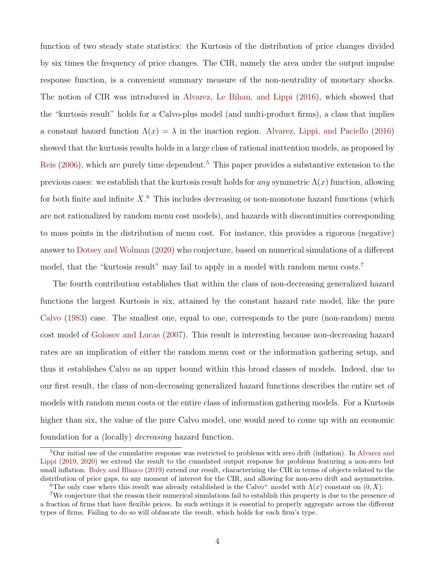function of two steady state statistics: the Kurtosis of the distribution of price changes divided by six times the frequency of price changes. The CIR, namely the area under the output impulse response function, is a convenient summary measure of the non-neutrality of monetary shocks. The notion of CIR was introduced in Alvarez, Le Bihan, and Lippi (2016), which showed that the "kurtosis result" holds for a Calvo-plus model (and multi-product firms), a class that implies a constant hazard function  $\Lambda(x) = \lambda$  in the inaction region. Alvarez, Lippi, and Paciello (2016) showed that the kurtosis results holds in a large class of rational inattention models, as proposed by Reis (2006), which are purely time dependent.<sup>5</sup> This paper provides a substantive extension to the previous cases: we establish that the kurtosis result holds for any symmetric  $\Lambda(x)$  function, allowing for both finite and infinite  $X$ <sup>6</sup>. This includes decreasing or non-monotone hazard functions (which are not rationalized by random menu cost models), and hazards with discontinuities corresponding to mass points in the distribution of menu cost. For instance, this provides a rigorous (negative) answer to Dotsey and Wolman (2020) who conjecture, based on numerical simulations of a different model, that the "kurtosis result" may fail to apply in a model with random menu costs.<sup>7</sup>

The fourth contribution establishes that within the class of non-decreasing generalized hazard functions the largest Kurtosis is six, attained by the constant hazard rate model, like the pure Calvo (1983) case. The smallest one, equal to one, corresponds to the pure (non-random) menu cost model of Golosov and Lucas (2007). This result is interesting because non-decreasing hazard rates are an implication of either the random menu cost or the information gathering setup, and thus it establishes Calvo as an upper bound within this broad classes of models. Indeed, due to our first result, the class of non-decreasing generalized hazard functions describes the entire set of models with random menu costs or the entire class of information gathering models. For a Kurtosis higher than six, the value of the pure Calvo model, one would need to come up with an economic foundation for a (locally) decreasing hazard function.

<sup>5</sup>Our initial use of the cumulative response was restricted to problems with zero drift (inflation). In Alvarez and Lippi (2019, 2020) we extend the result to the cumulated output response for problems featuring a non-zero but small inflation. Baley and Blanco (2019) extend our result, characterizing the CIR in terms of objects related to the distribution of price gaps, to any moment of interest for the CIR, and allowing for non-zero drift and asymmetries. <sup>6</sup>The only case where this result was already established is the Calvo<sup>+</sup> model with  $\Lambda(x)$  constant on  $(0, X)$ .

<sup>7</sup>We conjecture that the reason their numerical simulations fail to establish this property is due to the presence of a fraction of firms that have flexible prices. In such settings it is essential to properly aggregate across the different types of firms. Failing to do so will obfuscate the result, which holds for each firm's type.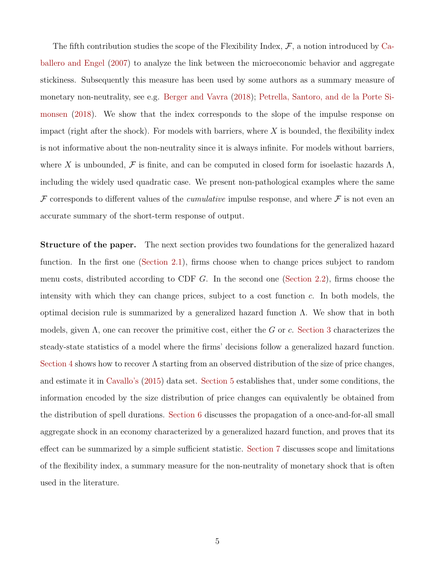The fifth contribution studies the scope of the Flexibility Index,  $\mathcal{F}$ , a notion introduced by Caballero and Engel (2007) to analyze the link between the microeconomic behavior and aggregate stickiness. Subsequently this measure has been used by some authors as a summary measure of monetary non-neutrality, see e.g. Berger and Vavra (2018); Petrella, Santoro, and de la Porte Simonsen (2018). We show that the index corresponds to the slope of the impulse response on impact (right after the shock). For models with barriers, where  $X$  is bounded, the flexibility index is not informative about the non-neutrality since it is always infinite. For models without barriers, where X is unbounded, F is finite, and can be computed in closed form for isoelastic hazards  $\Lambda$ , including the widely used quadratic case. We present non-pathological examples where the same  $\mathcal F$  corresponds to different values of the *cumulative* impulse response, and where  $\mathcal F$  is not even an accurate summary of the short-term response of output.

Structure of the paper. The next section provides two foundations for the generalized hazard function. In the first one (Section 2.1), firms choose when to change prices subject to random menu costs, distributed according to CDF G. In the second one (Section 2.2), firms choose the intensity with which they can change prices, subject to a cost function  $c$ . In both models, the optimal decision rule is summarized by a generalized hazard function Λ. We show that in both models, given  $\Lambda$ , one can recover the primitive cost, either the G or c. Section 3 characterizes the steady-state statistics of a model where the firms' decisions follow a generalized hazard function. Section 4 shows how to recover  $\Lambda$  starting from an observed distribution of the size of price changes, and estimate it in Cavallo's (2015) data set. Section 5 establishes that, under some conditions, the information encoded by the size distribution of price changes can equivalently be obtained from the distribution of spell durations. Section 6 discusses the propagation of a once-and-for-all small aggregate shock in an economy characterized by a generalized hazard function, and proves that its effect can be summarized by a simple sufficient statistic. Section 7 discusses scope and limitations of the flexibility index, a summary measure for the non-neutrality of monetary shock that is often used in the literature.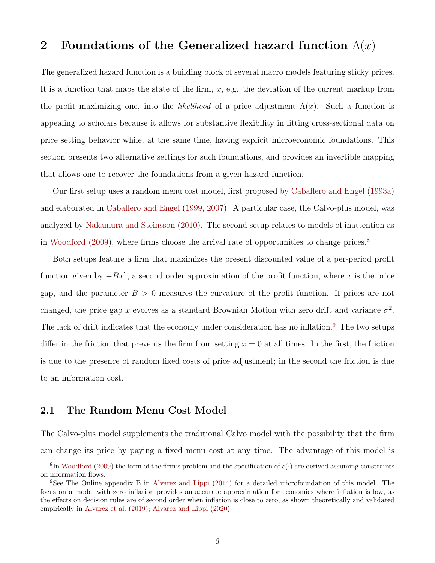## 2 Foundations of the Generalized hazard function  $\Lambda(x)$

The generalized hazard function is a building block of several macro models featuring sticky prices. It is a function that maps the state of the firm,  $x$ , e.g. the deviation of the current markup from the profit maximizing one, into the *likelihood* of a price adjustment  $\Lambda(x)$ . Such a function is appealing to scholars because it allows for substantive flexibility in fitting cross-sectional data on price setting behavior while, at the same time, having explicit microeconomic foundations. This section presents two alternative settings for such foundations, and provides an invertible mapping that allows one to recover the foundations from a given hazard function.

Our first setup uses a random menu cost model, first proposed by Caballero and Engel (1993a) and elaborated in Caballero and Engel (1999, 2007). A particular case, the Calvo-plus model, was analyzed by Nakamura and Steinsson (2010). The second setup relates to models of inattention as in Woodford (2009), where firms choose the arrival rate of opportunities to change prices.<sup>8</sup>

Both setups feature a firm that maximizes the present discounted value of a per-period profit function given by  $-Bx^2$ , a second order approximation of the profit function, where x is the price gap, and the parameter  $B > 0$  measures the curvature of the profit function. If prices are not changed, the price gap x evolves as a standard Brownian Motion with zero drift and variance  $\sigma^2$ . The lack of drift indicates that the economy under consideration has no inflation.<sup>9</sup> The two setups differ in the friction that prevents the firm from setting  $x = 0$  at all times. In the first, the friction is due to the presence of random fixed costs of price adjustment; in the second the friction is due to an information cost.

### 2.1 The Random Menu Cost Model

The Calvo-plus model supplements the traditional Calvo model with the possibility that the firm can change its price by paying a fixed menu cost at any time. The advantage of this model is

<sup>&</sup>lt;sup>8</sup>In Woodford (2009) the form of the firm's problem and the specification of  $c(\cdot)$  are derived assuming constraints on information flows.

<sup>&</sup>lt;sup>9</sup>See The Online appendix B in Alvarez and Lippi (2014) for a detailed microfoundation of this model. The focus on a model with zero inflation provides an accurate approximation for economies where inflation is low, as the effects on decision rules are of second order when inflation is close to zero, as shown theoretically and validated empirically in Alvarez et al. (2019); Alvarez and Lippi (2020).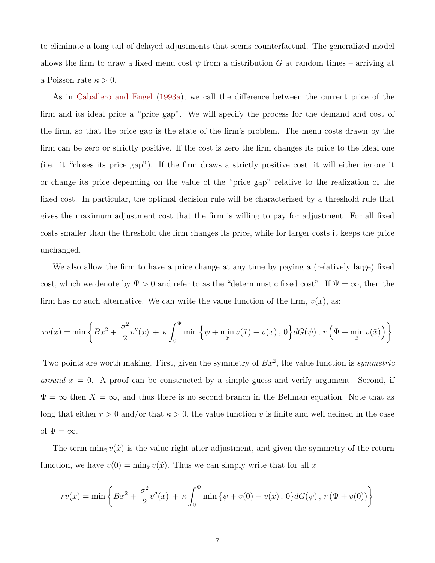to eliminate a long tail of delayed adjustments that seems counterfactual. The generalized model allows the firm to draw a fixed menu cost  $\psi$  from a distribution G at random times – arriving at a Poisson rate  $\kappa > 0$ .

As in Caballero and Engel (1993a), we call the difference between the current price of the firm and its ideal price a "price gap". We will specify the process for the demand and cost of the firm, so that the price gap is the state of the firm's problem. The menu costs drawn by the firm can be zero or strictly positive. If the cost is zero the firm changes its price to the ideal one (i.e. it "closes its price gap"). If the firm draws a strictly positive cost, it will either ignore it or change its price depending on the value of the "price gap" relative to the realization of the fixed cost. In particular, the optimal decision rule will be characterized by a threshold rule that gives the maximum adjustment cost that the firm is willing to pay for adjustment. For all fixed costs smaller than the threshold the firm changes its price, while for larger costs it keeps the price unchanged.

We also allow the firm to have a price change at any time by paying a (relatively large) fixed cost, which we denote by  $\Psi > 0$  and refer to as the "deterministic fixed cost". If  $\Psi = \infty$ , then the firm has no such alternative. We can write the value function of the firm,  $v(x)$ , as:

$$
rv(x) = \min\left\{Bx^2 + \frac{\sigma^2}{2}v''(x) + \kappa \int_0^{\Psi} \min\left\{\psi + \min_{\tilde{x}} v(\tilde{x}) - v(x), 0\right\} dG(\psi), r\left(\Psi + \min_{\tilde{x}} v(\tilde{x})\right)\right\}
$$

Two points are worth making. First, given the symmetry of  $Bx^2$ , the value function is symmetric around  $x = 0$ . A proof can be constructed by a simple guess and verify argument. Second, if  $\Psi = \infty$  then  $X = \infty$ , and thus there is no second branch in the Bellman equation. Note that as long that either  $r > 0$  and/or that  $\kappa > 0$ , the value function v is finite and well defined in the case of  $\Psi = \infty$ .

The term  $\min_{\tilde{x}} v(\tilde{x})$  is the value right after adjustment, and given the symmetry of the return function, we have  $v(0) = \min_{\tilde{x}} v(\tilde{x})$ . Thus we can simply write that for all x

$$
rv(x) = \min \left\{ Bx^2 + \frac{\sigma^2}{2}v''(x) + \kappa \int_0^{\Psi} \min \left\{ \psi + v(0) - v(x), 0 \right\} dG(\psi), r(\Psi + v(0)) \right\}
$$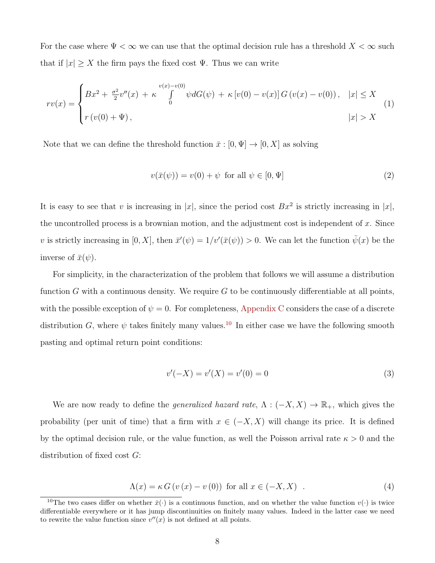For the case where  $\Psi < \infty$  we can use that the optimal decision rule has a threshold  $X < \infty$  such that if  $|x| \geq X$  the firm pays the fixed cost  $\Psi$ . Thus we can write

$$
rv(x) = \begin{cases} Bx^2 + \frac{\sigma^2}{2}v''(x) + \kappa \int_0^{v(x)-v(0)} \psi dG(\psi) + \kappa [v(0) - v(x)] G(v(x) - v(0)), & |x| \le X \\ r(v(0) + \Psi), & |x| > X \end{cases}
$$
(1)

Note that we can define the threshold function  $\bar{x} : [0, \Psi] \to [0, X]$  as solving

$$
v(\bar{x}(\psi)) = v(0) + \psi \quad \text{for all } \psi \in [0, \Psi]
$$
\n
$$
(2)
$$

It is easy to see that v is increasing in |x|, since the period cost  $Bx^2$  is strictly increasing in |x|, the uncontrolled process is a brownian motion, and the adjustment cost is independent of  $x$ . Since v is strictly increasing in  $[0, X]$ , then  $\bar{x}'(\psi) = 1/v'(\bar{x}(\psi)) > 0$ . We can let the function  $\bar{\psi}(x)$  be the inverse of  $\bar{x}(\psi)$ .

For simplicity, in the characterization of the problem that follows we will assume a distribution function G with a continuous density. We require  $G$  to be continuously differentiable at all points, with the possible exception of  $\psi = 0$ . For completeness, Appendix C considers the case of a discrete distribution G, where  $\psi$  takes finitely many values.<sup>10</sup> In either case we have the following smooth pasting and optimal return point conditions:

$$
v'(-X) = v'(X) = v'(0) = 0
$$
\n(3)

We are now ready to define the *generalized hazard rate*,  $\Lambda : (-X, X) \to \mathbb{R}_+$ , which gives the probability (per unit of time) that a firm with  $x \in (-X, X)$  will change its price. It is defined by the optimal decision rule, or the value function, as well the Poisson arrival rate  $\kappa > 0$  and the distribution of fixed cost  $G$ :

$$
\Lambda(x) = \kappa G \left( v \left( x \right) - v \left( 0 \right) \right) \text{ for all } x \in (-X, X) \quad . \tag{4}
$$

<sup>&</sup>lt;sup>10</sup>The two cases differ on whether  $\bar{x}(\cdot)$  is a continuous function, and on whether the value function  $v(\cdot)$  is twice differentiable everywhere or it has jump discontinuities on finitely many values. Indeed in the latter case we need to rewrite the value function since  $v''(x)$  is not defined at all points.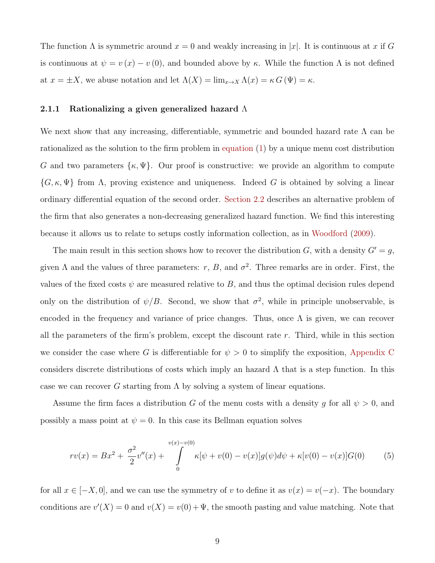The function  $\Lambda$  is symmetric around  $x = 0$  and weakly increasing in |x|. It is continuous at x if G is continuous at  $\psi = v(x) - v(0)$ , and bounded above by κ. While the function  $\Lambda$  is not defined at  $x = \pm X$ , we abuse notation and let  $\Lambda(X) = \lim_{x \to X} \Lambda(x) = \kappa G(\Psi) = \kappa$ .

#### 2.1.1 Rationalizing a given generalized hazard  $\Lambda$

We next show that any increasing, differentiable, symmetric and bounded hazard rate  $\Lambda$  can be rationalized as the solution to the firm problem in equation (1) by a unique menu cost distribution G and two parameters  $\{\kappa, \Psi\}$ . Our proof is constructive: we provide an algorithm to compute  $\{G, \kappa, \Psi\}$  from  $\Lambda$ , proving existence and uniqueness. Indeed G is obtained by solving a linear ordinary differential equation of the second order. Section 2.2 describes an alternative problem of the firm that also generates a non-decreasing generalized hazard function. We find this interesting because it allows us to relate to setups costly information collection, as in Woodford (2009).

The main result in this section shows how to recover the distribution G, with a density  $G' = g$ , given  $\Lambda$  and the values of three parameters: r, B, and  $\sigma^2$ . Three remarks are in order. First, the values of the fixed costs  $\psi$  are measured relative to B, and thus the optimal decision rules depend only on the distribution of  $\psi/B$ . Second, we show that  $\sigma^2$ , while in principle unobservable, is encoded in the frequency and variance of price changes. Thus, once  $\Lambda$  is given, we can recover all the parameters of the firm's problem, except the discount rate  $r$ . Third, while in this section we consider the case where G is differentiable for  $\psi > 0$  to simplify the exposition, Appendix C considers discrete distributions of costs which imply an hazard  $\Lambda$  that is a step function. In this case we can recover G starting from  $\Lambda$  by solving a system of linear equations.

Assume the firm faces a distribution G of the menu costs with a density g for all  $\psi > 0$ , and possibly a mass point at  $\psi = 0$ . In this case its Bellman equation solves

$$
rv(x) = Bx^{2} + \frac{\sigma^{2}}{2}v''(x) + \int_{0}^{v(x)-v(0)} \kappa[\psi + v(0) - v(x)]g(\psi)d\psi + \kappa[v(0) - v(x)]G(0)
$$
(5)

for all  $x \in [-X, 0]$ , and we can use the symmetry of v to define it as  $v(x) = v(-x)$ . The boundary conditions are  $v'(X) = 0$  and  $v(X) = v(0) + \Psi$ , the smooth pasting and value matching. Note that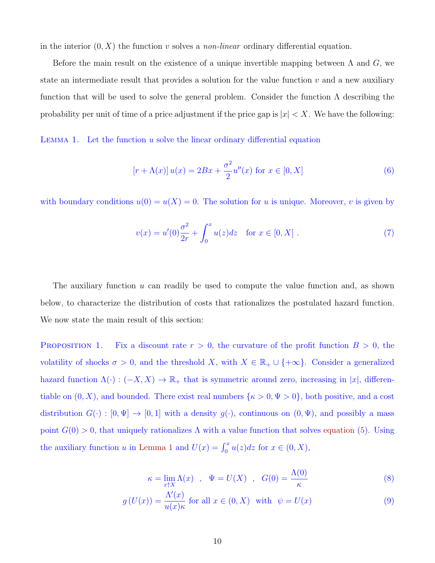in the interior  $(0, X)$  the function v solves a *non-linear* ordinary differential equation.

Before the main result on the existence of a unique invertible mapping between  $\Lambda$  and  $G$ , we state an intermediate result that provides a solution for the value function  $v$  and a new auxiliary function that will be used to solve the general problem. Consider the function  $\Lambda$  describing the probability per unit of time of a price adjustment if the price gap is  $|x| < X$ . We have the following:

LEMMA 1. Let the function  $u$  solve the linear ordinary differential equation

$$
[r + \Lambda(x)] u(x) = 2Bx + \frac{\sigma^2}{2} u''(x) \text{ for } x \in [0, X]
$$
 (6)

with boundary conditions  $u(0) = u(X) = 0$ . The solution for u is unique. Moreover, v is given by

$$
v(x) = u'(0)\frac{\sigma^2}{2r} + \int_0^x u(z)dz \quad \text{for } x \in [0, X].
$$
 (7)

The auxiliary function  $u$  can readily be used to compute the value function and, as shown below, to characterize the distribution of costs that rationalizes the postulated hazard function. We now state the main result of this section:

PROPOSITION 1. Fix a discount rate  $r > 0$ , the curvature of the profit function  $B > 0$ , the volatility of shocks  $\sigma > 0$ , and the threshold X, with  $X \in \mathbb{R}_+ \cup \{+\infty\}$ . Consider a generalized hazard function  $\Lambda(\cdot) : (-X, X) \to \mathbb{R}_+$  that is symmetric around zero, increasing in |x|, differentiable on  $(0, X)$ , and bounded. There exist real numbers  $\{\kappa > 0, \Psi > 0\}$ , both positive, and a cost distribution  $G(\cdot) : [0, \Psi] \to [0, 1]$  with a density  $g(\cdot)$ , continuous on  $(0, \Psi)$ , and possibly a mass point  $G(0) > 0$ , that uniquely rationalizes  $\Lambda$  with a value function that solves equation (5). Using the auxiliary function u in Lemma 1 and  $U(x) = \int_0^x u(z)dz$  for  $x \in (0, X)$ ,

$$
\kappa = \lim_{x \uparrow X} \Lambda(x) \quad , \quad \Psi = U(X) \quad , \quad G(0) = \frac{\Lambda(0)}{\kappa} \tag{8}
$$

$$
g\left(U(x)\right) = \frac{\Lambda'(x)}{u(x)\kappa} \text{ for all } x \in (0, X) \text{ with } \psi = U(x) \tag{9}
$$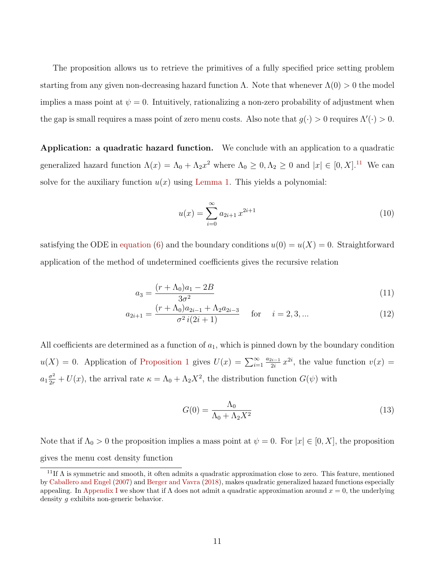The proposition allows us to retrieve the primitives of a fully specified price setting problem starting from any given non-decreasing hazard function  $\Lambda$ . Note that whenever  $\Lambda(0) > 0$  the model implies a mass point at  $\psi = 0$ . Intuitively, rationalizing a non-zero probability of adjustment when the gap is small requires a mass point of zero menu costs. Also note that  $g(\cdot) > 0$  requires  $\Lambda'(\cdot) > 0$ .

Application: a quadratic hazard function. We conclude with an application to a quadratic generalized hazard function  $\Lambda(x) = \Lambda_0 + \Lambda_2 x^2$  where  $\Lambda_0 \geq 0, \Lambda_2 \geq 0$  and  $|x| \in [0, X]$ .<sup>11</sup> We can solve for the auxiliary function  $u(x)$  using Lemma 1. This yields a polynomial:

$$
u(x) = \sum_{i=0}^{\infty} a_{2i+1} x^{2i+1}
$$
 (10)

satisfying the ODE in equation (6) and the boundary conditions  $u(0) = u(X) = 0$ . Straightforward application of the method of undetermined coefficients gives the recursive relation

$$
a_3 = \frac{(r + \Lambda_0)a_1 - 2B}{3\sigma^2} \tag{11}
$$

$$
a_{2i+1} = \frac{(r + \Lambda_0)a_{2i-1} + \Lambda_2 a_{2i-3}}{\sigma^2 i(2i+1)} \quad \text{for} \quad i = 2, 3, ... \tag{12}
$$

All coefficients are determined as a function of  $a_1$ , which is pinned down by the boundary condition  $u(X) = 0$ . Application of Proposition 1 gives  $U(x) = \sum_{i=1}^{\infty}$  $a_{2i-1}$  $\frac{2i-1}{2i}x^{2i}$ , the value function  $v(x) =$  $a_1 \frac{\sigma^2}{2r} + U(x)$ , the arrival rate  $\kappa = \Lambda_0 + \Lambda_2 X^2$ , the distribution function  $G(\psi)$  with

$$
G(0) = \frac{\Lambda_0}{\Lambda_0 + \Lambda_2 X^2} \tag{13}
$$

Note that if  $\Lambda_0 > 0$  the proposition implies a mass point at  $\psi = 0$ . For  $|x| \in [0, X]$ , the proposition gives the menu cost density function

<sup>&</sup>lt;sup>11</sup>If  $\Lambda$  is symmetric and smooth, it often admits a quadratic approximation close to zero. This feature, mentioned by Caballero and Engel (2007) and Berger and Vavra (2018), makes quadratic generalized hazard functions especially appealing. In Appendix I we show that if  $\Lambda$  does not admit a quadratic approximation around  $x = 0$ , the underlying density g exhibits non-generic behavior.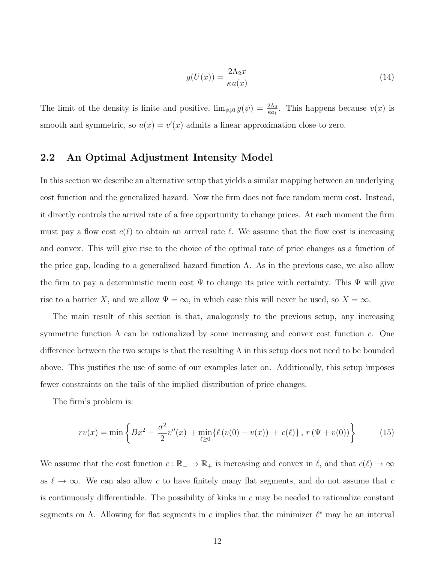$$
g(U(x)) = \frac{2\Lambda_2 x}{\kappa u(x)}\tag{14}
$$

The limit of the density is finite and positive,  $\lim_{\psi \downarrow 0} g(\psi) = \frac{2\Lambda_2}{\kappa a_1}$ . This happens because  $v(x)$  is smooth and symmetric, so  $u(x) = v'(x)$  admits a linear approximation close to zero.

### 2.2 An Optimal Adjustment Intensity Model

In this section we describe an alternative setup that yields a similar mapping between an underlying cost function and the generalized hazard. Now the firm does not face random menu cost. Instead, it directly controls the arrival rate of a free opportunity to change prices. At each moment the firm must pay a flow cost  $c(\ell)$  to obtain an arrival rate  $\ell$ . We assume that the flow cost is increasing and convex. This will give rise to the choice of the optimal rate of price changes as a function of the price gap, leading to a generalized hazard function  $\Lambda$ . As in the previous case, we also allow the firm to pay a deterministic menu cost  $\Psi$  to change its price with certainty. This  $\Psi$  will give rise to a barrier X, and we allow  $\Psi = \infty$ , in which case this will never be used, so  $X = \infty$ .

The main result of this section is that, analogously to the previous setup, any increasing symmetric function  $\Lambda$  can be rationalized by some increasing and convex cost function c. One difference between the two setups is that the resulting  $\Lambda$  in this setup does not need to be bounded above. This justifies the use of some of our examples later on. Additionally, this setup imposes fewer constraints on the tails of the implied distribution of price changes.

The firm's problem is:

$$
rv(x) = \min\left\{Bx^2 + \frac{\sigma^2}{2}v''(x) + \min_{\ell \ge 0} \{\ell(v(0) - v(x)) + c(\ell)\}, r(\Psi + v(0))\right\}
$$
(15)

We assume that the cost function  $c : \mathbb{R}_+ \to \mathbb{R}_+$  is increasing and convex in  $\ell$ , and that  $c(\ell) \to \infty$ as  $\ell \to \infty$ . We can also allow c to have finitely many flat segments, and do not assume that c is continuously differentiable. The possibility of kinks in  $c$  may be needed to rationalize constant segments on  $\Lambda$ . Allowing for flat segments in c implies that the minimizer  $\ell^*$  may be an interval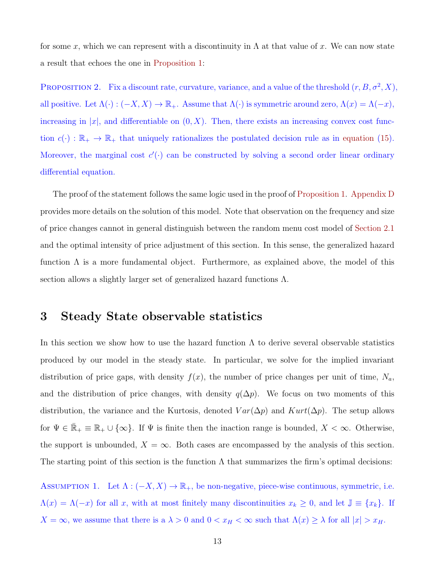for some x, which we can represent with a discontinuity in  $\Lambda$  at that value of x. We can now state a result that echoes the one in Proposition 1:

PROPOSITION 2. Fix a discount rate, curvature, variance, and a value of the threshold  $(r, B, \sigma^2, X)$ , all positive. Let  $\Lambda(\cdot) : (-X, X) \to \mathbb{R}_+$ . Assume that  $\Lambda(\cdot)$  is symmetric around zero,  $\Lambda(x) = \Lambda(-x)$ , increasing in |x|, and differentiable on  $(0, X)$ . Then, there exists an increasing convex cost function  $c(\cdot) : \mathbb{R}_+ \to \mathbb{R}_+$  that uniquely rationalizes the postulated decision rule as in equation (15). Moreover, the marginal cost  $c'(\cdot)$  can be constructed by solving a second order linear ordinary differential equation.

The proof of the statement follows the same logic used in the proof of Proposition 1. Appendix D provides more details on the solution of this model. Note that observation on the frequency and size of price changes cannot in general distinguish between the random menu cost model of Section 2.1 and the optimal intensity of price adjustment of this section. In this sense, the generalized hazard function  $\Lambda$  is a more fundamental object. Furthermore, as explained above, the model of this section allows a slightly larger set of generalized hazard functions Λ.

## 3 Steady State observable statistics

In this section we show how to use the hazard function  $\Lambda$  to derive several observable statistics produced by our model in the steady state. In particular, we solve for the implied invariant distribution of price gaps, with density  $f(x)$ , the number of price changes per unit of time,  $N_a$ , and the distribution of price changes, with density  $q(\Delta p)$ . We focus on two moments of this distribution, the variance and the Kurtosis, denoted  $Var(\Delta p)$  and  $Kurt(\Delta p)$ . The setup allows for  $\Psi \in \mathbb{R}_+ \equiv \mathbb{R}_+ \cup \{\infty\}$ . If  $\Psi$  is finite then the inaction range is bounded,  $X < \infty$ . Otherwise, the support is unbounded,  $X = \infty$ . Both cases are encompassed by the analysis of this section. The starting point of this section is the function  $\Lambda$  that summarizes the firm's optimal decisions:

ASSUMPTION 1. Let  $\Lambda: (-X, X) \to \mathbb{R}_+$ , be non-negative, piece-wise continuous, symmetric, i.e.  $\Lambda(x) = \Lambda(-x)$  for all x, with at most finitely many discontinuities  $x_k \geq 0$ , and let  $\mathbb{J} \equiv \{x_k\}$ . If  $X = \infty$ , we assume that there is a  $\lambda > 0$  and  $0 < x_H < \infty$  such that  $\Lambda(x) \geq \lambda$  for all  $|x| > x_H$ .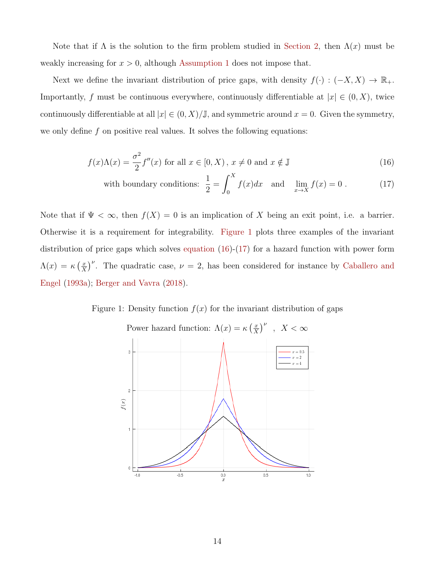Note that if  $\Lambda$  is the solution to the firm problem studied in Section 2, then  $\Lambda(x)$  must be weakly increasing for  $x > 0$ , although Assumption 1 does not impose that.

Next we define the invariant distribution of price gaps, with density  $f(\cdot) : (-X, X) \to \mathbb{R}_+$ . Importantly, f must be continuous everywhere, continuously differentiable at  $|x| \in (0, X)$ , twice continuously differentiable at all  $|x| \in (0, X)/\mathbb{J}$ , and symmetric around  $x = 0$ . Given the symmetry, we only define  $f$  on positive real values. It solves the following equations:

$$
f(x)\Lambda(x) = \frac{\sigma^2}{2}f''(x) \text{ for all } x \in [0, X), x \neq 0 \text{ and } x \notin \mathbb{J}
$$
 (16)

with boundary conditions: 
$$
\frac{1}{2} = \int_0^X f(x) dx \text{ and } \lim_{x \to X} f(x) = 0.
$$
 (17)

Note that if  $\Psi < \infty$ , then  $f(X) = 0$  is an implication of X being an exit point, i.e. a barrier. Otherwise it is a requirement for integrability. Figure 1 plots three examples of the invariant distribution of price gaps which solves equation  $(16)-(17)$  for a hazard function with power form  $\Lambda(x) = \kappa \left( \frac{x}{x} \right)$  $(\frac{x}{X})^{\nu}$ . The quadratic case,  $\nu = 2$ , has been considered for instance by Caballero and Engel (1993a); Berger and Vavra (2018).

Figure 1: Density function  $f(x)$  for the invariant distribution of gaps

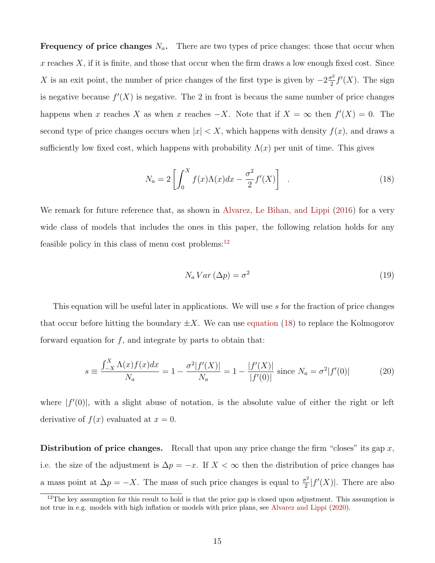**Frequency of price changes**  $N_a$ . There are two types of price changes: those that occur when  $x$  reaches  $X$ , if it is finite, and those that occur when the firm draws a low enough fixed cost. Since X is an exit point, the number of price changes of the first type is given by  $-2\frac{\sigma^2}{2}$  $\frac{r^2}{2}f'(X)$ . The sign is negative because  $f'(X)$  is negative. The 2 in front is becaus the same number of price changes happens when x reaches X as when x reaches  $-X$ . Note that if  $X = \infty$  then  $f'(X) = 0$ . The second type of price changes occurs when  $|x| < X$ , which happens with density  $f(x)$ , and draws a sufficiently low fixed cost, which happens with probability  $\Lambda(x)$  per unit of time. This gives

$$
N_a = 2 \left[ \int_0^X f(x) \Lambda(x) dx - \frac{\sigma^2}{2} f'(X) \right] \quad . \tag{18}
$$

We remark for future reference that, as shown in Alvarez, Le Bihan, and Lippi (2016) for a very wide class of models that includes the ones in this paper, the following relation holds for any feasible policy in this class of menu cost problems:<sup>12</sup>

$$
N_a Var\left(\Delta p\right) = \sigma^2\tag{19}
$$

This equation will be useful later in applications. We will use s for the fraction of price changes that occur before hitting the boundary  $\pm X$ . We can use equation (18) to replace the Kolmogorov forward equation for  $f$ , and integrate by parts to obtain that:

$$
s \equiv \frac{\int_{-X}^{X} \Lambda(x)f(x)dx}{N_a} = 1 - \frac{\sigma^2|f'(X)|}{N_a} = 1 - \frac{|f'(X)|}{|f'(0)|} \text{ since } N_a = \sigma^2|f'(0)| \tag{20}
$$

where  $|f'(0)|$ , with a slight abuse of notation, is the absolute value of either the right or left derivative of  $f(x)$  evaluated at  $x = 0$ .

**Distribution of price changes.** Recall that upon any price change the firm "closes" its gap x, i.e. the size of the adjustment is  $\Delta p = -x$ . If  $X < \infty$  then the distribution of price changes has a mass point at  $\Delta p = -X$ . The mass of such price changes is equal to  $\frac{\sigma^2}{2}$  $\frac{\sigma^2}{2}|f'(X)|$ . There are also

 $12$ The key assumption for this result to hold is that the price gap is closed upon adjustment. This assumption is not true in e.g. models with high inflation or models with price plans, see Alvarez and Lippi (2020).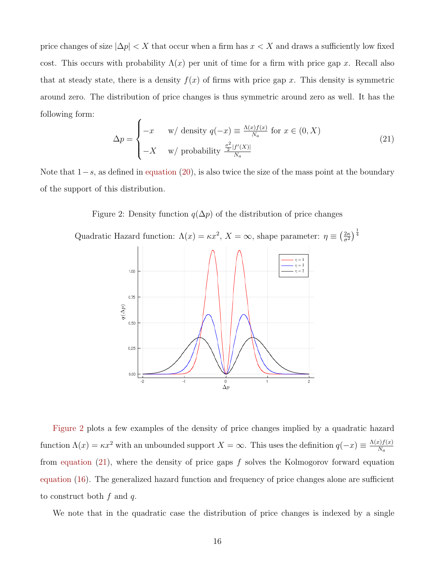price changes of size  $|\Delta p| < X$  that occur when a firm has  $x < X$  and draws a sufficiently low fixed cost. This occurs with probability  $\Lambda(x)$  per unit of time for a firm with price gap x. Recall also that at steady state, there is a density  $f(x)$  of firms with price gap x. This density is symmetric around zero. The distribution of price changes is thus symmetric around zero as well. It has the following form:  $\overline{\phantom{a}}$ 

$$
\Delta p = \begin{cases}\n-x & \text{w/ density } q(-x) \equiv \frac{\Lambda(x)f(x)}{N_a} \text{ for } x \in (0, X) \\
-X & \text{w/ probability } \frac{\frac{\sigma^2}{2}|f'(X)|}{N_a}\n\end{cases}
$$
\n(21)

 $\frac{2\kappa}{\sigma^2}$ ) $\frac{1}{4}$ 

Note that  $1-s$ , as defined in equation (20), is also twice the size of the mass point at the boundary of the support of this distribution.

Figure 2: Density function  $q(\Delta p)$  of the distribution of price changes

Quadratic Hazard function:  $\Lambda(x) = \kappa x^2$ ,  $X = \infty$ , shape parameter:  $\eta \equiv \left(\frac{2\kappa}{\sigma^2}\right)$  $n=4$  $\eta = 3$ 1.00  $0.75$  $q(\Delta p)$ 0.50  $0.25$  $0.00$  $\mathbb O$  $\Delta p$ 

Figure 2 plots a few examples of the density of price changes implied by a quadratic hazard function  $\Lambda(x) = \kappa x^2$  with an unbounded support  $X = \infty$ . This uses the definition  $q(-x) \equiv \frac{\Lambda(x) f(x)}{N}$  $N_a$ from equation  $(21)$ , where the density of price gaps f solves the Kolmogorov forward equation equation (16). The generalized hazard function and frequency of price changes alone are sufficient to construct both  $f$  and  $q$ .

We note that in the quadratic case the distribution of price changes is indexed by a single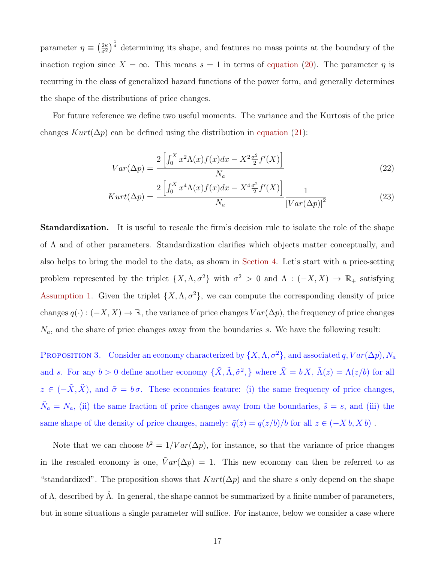parameter  $\eta \equiv \left(\frac{2\kappa}{\sigma^2}\right)$  $\frac{2\kappa}{\sigma^2}$  determining its shape, and features no mass points at the boundary of the inaction region since  $X = \infty$ . This means  $s = 1$  in terms of equation (20). The parameter  $\eta$  is recurring in the class of generalized hazard functions of the power form, and generally determines the shape of the distributions of price changes.

For future reference we define two useful moments. The variance and the Kurtosis of the price changes  $Kurt(\Delta p)$  can be defined using the distribution in equation (21):

$$
Var(\Delta p) = \frac{2\left[\int_0^X x^2 \Lambda(x) f(x) dx - X^2 \frac{\sigma^2}{2} f'(X)\right]}{N_a} \tag{22}
$$

$$
Kurt(\Delta p) = \frac{2\left[\int_0^X x^4 \Lambda(x)f(x)dx - X^4 \frac{\sigma^2}{2} f'(X)\right]}{N_a} \frac{1}{\left[Var(\Delta p)\right]^2}
$$
(23)

**Standardization.** It is useful to rescale the firm's decision rule to isolate the role of the shape of Λ and of other parameters. Standardization clarifies which objects matter conceptually, and also helps to bring the model to the data, as shown in Section 4. Let's start with a price-setting problem represented by the triplet  $\{X, \Lambda, \sigma^2\}$  with  $\sigma^2 > 0$  and  $\Lambda : (-X, X) \to \mathbb{R}_+$  satisfying Assumption 1. Given the triplet  $\{X, \Lambda, \sigma^2\}$ , we can compute the corresponding density of price changes  $q(\cdot) : (-X, X) \to \mathbb{R}$ , the variance of price changes  $Var(\Delta p)$ , the frequency of price changes  $N_a$ , and the share of price changes away from the boundaries s. We have the following result:

PROPOSITION 3. Consider an economy characterized by  $\{X, \Lambda, \sigma^2\}$ , and associated q,  $Var(\Delta p)$ ,  $N_a$ and s. For any  $b > 0$  define another economy  $\{\tilde{X}, \tilde{\Lambda}, \tilde{\sigma}^2\}$ , where  $\tilde{X} = bX$ ,  $\tilde{\Lambda}(z) = \Lambda(z/b)$  for all  $z \in (-\tilde{X}, \tilde{X})$ , and  $\tilde{\sigma} = b\sigma$ . These economies feature: (i) the same frequency of price changes,  $\tilde{N}_a = N_a$ , (ii) the same fraction of price changes away from the boundaries,  $\tilde{s} = s$ , and (iii) the same shape of the density of price changes, namely:  $\tilde{q}(z) = q(z/b)/b$  for all  $z \in (-X b, X b)$ .

Note that we can choose  $b^2 = 1/Var(\Delta p)$ , for instance, so that the variance of price changes in the rescaled economy is one,  $\tilde{V}ar(\Delta p) = 1$ . This new economy can then be referred to as "standardized". The proposition shows that  $Kurt(\Delta p)$  and the share s only depend on the shape of Λ, described by  $\hat{\Lambda}$ . In general, the shape cannot be summarized by a finite number of parameters, but in some situations a single parameter will suffice. For instance, below we consider a case where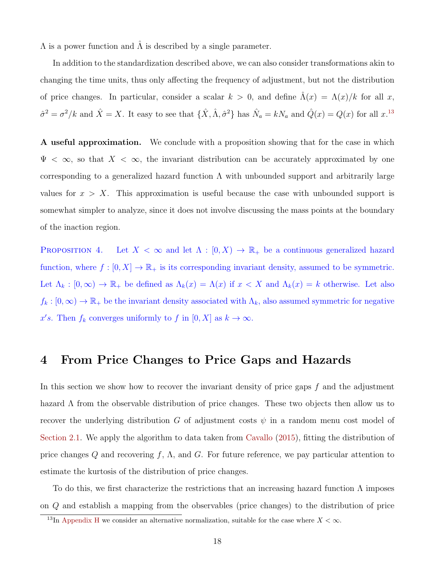$\Lambda$  is a power function and  $\Lambda$  is described by a single parameter.

In addition to the standardization described above, we can also consider transformations akin to changing the time units, thus only affecting the frequency of adjustment, but not the distribution of price changes. In particular, consider a scalar  $k > 0$ , and define  $\hat{\Lambda}(x) = \Lambda(x)/k$  for all x,  $\hat{\sigma}^2 = \sigma^2/k$  and  $\hat{X} = X$ . It easy to see that  $\{\hat{X}, \hat{\Lambda}, \hat{\sigma}^2\}$  has  $\hat{N}_a = kN_a$  and  $\hat{Q}(x) = Q(x)$  for all  $x$ .<sup>13</sup>

**A** useful approximation. We conclude with a proposition showing that for the case in which  $\Psi < \infty$ , so that  $X < \infty$ , the invariant distribution can be accurately approximated by one corresponding to a generalized hazard function  $\Lambda$  with unbounded support and arbitrarily large values for  $x > X$ . This approximation is useful because the case with unbounded support is somewhat simpler to analyze, since it does not involve discussing the mass points at the boundary of the inaction region.

PROPOSITION 4. Let  $X < \infty$  and let  $\Lambda : [0, X) \to \mathbb{R}_+$  be a continuous generalized hazard function, where  $f : [0, X] \to \mathbb{R}_+$  is its corresponding invariant density, assumed to be symmetric. Let  $\Lambda_k : [0, \infty) \to \mathbb{R}_+$  be defined as  $\Lambda_k(x) = \Lambda(x)$  if  $x < X$  and  $\Lambda_k(x) = k$  otherwise. Let also  $f_k : [0, \infty) \to \mathbb{R}_+$  be the invariant density associated with  $\Lambda_k$ , also assumed symmetric for negative x's. Then  $f_k$  converges uniformly to f in  $[0, X]$  as  $k \to \infty$ .

## 4 From Price Changes to Price Gaps and Hazards

In this section we show how to recover the invariant density of price gaps  $f$  and the adjustment hazard  $\Lambda$  from the observable distribution of price changes. These two objects then allow us to recover the underlying distribution G of adjustment costs  $\psi$  in a random menu cost model of Section 2.1. We apply the algorithm to data taken from Cavallo (2015), fitting the distribution of price changes Q and recovering f,  $\Lambda$ , and G. For future reference, we pay particular attention to estimate the kurtosis of the distribution of price changes.

To do this, we first characterize the restrictions that an increasing hazard function  $\Lambda$  imposes on Q and establish a mapping from the observables (price changes) to the distribution of price

<sup>&</sup>lt;sup>13</sup>In Appendix H we consider an alternative normalization, suitable for the case where  $X < \infty$ .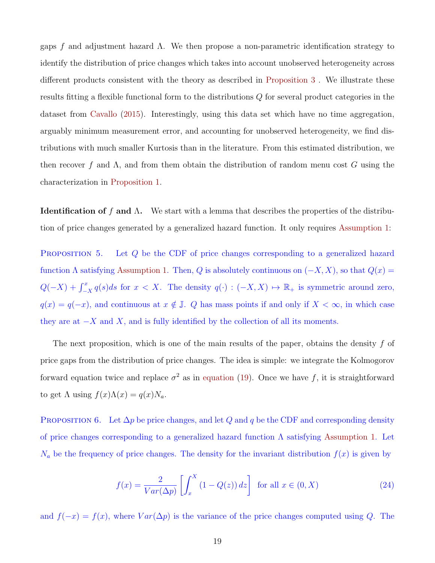gaps f and adjustment hazard  $\Lambda$ . We then propose a non-parametric identification strategy to identify the distribution of price changes which takes into account unobserved heterogeneity across different products consistent with the theory as described in Proposition 3 . We illustrate these results fitting a flexible functional form to the distributions Q for several product categories in the dataset from Cavallo (2015). Interestingly, using this data set which have no time aggregation, arguably minimum measurement error, and accounting for unobserved heterogeneity, we find distributions with much smaller Kurtosis than in the literature. From this estimated distribution, we then recover f and  $\Lambda$ , and from them obtain the distribution of random menu cost G using the characterization in Proposition 1.

**Identification of f and Λ.** We start with a lemma that describes the properties of the distribution of price changes generated by a generalized hazard function. It only requires Assumption 1:

PROPOSITION 5. Let Q be the CDF of price changes corresponding to a generalized hazard function  $\Lambda$  satisfying Assumption 1. Then, Q is absolutely continuous on  $(-X, X)$ , so that  $Q(x) =$  $Q(-X) + \int_{-X}^{x} q(s)ds$  for  $x < X$ . The density  $q(\cdot) : (-X, X) \mapsto \mathbb{R}_{+}$  is symmetric around zero,  $q(x) = q(-x)$ , and continuous at  $x \notin \mathbb{J}$ . Q has mass points if and only if  $X < \infty$ , in which case they are at  $-X$  and X, and is fully identified by the collection of all its moments.

The next proposition, which is one of the main results of the paper, obtains the density  $f$  of price gaps from the distribution of price changes. The idea is simple: we integrate the Kolmogorov forward equation twice and replace  $\sigma^2$  as in equation (19). Once we have f, it is straightforward to get  $\Lambda$  using  $f(x)\Lambda(x) = q(x)N_a$ .

PROPOSITION 6. Let  $\Delta p$  be price changes, and let Q and q be the CDF and corresponding density of price changes corresponding to a generalized hazard function  $\Lambda$  satisfying Assumption 1. Let  $N_a$  be the frequency of price changes. The density for the invariant distribution  $f(x)$  is given by

$$
f(x) = \frac{2}{Var(\Delta p)} \left[ \int_x^X (1 - Q(z)) dz \right] \text{ for all } x \in (0, X)
$$
 (24)

and  $f(-x) = f(x)$ , where  $Var(\Delta p)$  is the variance of the price changes computed using Q. The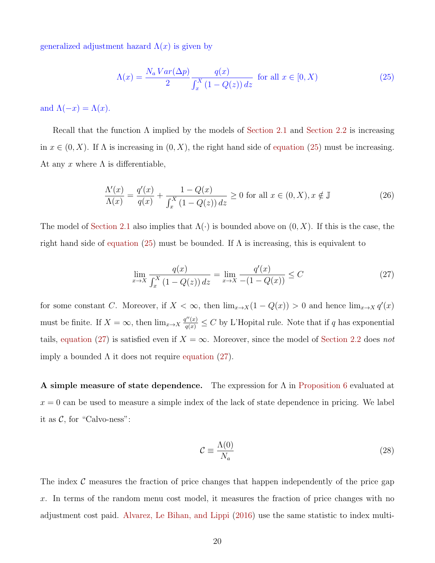generalized adjustment hazard  $\Lambda(x)$  is given by

$$
\Lambda(x) = \frac{N_a Var(\Delta p)}{2} \frac{q(x)}{\int_x^X (1 - Q(z)) dz} \text{ for all } x \in [0, X)
$$
\n
$$
(25)
$$

and  $\Lambda(-x) = \Lambda(x)$ .

Recall that the function  $\Lambda$  implied by the models of Section 2.1 and Section 2.2 is increasing in  $x \in (0, X)$ . If  $\Lambda$  is increasing in  $(0, X)$ , the right hand side of equation (25) must be increasing. At any x where  $\Lambda$  is differentiable,

$$
\frac{\Lambda'(x)}{\Lambda(x)} = \frac{q'(x)}{q(x)} + \frac{1 - Q(x)}{\int_x^X (1 - Q(z)) dz} \ge 0 \text{ for all } x \in (0, X), x \notin \mathbb{J}
$$
\n(26)

The model of Section 2.1 also implies that  $\Lambda(\cdot)$  is bounded above on  $(0, X)$ . If this is the case, the right hand side of equation (25) must be bounded. If  $\Lambda$  is increasing, this is equivalent to

$$
\lim_{x \to X} \frac{q(x)}{\int_x^X (1 - Q(z)) dz} = \lim_{x \to X} \frac{q'(x)}{-(1 - Q(x))} \le C \tag{27}
$$

for some constant C. Moreover, if  $X < \infty$ , then  $\lim_{x\to X} (1 - Q(x)) > 0$  and hence  $\lim_{x\to X} q'(x)$ must be finite. If  $X = \infty$ , then  $\lim_{x\to X} \frac{q''(x)}{q(x)} \leq C$  by L'Hopital rule. Note that if q has exponential tails, equation (27) is satisfied even if  $X = \infty$ . Moreover, since the model of Section 2.2 does not imply a bounded  $\Lambda$  it does not require equation (27).

A simple measure of state dependence. The expression for Λ in Proposition 6 evaluated at  $x = 0$  can be used to measure a simple index of the lack of state dependence in pricing. We label it as  $C$ , for "Calvo-ness":

$$
\mathcal{C} \equiv \frac{\Lambda(0)}{N_a} \tag{28}
$$

The index  $\mathcal C$  measures the fraction of price changes that happen independently of the price gap x. In terms of the random menu cost model, it measures the fraction of price changes with no adjustment cost paid. Alvarez, Le Bihan, and Lippi (2016) use the same statistic to index multi-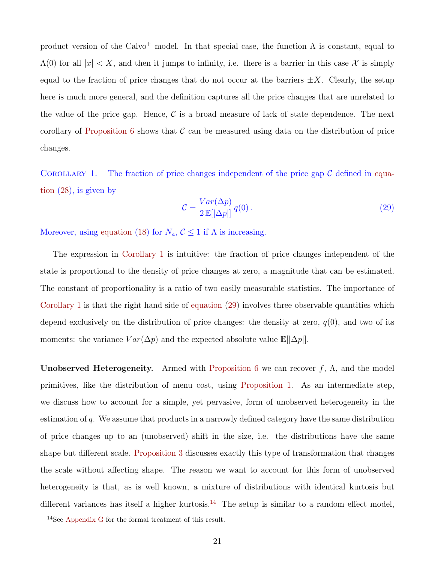product version of the Calvo<sup>+</sup> model. In that special case, the function  $\Lambda$  is constant, equal to  $\Lambda(0)$  for all  $|x| < X$ , and then it jumps to infinity, i.e. there is a barrier in this case X is simply equal to the fraction of price changes that do not occur at the barriers  $\pm X$ . Clearly, the setup here is much more general, and the definition captures all the price changes that are unrelated to the value of the price gap. Hence,  $\mathcal C$  is a broad measure of lack of state dependence. The next corollary of Proposition 6 shows that  $\mathcal C$  can be measured using data on the distribution of price changes.

COROLLARY 1. The fraction of price changes independent of the price gap  $\mathcal C$  defined in equation (28), is given by

$$
\mathcal{C} = \frac{Var(\Delta p)}{2 \mathbb{E}[|\Delta p|]} q(0). \tag{29}
$$

Moreover, using equation (18) for  $N_a, \mathcal{C} \leq 1$  if  $\Lambda$  is increasing.

The expression in Corollary 1 is intuitive: the fraction of price changes independent of the state is proportional to the density of price changes at zero, a magnitude that can be estimated. The constant of proportionality is a ratio of two easily measurable statistics. The importance of Corollary 1 is that the right hand side of equation (29) involves three observable quantities which depend exclusively on the distribution of price changes: the density at zero,  $q(0)$ , and two of its moments: the variance  $Var(\Delta p)$  and the expected absolute value  $\mathbb{E}[\Delta p]$ .

**Unobserved Heterogeneity.** Armed with Proposition 6 we can recover  $f$ ,  $\Lambda$ , and the model primitives, like the distribution of menu cost, using Proposition 1. As an intermediate step, we discuss how to account for a simple, yet pervasive, form of unobserved heterogeneity in the estimation of q. We assume that products in a narrowly defined category have the same distribution of price changes up to an (unobserved) shift in the size, i.e. the distributions have the same shape but different scale. Proposition 3 discusses exactly this type of transformation that changes the scale without affecting shape. The reason we want to account for this form of unobserved heterogeneity is that, as is well known, a mixture of distributions with identical kurtosis but different variances has itself a higher kurtosis.<sup>14</sup> The setup is similar to a random effect model,

<sup>14</sup>See Appendix G for the formal treatment of this result.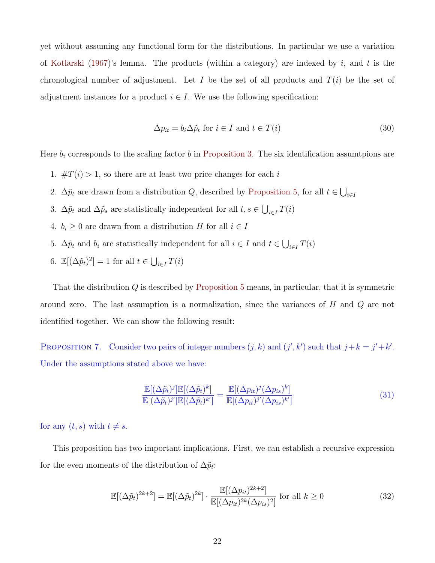yet without assuming any functional form for the distributions. In particular we use a variation of Kotlarski (1967)'s lemma. The products (within a category) are indexed by  $i$ , and  $t$  is the chronological number of adjustment. Let I be the set of all products and  $T(i)$  be the set of adjustment instances for a product  $i \in I$ . We use the following specification:

$$
\Delta p_{it} = b_i \Delta \tilde{p}_t \text{ for } i \in I \text{ and } t \in T(i)
$$
\n(30)

Here  $b_i$  corresponds to the scaling factor  $b$  in Proposition 3. The six identification assumtpions are

- 1.  $\#T(i) > 1$ , so there are at least two price changes for each i
- 2.  $\Delta \tilde{p}_t$  are drawn from a distribution Q, described by Proposition 5, for all  $t \in \bigcup_{i \in I}$
- 3.  $\Delta \tilde{p}_t$  and  $\Delta \tilde{p}_s$  are statistically independent for all  $t, s \in \bigcup_{i \in I} T(i)$
- 4.  $b_i \geq 0$  are drawn from a distribution H for all  $i \in I$
- 5.  $\Delta \tilde{p}_t$  and  $b_i$  are statistically independent for all  $i \in I$  and  $t \in \bigcup_{i \in I} T(i)$
- 6.  $\mathbb{E}[(\Delta \tilde{p}_t)^2] = 1$  for all  $t \in \bigcup_{i \in I} T(i)$

That the distribution  $Q$  is described by Proposition 5 means, in particular, that it is symmetric around zero. The last assumption is a normalization, since the variances of H and Q are not identified together. We can show the following result:

PROPOSITION 7. Consider two pairs of integer numbers  $(j, k)$  and  $(j', k')$  such that  $j + k = j' + k'$ . Under the assumptions stated above we have:

$$
\frac{\mathbb{E}[(\Delta \tilde{p}_t)^j]\mathbb{E}[(\Delta \tilde{p}_t)^k]}{\mathbb{E}[(\Delta \tilde{p}_t)^j']\mathbb{E}[(\Delta \tilde{p}_t)^k]} = \frac{\mathbb{E}[(\Delta p_{it})^j(\Delta p_{is})^k]}{\mathbb{E}[(\Delta p_{it})^j'(\Delta p_{is})^k]}
$$
(31)

for any  $(t, s)$  with  $t \neq s$ .

This proposition has two important implications. First, we can establish a recursive expression for the even moments of the distribution of  $\Delta \tilde{p}_t$ :

$$
\mathbb{E}[(\Delta \tilde{p}_t)^{2k+2}] = \mathbb{E}[(\Delta \tilde{p}_t)^{2k}] \cdot \frac{\mathbb{E}[(\Delta p_{it})^{2k+2}]}{\mathbb{E}[(\Delta p_{it})^{2k}(\Delta p_{is})^2]} \text{ for all } k \ge 0
$$
\n(32)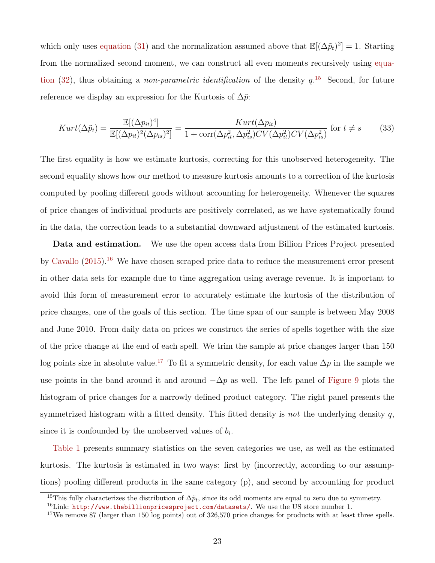which only uses equation (31) and the normalization assumed above that  $\mathbb{E}[(\Delta \tilde{p}_t)^2] = 1$ . Starting from the normalized second moment, we can construct all even moments recursively using equation (32), thus obtaining a *non-parametric identification* of the density  $q^{15}$ . Second, for future reference we display an expression for the Kurtosis of  $\Delta \tilde{p}$ :

$$
Kurt(\Delta \tilde{p}_t) = \frac{\mathbb{E}[(\Delta p_{it})^4]}{\mathbb{E}[(\Delta p_{it})^2(\Delta p_{is})^2]} = \frac{Kurt(\Delta p_{it})}{1 + \text{corr}(\Delta p_{it}^2, \Delta p_{is}^2)CV(\Delta p_{it}^2)CV(\Delta p_{is}^2)}
$$
 for  $t \neq s$  (33)

The first equality is how we estimate kurtosis, correcting for this unobserved heterogeneity. The second equality shows how our method to measure kurtosis amounts to a correction of the kurtosis computed by pooling different goods without accounting for heterogeneity. Whenever the squares of price changes of individual products are positively correlated, as we have systematically found in the data, the correction leads to a substantial downward adjustment of the estimated kurtosis.

Data and estimation. We use the open access data from Billion Prices Project presented by Cavallo  $(2015)^{16}$  We have chosen scraped price data to reduce the measurement error present in other data sets for example due to time aggregation using average revenue. It is important to avoid this form of measurement error to accurately estimate the kurtosis of the distribution of price changes, one of the goals of this section. The time span of our sample is between May 2008 and June 2010. From daily data on prices we construct the series of spells together with the size of the price change at the end of each spell. We trim the sample at price changes larger than 150 log points size in absolute value.<sup>17</sup> To fit a symmetric density, for each value  $\Delta p$  in the sample we use points in the band around it and around  $-\Delta p$  as well. The left panel of Figure 9 plots the histogram of price changes for a narrowly defined product category. The right panel presents the symmetrized histogram with a fitted density. This fitted density is not the underlying density  $q$ , since it is confounded by the unobserved values of  $b_i$ .

Table 1 presents summary statistics on the seven categories we use, as well as the estimated kurtosis. The kurtosis is estimated in two ways: first by (incorrectly, according to our assumptions) pooling different products in the same category (p), and second by accounting for product

<sup>&</sup>lt;sup>15</sup>This fully characterizes the distribution of  $\Delta \tilde{p}_t$ , since its odd moments are equal to zero due to symmetry.

 $^{16}$ Link: <http://www.thebillionpricesproject.com/datasets/>. We use the US store number 1.

<sup>&</sup>lt;sup>17</sup>We remove 87 (larger than 150 log points) out of  $326,570$  price changes for products with at least three spells.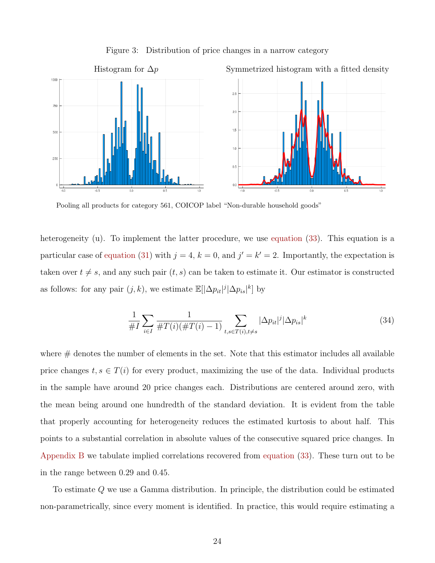

Figure 3: Distribution of price changes in a narrow category

Pooling all products for category 561, COICOP label "Non-durable household goods"

heterogeneity (u). To implement the latter procedure, we use equation (33). This equation is a particular case of equation (31) with  $j = 4$ ,  $k = 0$ , and  $j' = k' = 2$ . Importantly, the expectation is taken over  $t \neq s$ , and any such pair  $(t, s)$  can be taken to estimate it. Our estimator is constructed as follows: for any pair  $(j, k)$ , we estimate  $\mathbb{E}[\Delta p_{it}|^{j}|\Delta p_{is}|^{k}]$  by

$$
\frac{1}{\#I} \sum_{i \in I} \frac{1}{\#T(i)(\#T(i) - 1)} \sum_{t, s \in T(i), t \neq s} |\Delta p_{it}|^j |\Delta p_{is}|^k \tag{34}
$$

where  $\#$  denotes the number of elements in the set. Note that this estimator includes all available price changes  $t, s \in T(i)$  for every product, maximizing the use of the data. Individual products in the sample have around 20 price changes each. Distributions are centered around zero, with the mean being around one hundredth of the standard deviation. It is evident from the table that properly accounting for heterogeneity reduces the estimated kurtosis to about half. This points to a substantial correlation in absolute values of the consecutive squared price changes. In Appendix B we tabulate implied correlations recovered from equation (33). These turn out to be in the range between 0.29 and 0.45.

To estimate Q we use a Gamma distribution. In principle, the distribution could be estimated non-parametrically, since every moment is identified. In practice, this would require estimating a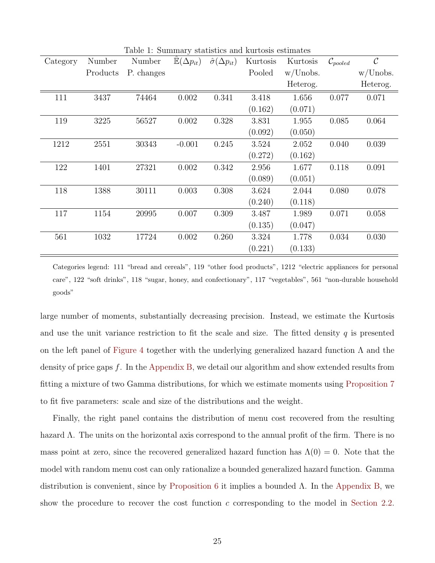| Category | Number   | Number     | $\cdot$<br>$\mathbb{E}(\Delta p_{it})$ | $\hat{\sigma}(\Delta p_{it})$ | Kurtosis | Kurtosis    | $\mathcal{C}_{pooled}$ | $\mathcal{C}$ |
|----------|----------|------------|----------------------------------------|-------------------------------|----------|-------------|------------------------|---------------|
|          | Products | P. changes |                                        |                               | Pooled   | $w/$ Unobs. |                        | w/Unobs.      |
|          |          |            |                                        |                               |          | Heterog.    |                        | Heterog.      |
| 111      | 3437     | 74464      | 0.002                                  | 0.341                         | 3.418    | 1.656       | 0.077                  | 0.071         |
|          |          |            |                                        |                               | (0.162)  | (0.071)     |                        |               |
| 119      | 3225     | 56527      | 0.002                                  | 0.328                         | 3.831    | 1.955       | 0.085                  | 0.064         |
|          |          |            |                                        |                               | (0.092)  | (0.050)     |                        |               |
| 1212     | 2551     | 30343      | $-0.001$                               | 0.245                         | 3.524    | 2.052       | 0.040                  | 0.039         |
|          |          |            |                                        |                               | (0.272)  | (0.162)     |                        |               |
| 122      | 1401     | 27321      | 0.002                                  | 0.342                         | 2.956    | 1.677       | 0.118                  | 0.091         |
|          |          |            |                                        |                               | (0.089)  | (0.051)     |                        |               |
| 118      | 1388     | 30111      | 0.003                                  | 0.308                         | 3.624    | 2.044       | 0.080                  | 0.078         |
|          |          |            |                                        |                               | (0.240)  | (0.118)     |                        |               |
| 117      | 1154     | 20995      | 0.007                                  | 0.309                         | 3.487    | 1.989       | 0.071                  | 0.058         |
|          |          |            |                                        |                               | (0.135)  | (0.047)     |                        |               |
| 561      | 1032     | 17724      | 0.002                                  | 0.260                         | 3.324    | 1.778       | 0.034                  | 0.030         |
|          |          |            |                                        |                               | (0.221)  | (0.133)     |                        |               |

Table 1: Summary statistics and kurtosis estimates

Categories legend: 111 "bread and cereals", 119 "other food products", 1212 "electric appliances for personal care", 122 "soft drinks", 118 "sugar, honey, and confectionary", 117 "vegetables", 561 "non-durable household goods"

large number of moments, substantially decreasing precision. Instead, we estimate the Kurtosis and use the unit variance restriction to fit the scale and size. The fitted density  $q$  is presented on the left panel of Figure 4 together with the underlying generalized hazard function  $\Lambda$  and the density of price gaps f. In the Appendix B, we detail our algorithm and show extended results from fitting a mixture of two Gamma distributions, for which we estimate moments using Proposition 7 to fit five parameters: scale and size of the distributions and the weight.

Finally, the right panel contains the distribution of menu cost recovered from the resulting hazard Λ. The units on the horizontal axis correspond to the annual profit of the firm. There is no mass point at zero, since the recovered generalized hazard function has  $\Lambda(0) = 0$ . Note that the model with random menu cost can only rationalize a bounded generalized hazard function. Gamma distribution is convenient, since by Proposition 6 it implies a bounded  $\Lambda$ . In the Appendix B, we show the procedure to recover the cost function  $c$  corresponding to the model in Section 2.2.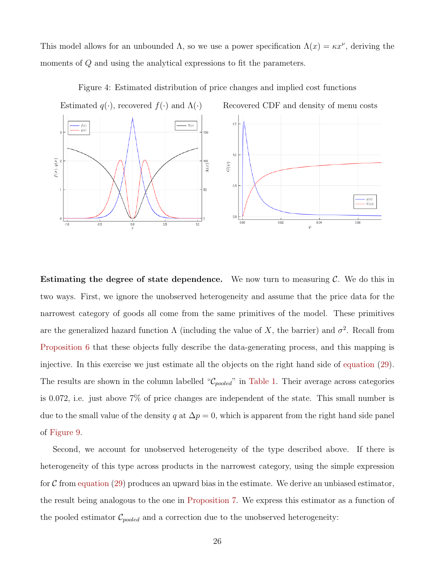This model allows for an unbounded  $\Lambda$ , so we use a power specification  $\Lambda(x) = \kappa x^{\nu}$ , deriving the moments of Q and using the analytical expressions to fit the parameters.



Figure 4: Estimated distribution of price changes and implied cost functions

**Estimating the degree of state dependence.** We now turn to measuring  $\mathcal{C}$ . We do this in two ways. First, we ignore the unobserved heterogeneity and assume that the price data for the narrowest category of goods all come from the same primitives of the model. These primitives are the generalized hazard function  $\Lambda$  (including the value of X, the barrier) and  $\sigma^2$ . Recall from Proposition 6 that these objects fully describe the data-generating process, and this mapping is injective. In this exercise we just estimate all the objects on the right hand side of equation (29). The results are shown in the column labelled " $\mathcal{C}_{pooled}$ " in Table 1. Their average across categories is 0.072, i.e. just above 7% of price changes are independent of the state. This small number is due to the small value of the density q at  $\Delta p = 0$ , which is apparent from the right hand side panel of Figure 9.

Second, we account for unobserved heterogeneity of the type described above. If there is heterogeneity of this type across products in the narrowest category, using the simple expression for  $\mathcal C$  from equation (29) produces an upward bias in the estimate. We derive an unbiased estimator, the result being analogous to the one in Proposition 7. We express this estimator as a function of the pooled estimator  $\mathcal{C}_{pooled}$  and a correction due to the unobserved heterogeneity: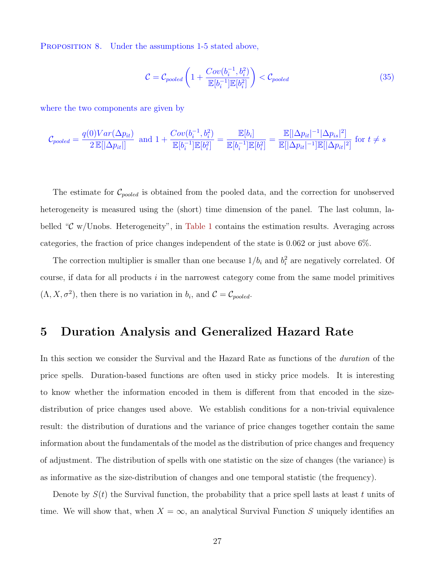PROPOSITION 8. Under the assumptions 1-5 stated above,

$$
\mathcal{C} = \mathcal{C}_{pooled}\left(1 + \frac{Cov(b_i^{-1}, b_i^2)}{\mathbb{E}[b_i^{-1}]\mathbb{E}[b_i^2]}\right) < \mathcal{C}_{pooled} \tag{35}
$$

where the two components are given by

$$
\mathcal{C}_{pooled} = \frac{q(0)Var(\Delta p_{it})}{2 \mathbb{E}[|\Delta p_{it}|]} \text{ and } 1 + \frac{Cov(b_i^{-1}, b_i^2)}{\mathbb{E}[b_i^{-1}]\mathbb{E}[b_i^2]} = \frac{\mathbb{E}[b_i]}{\mathbb{E}[b_i^{-1}]\mathbb{E}[b_i^2]} = \frac{\mathbb{E}[|\Delta p_{it}|^{-1}|\Delta p_{is}|^2]}{\mathbb{E}[|\Delta p_{it}|^{-1}]\mathbb{E}[|\Delta p_{it}|^2]} \text{ for } t \neq s
$$

The estimate for  $\mathcal{C}_{pooled}$  is obtained from the pooled data, and the correction for unobserved heterogeneity is measured using the (short) time dimension of the panel. The last column, labelled " $\mathcal{C}$  w/Unobs. Heterogeneity", in Table 1 contains the estimation results. Averaging across categories, the fraction of price changes independent of the state is 0.062 or just above 6%.

The correction multiplier is smaller than one because  $1/b_i$  and  $b_i^2$  are negatively correlated. Of course, if data for all products  $i$  in the narrowest category come from the same model primitives  $(\Lambda, X, \sigma^2)$ , then there is no variation in  $b_i$ , and  $\mathcal{C} = \mathcal{C}_{pooled}$ .

## 5 Duration Analysis and Generalized Hazard Rate

In this section we consider the Survival and the Hazard Rate as functions of the duration of the price spells. Duration-based functions are often used in sticky price models. It is interesting to know whether the information encoded in them is different from that encoded in the sizedistribution of price changes used above. We establish conditions for a non-trivial equivalence result: the distribution of durations and the variance of price changes together contain the same information about the fundamentals of the model as the distribution of price changes and frequency of adjustment. The distribution of spells with one statistic on the size of changes (the variance) is as informative as the size-distribution of changes and one temporal statistic (the frequency).

Denote by  $S(t)$  the Survival function, the probability that a price spell lasts at least t units of time. We will show that, when  $X = \infty$ , an analytical Survival Function S uniquely identifies an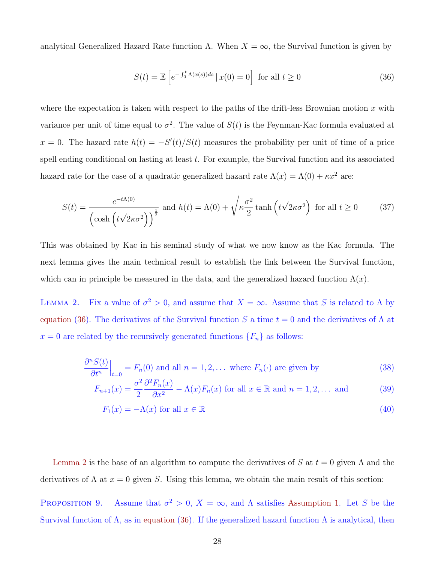analytical Generalized Hazard Rate function Λ. When  $X = \infty$ , the Survival function is given by

$$
S(t) = \mathbb{E}\left[e^{-\int_0^t \Lambda(x(s))ds} \mid x(0) = 0\right] \text{ for all } t \ge 0
$$
\n(36)

where the expectation is taken with respect to the paths of the drift-less Brownian motion x with variance per unit of time equal to  $\sigma^2$ . The value of  $S(t)$  is the Feynman-Kac formula evaluated at  $x = 0$ . The hazard rate  $h(t) = -S'(t)/S(t)$  measures the probability per unit of time of a price spell ending conditional on lasting at least  $t$ . For example, the Survival function and its associated hazard rate for the case of a quadratic generalized hazard rate  $\Lambda(x) = \Lambda(0) + \kappa x^2$  are:

$$
S(t) = \frac{e^{-t\Lambda(0)}}{\left(\cosh\left(t\sqrt{2\kappa\sigma^2}\right)\right)^{\frac{1}{2}}} \text{ and } h(t) = \Lambda(0) + \sqrt{\kappa\frac{\sigma^2}{2}}\tanh\left(t\sqrt{2\kappa\sigma^2}\right) \text{ for all } t \ge 0 \tag{37}
$$

This was obtained by Kac in his seminal study of what we now know as the Kac formula. The next lemma gives the main technical result to establish the link between the Survival function, which can in principle be measured in the data, and the generalized hazard function  $\Lambda(x)$ .

LEMMA 2. Fix a value of  $\sigma^2 > 0$ , and assume that  $X = \infty$ . Assume that S is related to  $\Lambda$  by equation (36). The derivatives of the Survival function S a time  $t = 0$  and the derivatives of  $\Lambda$  at  $x = 0$  are related by the recursively generated functions  $\{F_n\}$  as follows:

$$
\frac{\partial^n S(t)}{\partial t^n}\Big|_{t=0} = F_n(0) \text{ and all } n = 1, 2, \dots \text{ where } F_n(\cdot) \text{ are given by } \tag{38}
$$

$$
F_{n+1}(x) = \frac{\sigma^2}{2} \frac{\partial^2 F_n(x)}{\partial x^2} - \Lambda(x) F_n(x) \text{ for all } x \in \mathbb{R} \text{ and } n = 1, 2, \dots \text{ and } (39)
$$

$$
F_1(x) = -\Lambda(x) \text{ for all } x \in \mathbb{R}
$$
\n
$$
(40)
$$

Lemma 2 is the base of an algorithm to compute the derivatives of S at  $t = 0$  given  $\Lambda$  and the derivatives of  $\Lambda$  at  $x = 0$  given S. Using this lemma, we obtain the main result of this section:

PROPOSITION 9. Assume that  $\sigma^2 > 0$ ,  $X = \infty$ , and  $\Lambda$  satisfies Assumption 1. Let S be the Survival function of  $\Lambda$ , as in equation (36). If the generalized hazard function  $\Lambda$  is analytical, then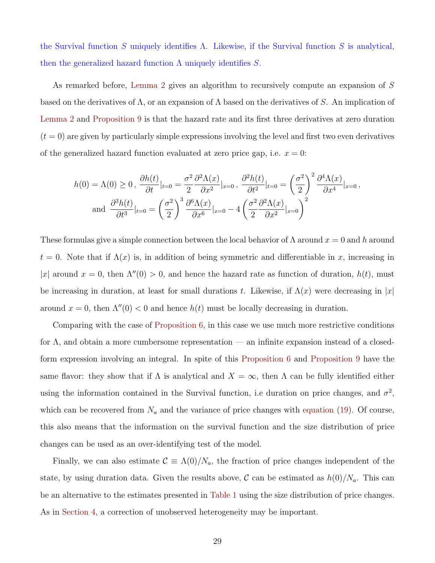the Survival function S uniquely identifies  $\Lambda$ . Likewise, if the Survival function S is analytical, then the generalized hazard function  $\Lambda$  uniquely identifies S.

As remarked before, Lemma 2 gives an algorithm to recursively compute an expansion of S based on the derivatives of  $\Lambda$ , or an expansion of  $\Lambda$  based on the derivatives of S. An implication of Lemma 2 and Proposition 9 is that the hazard rate and its first three derivatives at zero duration  $(t = 0)$  are given by particularly simple expressions involving the level and first two even derivatives of the generalized hazard function evaluated at zero price gap, i.e.  $x = 0$ :

$$
h(0) = \Lambda(0) \ge 0, \frac{\partial h(t)}{\partial t}|_{t=0} = \frac{\sigma^2}{2} \frac{\partial^2 \Lambda(x)}{\partial x^2}|_{x=0}, \frac{\partial^2 h(t)}{\partial t^2}|_{t=0} = \left(\frac{\sigma^2}{2}\right)^2 \frac{\partial^4 \Lambda(x)}{\partial x^4}|_{x=0},
$$
  
and 
$$
\frac{\partial^3 h(t)}{\partial t^3}|_{t=0} = \left(\frac{\sigma^2}{2}\right)^3 \frac{\partial^6 \Lambda(x)}{\partial x^6}|_{x=0} - 4\left(\frac{\sigma^2}{2} \frac{\partial^2 \Lambda(x)}{\partial x^2}|_{x=0}\right)^2
$$

These formulas give a simple connection between the local behavior of  $\Lambda$  around  $x = 0$  and h around  $t = 0$ . Note that if  $\Lambda(x)$  is, in addition of being symmetric and differentiable in x, increasing in |x| around x = 0, then  $\Lambda''(0) > 0$ , and hence the hazard rate as function of duration,  $h(t)$ , must be increasing in duration, at least for small durations t. Likewise, if  $\Lambda(x)$  were decreasing in |x| around  $x = 0$ , then  $\Lambda''(0) < 0$  and hence  $h(t)$  must be locally decreasing in duration.

Comparing with the case of Proposition 6, in this case we use much more restrictive conditions for Λ, and obtain a more cumbersome representation — an infinite expansion instead of a closedform expression involving an integral. In spite of this Proposition 6 and Proposition 9 have the same flavor: they show that if  $\Lambda$  is analytical and  $X = \infty$ , then  $\Lambda$  can be fully identified either using the information contained in the Survival function, i.e duration on price changes, and  $\sigma^2$ , which can be recovered from  $N_a$  and the variance of price changes with equation (19). Of course, this also means that the information on the survival function and the size distribution of price changes can be used as an over-identifying test of the model.

Finally, we can also estimate  $\mathcal{C} \equiv \Lambda(0)/N_a$ , the fraction of price changes independent of the state, by using duration data. Given the results above,  $\mathcal C$  can be estimated as  $h(0)/N_a$ . This can be an alternative to the estimates presented in Table 1 using the size distribution of price changes. As in Section 4, a correction of unobserved heterogeneity may be important.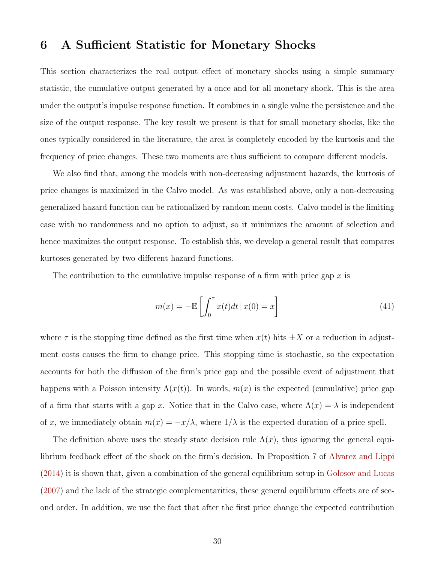## 6 A Sufficient Statistic for Monetary Shocks

This section characterizes the real output effect of monetary shocks using a simple summary statistic, the cumulative output generated by a once and for all monetary shock. This is the area under the output's impulse response function. It combines in a single value the persistence and the size of the output response. The key result we present is that for small monetary shocks, like the ones typically considered in the literature, the area is completely encoded by the kurtosis and the frequency of price changes. These two moments are thus sufficient to compare different models.

We also find that, among the models with non-decreasing adjustment hazards, the kurtosis of price changes is maximized in the Calvo model. As was established above, only a non-decreasing generalized hazard function can be rationalized by random menu costs. Calvo model is the limiting case with no randomness and no option to adjust, so it minimizes the amount of selection and hence maximizes the output response. To establish this, we develop a general result that compares kurtoses generated by two different hazard functions.

The contribution to the cumulative impulse response of a firm with price gap x is

$$
m(x) = -\mathbb{E}\left[\int_0^\tau x(t)dt \,|\, x(0) = x\right] \tag{41}
$$

where  $\tau$  is the stopping time defined as the first time when  $x(t)$  hits  $\pm X$  or a reduction in adjustment costs causes the firm to change price. This stopping time is stochastic, so the expectation accounts for both the diffusion of the firm's price gap and the possible event of adjustment that happens with a Poisson intensity  $\Lambda(x(t))$ . In words,  $m(x)$  is the expected (cumulative) price gap of a firm that starts with a gap x. Notice that in the Calvo case, where  $\Lambda(x) = \lambda$  is independent of x, we immediately obtain  $m(x) = -x/\lambda$ , where  $1/\lambda$  is the expected duration of a price spell.

The definition above uses the steady state decision rule  $\Lambda(x)$ , thus ignoring the general equilibrium feedback effect of the shock on the firm's decision. In Proposition 7 of Alvarez and Lippi (2014) it is shown that, given a combination of the general equilibrium setup in Golosov and Lucas (2007) and the lack of the strategic complementarities, these general equilibrium effects are of second order. In addition, we use the fact that after the first price change the expected contribution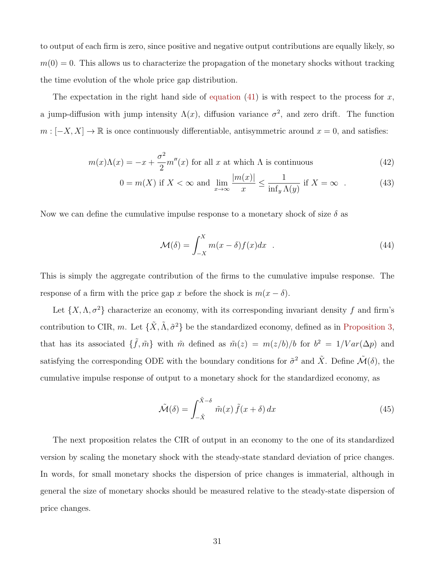to output of each firm is zero, since positive and negative output contributions are equally likely, so  $m(0) = 0$ . This allows us to characterize the propagation of the monetary shocks without tracking the time evolution of the whole price gap distribution.

The expectation in the right hand side of equation  $(41)$  is with respect to the process for x, a jump-diffusion with jump intensity  $\Lambda(x)$ , diffusion variance  $\sigma^2$ , and zero drift. The function  $m : [-X, X] \to \mathbb{R}$  is once continuously differentiable, antisymmetric around  $x = 0$ , and satisfies:

$$
m(x)\Lambda(x) = -x + \frac{\sigma^2}{2}m''(x)
$$
 for all *x* at which  $\Lambda$  is continuous (42)

$$
0 = m(X) \text{ if } X < \infty \text{ and } \lim_{x \to \infty} \frac{|m(x)|}{x} \le \frac{1}{\inf_y \Lambda(y)} \text{ if } X = \infty \tag{43}
$$

Now we can define the cumulative impulse response to a monetary shock of size  $\delta$  as

$$
\mathcal{M}(\delta) = \int_{-X}^{X} m(x - \delta) f(x) dx \quad . \tag{44}
$$

This is simply the aggregate contribution of the firms to the cumulative impulse response. The response of a firm with the price gap x before the shock is  $m(x - \delta)$ .

Let  $\{X, \Lambda, \sigma^2\}$  characterize an economy, with its corresponding invariant density f and firm's contribution to CIR, m. Let  $\{\tilde{X}, \tilde{\Lambda}, \tilde{\sigma}^2\}$  be the standardized economy, defined as in Proposition 3, that has its associated  $\{\tilde{f}, \tilde{m}\}$  with  $\tilde{m}$  defined as  $\tilde{m}(z) = m(z/b)/b$  for  $b^2 = 1/Var(\Delta p)$  and satisfying the corresponding ODE with the boundary conditions for  $\tilde{\sigma}^2$  and  $\tilde{X}$ . Define  $\mathcal{\tilde{M}}(\delta)$ , the cumulative impulse response of output to a monetary shock for the standardized economy, as

$$
\tilde{\mathcal{M}}(\delta) = \int_{-\tilde{X}}^{\tilde{X}-\delta} \tilde{m}(x) \tilde{f}(x+\delta) dx
$$
\n(45)

The next proposition relates the CIR of output in an economy to the one of its standardized version by scaling the monetary shock with the steady-state standard deviation of price changes. In words, for small monetary shocks the dispersion of price changes is immaterial, although in general the size of monetary shocks should be measured relative to the steady-state dispersion of price changes.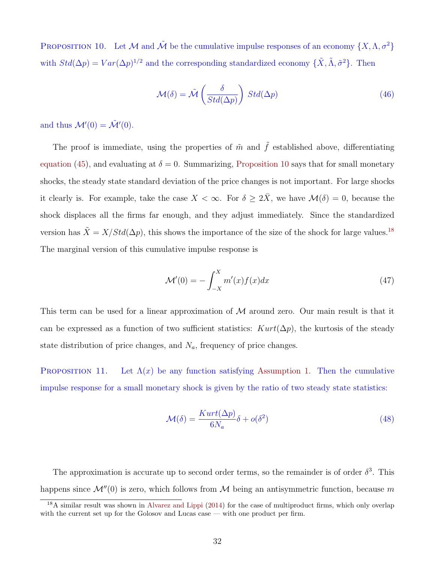PROPOSITION 10. Let M and  $\tilde{\mathcal{M}}$  be the cumulative impulse responses of an economy  $\{X, \Lambda, \sigma^2\}$ with  $Std(\Delta p) = Var(\Delta p)^{1/2}$  and the corresponding standardized economy  $\{\tilde{X}, \tilde{\Lambda}, \tilde{\sigma}^2\}$ . Then

$$
\mathcal{M}(\delta) = \tilde{\mathcal{M}}\left(\frac{\delta}{Std(\Delta p)}\right) Std(\Delta p)
$$
\n(46)

and thus  $\mathcal{M}'(0) = \tilde{\mathcal{M}}'(0)$ .

The proof is immediate, using the properties of  $\tilde{m}$  and  $\tilde{f}$  established above, differentiating equation (45), and evaluating at  $\delta = 0$ . Summarizing, Proposition 10 says that for small monetary shocks, the steady state standard deviation of the price changes is not important. For large shocks it clearly is. For example, take the case  $X < \infty$ . For  $\delta \geq 2\overline{X}$ , we have  $\mathcal{M}(\delta) = 0$ , because the shock displaces all the firms far enough, and they adjust immediately. Since the standardized version has  $\tilde{X} = X/Std(\Delta p)$ , this shows the importance of the size of the shock for large values.<sup>18</sup> The marginal version of this cumulative impulse response is

$$
\mathcal{M}'(0) = -\int_{-X}^{X} m'(x)f(x)dx\tag{47}
$$

This term can be used for a linear approximation of  $\mathcal M$  around zero. Our main result is that it can be expressed as a function of two sufficient statistics:  $Kurt(\Delta p)$ , the kurtosis of the steady state distribution of price changes, and  $N_a$ , frequency of price changes.

PROPOSITION 11. Let  $\Lambda(x)$  be any function satisfying Assumption 1. Then the cumulative impulse response for a small monetary shock is given by the ratio of two steady state statistics:

$$
\mathcal{M}(\delta) = \frac{Kurt(\Delta p)}{6N_a}\delta + o(\delta^2)
$$
\n(48)

The approximation is accurate up to second order terms, so the remainder is of order  $\delta^3$ . This happens since  $\mathcal{M}''(0)$  is zero, which follows from M being an antisymmetric function, because m

<sup>&</sup>lt;sup>18</sup>A similar result was shown in Alvarez and Lippi (2014) for the case of multiproduct firms, which only overlap with the current set up for the Golosov and Lucas case — with one product per firm.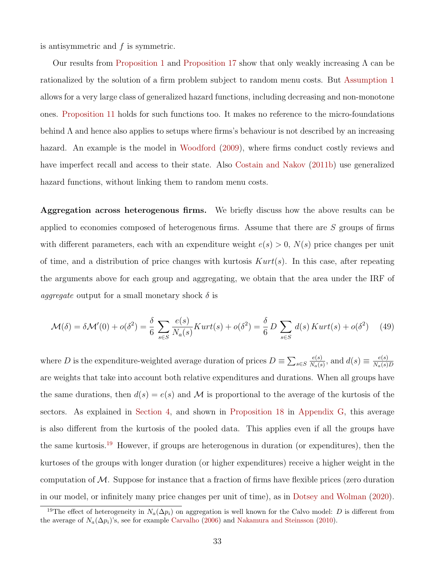is antisymmetric and  $f$  is symmetric.

Our results from Proposition 1 and Proposition 17 show that only weakly increasing Λ can be rationalized by the solution of a firm problem subject to random menu costs. But Assumption 1 allows for a very large class of generalized hazard functions, including decreasing and non-monotone ones. Proposition 11 holds for such functions too. It makes no reference to the micro-foundations behind Λ and hence also applies to setups where firms's behaviour is not described by an increasing hazard. An example is the model in Woodford (2009), where firms conduct costly reviews and have imperfect recall and access to their state. Also Costain and Nakov (2011b) use generalized hazard functions, without linking them to random menu costs.

Aggregation across heterogenous firms. We briefly discuss how the above results can be applied to economies composed of heterogenous firms. Assume that there are S groups of firms with different parameters, each with an expenditure weight  $e(s) > 0$ ,  $N(s)$  price changes per unit of time, and a distribution of price changes with kurtosis  $Kurt(s)$ . In this case, after repeating the arguments above for each group and aggregating, we obtain that the area under the IRF of *aggregate* output for a small monetary shock  $\delta$  is

$$
\mathcal{M}(\delta) = \delta \mathcal{M}'(0) + o(\delta^2) = \frac{\delta}{6} \sum_{s \in S} \frac{e(s)}{N_a(s)} Kurt(s) + o(\delta^2) = \frac{\delta}{6} D \sum_{s \in S} d(s) Kurt(s) + o(\delta^2) \tag{49}
$$

where D is the expenditure-weighted average duration of prices  $D \equiv \sum_{s \in S}$  $e(s)$  $\frac{e(s)}{N_a(s)}$ , and  $d(s) \equiv \frac{e(s)}{N_a(s)}$  $N_a(s)D$ are weights that take into account both relative expenditures and durations. When all groups have the same durations, then  $d(s) = e(s)$  and M is proportional to the average of the kurtosis of the sectors. As explained in Section 4, and shown in Proposition 18 in Appendix G, this average is also different from the kurtosis of the pooled data. This applies even if all the groups have the same kurtosis.<sup>19</sup> However, if groups are heterogenous in duration (or expenditures), then the kurtoses of the groups with longer duration (or higher expenditures) receive a higher weight in the computation of  $M$ . Suppose for instance that a fraction of firms have flexible prices (zero duration in our model, or infinitely many price changes per unit of time), as in Dotsey and Wolman (2020).

<sup>&</sup>lt;sup>19</sup>The effect of heterogeneity in  $N_a(\Delta p_i)$  on aggregation is well known for the Calvo model: D is different from the average of  $N_a(\Delta p_i)$ 's, see for example Carvalho (2006) and Nakamura and Steinsson (2010).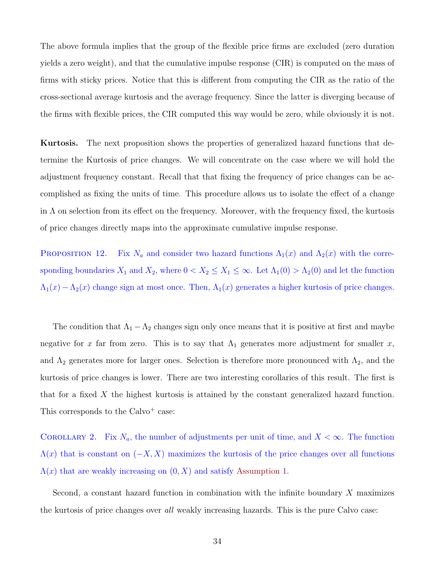The above formula implies that the group of the flexible price firms are excluded (zero duration yields a zero weight), and that the cumulative impulse response (CIR) is computed on the mass of firms with sticky prices. Notice that this is different from computing the CIR as the ratio of the cross-sectional average kurtosis and the average frequency. Since the latter is diverging because of the firms with flexible prices, the CIR computed this way would be zero, while obviously it is not.

Kurtosis. The next proposition shows the properties of generalized hazard functions that determine the Kurtosis of price changes. We will concentrate on the case where we will hold the adjustment frequency constant. Recall that that fixing the frequency of price changes can be accomplished as fixing the units of time. This procedure allows us to isolate the effect of a change in  $\Lambda$  on selection from its effect on the frequency. Moreover, with the frequency fixed, the kurtosis of price changes directly maps into the approximate cumulative impulse response.

PROPOSITION 12. Fix  $N_a$  and consider two hazard functions  $\Lambda_1(x)$  and  $\Lambda_2(x)$  with the corresponding boundaries  $X_1$  and  $X_2$ , where  $0 < X_2 \le X_1 \le \infty$ . Let  $\Lambda_1(0) > \Lambda_2(0)$  and let the function  $\Lambda_1(x) - \Lambda_2(x)$  change sign at most once. Then,  $\Lambda_1(x)$  generates a higher kurtosis of price changes.

The condition that  $\Lambda_1 - \Lambda_2$  changes sign only once means that it is positive at first and maybe negative for x far from zero. This is to say that  $\Lambda_1$  generates more adjustment for smaller x, and  $\Lambda_2$  generates more for larger ones. Selection is therefore more pronounced with  $\Lambda_2$ , and the kurtosis of price changes is lower. There are two interesting corollaries of this result. The first is that for a fixed X the highest kurtosis is attained by the constant generalized hazard function. This corresponds to the  $Calvo<sup>+</sup> case:$ 

COROLLARY 2. Fix  $N_a$ , the number of adjustments per unit of time, and  $X < \infty$ . The function  $\Lambda(x)$  that is constant on  $(-X, X)$  maximizes the kurtosis of the price changes over all functions  $\Lambda(x)$  that are weakly increasing on  $(0, X)$  and satisfy Assumption 1.

Second, a constant hazard function in combination with the infinite boundary X maximizes the kurtosis of price changes over all weakly increasing hazards. This is the pure Calvo case: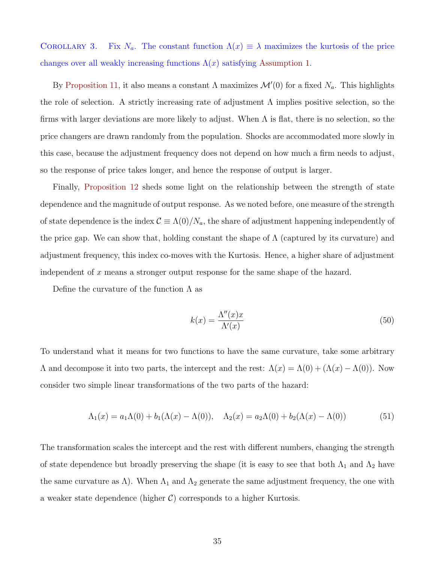COROLLARY 3. Fix  $N_a$ . The constant function  $\Lambda(x) \equiv \lambda$  maximizes the kurtosis of the price changes over all weakly increasing functions  $\Lambda(x)$  satisfying Assumption 1.

By Proposition 11, it also means a constant  $\Lambda$  maximizes  $\mathcal{M}'(0)$  for a fixed  $N_a$ . This highlights the role of selection. A strictly increasing rate of adjustment  $\Lambda$  implies positive selection, so the firms with larger deviations are more likely to adjust. When  $\Lambda$  is flat, there is no selection, so the price changers are drawn randomly from the population. Shocks are accommodated more slowly in this case, because the adjustment frequency does not depend on how much a firm needs to adjust, so the response of price takes longer, and hence the response of output is larger.

Finally, Proposition 12 sheds some light on the relationship between the strength of state dependence and the magnitude of output response. As we noted before, one measure of the strength of state dependence is the index  $\mathcal{C} \equiv \Lambda(0)/N_a$ , the share of adjustment happening independently of the price gap. We can show that, holding constant the shape of  $\Lambda$  (captured by its curvature) and adjustment frequency, this index co-moves with the Kurtosis. Hence, a higher share of adjustment independent of x means a stronger output response for the same shape of the hazard.

Define the curvature of the function  $\Lambda$  as

$$
k(x) = \frac{\Lambda''(x)x}{\Lambda'(x)}\tag{50}
$$

To understand what it means for two functions to have the same curvature, take some arbitrary Λ and decompose it into two parts, the intercept and the rest:  $Λ(x) = Λ(0) + (Λ(x) – Λ(0))$ . Now consider two simple linear transformations of the two parts of the hazard:

$$
\Lambda_1(x) = a_1 \Lambda(0) + b_1 (\Lambda(x) - \Lambda(0)), \quad \Lambda_2(x) = a_2 \Lambda(0) + b_2 (\Lambda(x) - \Lambda(0))
$$
\n(51)

The transformation scales the intercept and the rest with different numbers, changing the strength of state dependence but broadly preserving the shape (it is easy to see that both  $\Lambda_1$  and  $\Lambda_2$  have the same curvature as  $\Lambda$ ). When  $\Lambda_1$  and  $\Lambda_2$  generate the same adjustment frequency, the one with a weaker state dependence (higher  $C$ ) corresponds to a higher Kurtosis.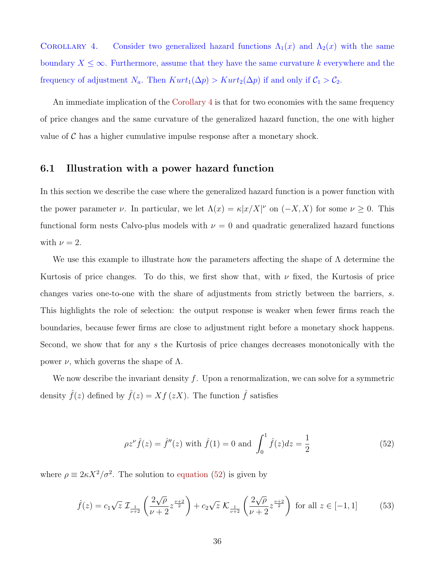COROLLARY 4. Consider two generalized hazard functions  $\Lambda_1(x)$  and  $\Lambda_2(x)$  with the same boundary  $X \leq \infty$ . Furthermore, assume that they have the same curvature k everywhere and the frequency of adjustment  $N_a$ . Then  $Kurt_1(\Delta p) > Kurt_2(\Delta p)$  if and only if  $C_1 > C_2$ .

An immediate implication of the Corollary 4 is that for two economies with the same frequency of price changes and the same curvature of the generalized hazard function, the one with higher value of  $\mathcal C$  has a higher cumulative impulse response after a monetary shock.

### 6.1 Illustration with a power hazard function

In this section we describe the case where the generalized hazard function is a power function with the power parameter  $\nu$ . In particular, we let  $\Lambda(x) = \kappa |x/X|^{\nu}$  on  $(-X, X)$  for some  $\nu \geq 0$ . This functional form nests Calvo-plus models with  $\nu = 0$  and quadratic generalized hazard functions with  $\nu = 2$ .

We use this example to illustrate how the parameters affecting the shape of  $\Lambda$  determine the Kurtosis of price changes. To do this, we first show that, with  $\nu$  fixed, the Kurtosis of price changes varies one-to-one with the share of adjustments from strictly between the barriers, s. This highlights the role of selection: the output response is weaker when fewer firms reach the boundaries, because fewer firms are close to adjustment right before a monetary shock happens. Second, we show that for any s the Kurtosis of price changes decreases monotonically with the power  $ν$ , which governs the shape of  $Λ$ .

We now describe the invariant density  $f$ . Upon a renormalization, we can solve for a symmetric density  $\hat{f}(z)$  defined by  $\hat{f}(z) = Xf(zX)$ . The function  $\hat{f}$  satisfies

$$
\rho z^{\nu} \hat{f}(z) = \hat{f}''(z) \text{ with } \hat{f}(1) = 0 \text{ and } \int_0^1 \hat{f}(z) dz = \frac{1}{2}
$$
 (52)

where  $\rho \equiv 2\kappa X^2/\sigma^2$ . The solution to equation (52) is given by

$$
\hat{f}(z) = c_1 \sqrt{z} \mathcal{I}_{\frac{1}{\nu+2}} \left( \frac{2\sqrt{\rho}}{\nu+2} z^{\frac{\nu+2}{2}} \right) + c_2 \sqrt{z} \mathcal{K}_{\frac{1}{\nu+2}} \left( \frac{2\sqrt{\rho}}{\nu+2} z^{\frac{\nu+2}{2}} \right) \text{ for all } z \in [-1, 1]
$$
(53)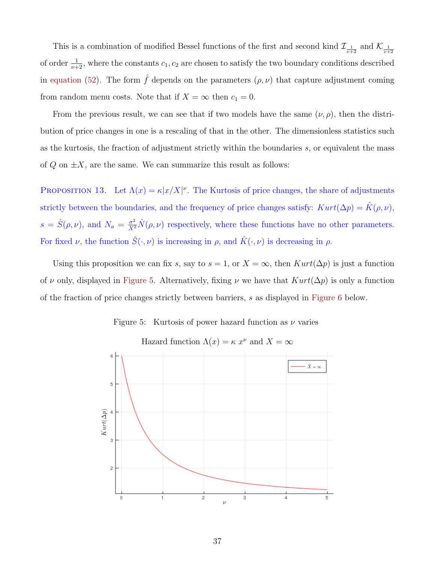This is a combination of modified Bessel functions of the first and second kind  $\mathcal{I}_{\frac{1}{\nu+2}}$  and  $\mathcal{K}_{\frac{1}{\nu+2}}$ of order  $\frac{1}{\nu+2}$ , where the constants  $c_1, c_2$  are chosen to satisfy the two boundary conditions described in equation (52). The form  $\hat{f}$  depends on the parameters  $(\rho, \nu)$  that capture adjustment coming from random menu costs. Note that if  $X = \infty$  then  $c_1 = 0$ .

From the previous result, we can see that if two models have the same  $(\nu, \rho)$ , then the distribution of price changes in one is a rescaling of that in the other. The dimensionless statistics such as the kurtosis, the fraction of adjustment strictly within the boundaries s, or equivalent the mass of  $Q$  on  $\pm X$ , are the same. We can summarize this result as follows:

PROPOSITION 13. Let  $\Lambda(x) = \kappa |x/X|^{\nu}$ . The Kurtosis of price changes, the share of adjustments strictly between the boundaries, and the frequency of price changes satisfy:  $Kurt(\Delta p) = \hat{K}(\rho, \nu)$ ,  $s = \hat{S}(\rho, \nu)$ , and  $N_a = \frac{\sigma^2}{X^2} \hat{N}(\rho, \nu)$  respectively, where these functions have no other parameters. For fixed  $\nu$ , the function  $\hat{S}(\cdot,\nu)$  is increasing in  $\rho$ , and  $\hat{K}(\cdot,\nu)$  is decreasing in  $\rho$ .

Using this proposition we can fix s, say to  $s = 1$ , or  $X = \infty$ , then  $Kurt(\Delta p)$  is just a function of v only, displayed in Figure 5. Alternatively, fixing v we have that  $Kurt(\Delta p)$  is only a function of the fraction of price changes strictly between barriers, s as displayed in Figure 6 below.

Figure 5: Kurtosis of power hazard function as  $\nu$  varies



Hazard function  $\Lambda(x) = \kappa x^{\nu}$  and  $X = \infty$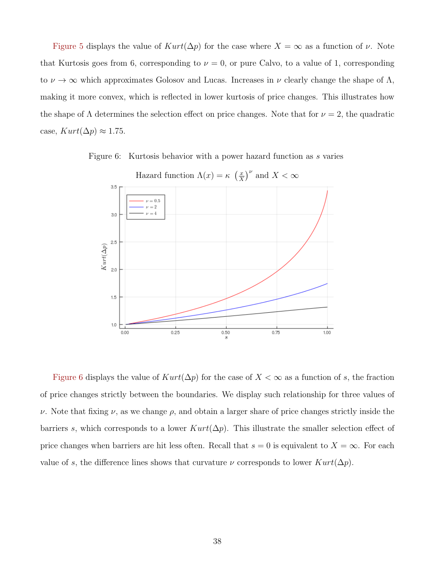Figure 5 displays the value of  $Kurt(\Delta p)$  for the case where  $X = \infty$  as a function of  $\nu$ . Note that Kurtosis goes from 6, corresponding to  $\nu = 0$ , or pure Calvo, to a value of 1, corresponding to  $\nu \to \infty$  which approximates Golosov and Lucas. Increases in  $\nu$  clearly change the shape of  $\Lambda$ , making it more convex, which is reflected in lower kurtosis of price changes. This illustrates how the shape of  $\Lambda$  determines the selection effect on price changes. Note that for  $\nu = 2$ , the quadratic case,  $Kurt(\Delta p) \approx 1.75$ .

Figure 6: Kurtosis behavior with a power hazard function as s varies



Hazard function  $\Lambda(x) = \kappa \left(\frac{x}{x}\right)$  $\left(\frac{x}{X}\right)^{\nu}$  and  $X < \infty$ 

Figure 6 displays the value of  $Kurt(\Delta p)$  for the case of  $X < \infty$  as a function of s, the fraction of price changes strictly between the boundaries. We display such relationship for three values of ν. Note that fixing ν, as we change ρ, and obtain a larger share of price changes strictly inside the barriers s, which corresponds to a lower  $Kurt(\Delta p)$ . This illustrate the smaller selection effect of price changes when barriers are hit less often. Recall that  $s = 0$  is equivalent to  $X = \infty$ . For each value of s, the difference lines shows that curvature  $\nu$  corresponds to lower  $Kurt(\Delta p)$ .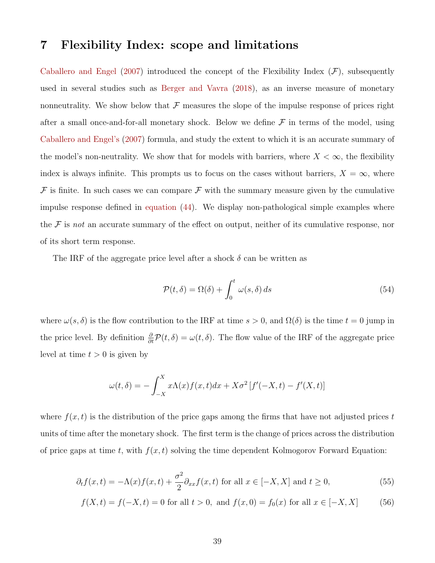# 7 Flexibility Index: scope and limitations

Caballero and Engel (2007) introduced the concept of the Flexibility Index  $(F)$ , subsequently used in several studies such as Berger and Vavra (2018), as an inverse measure of monetary nonneutrality. We show below that  $\mathcal F$  measures the slope of the impulse response of prices right after a small once-and-for-all monetary shock. Below we define  $\mathcal F$  in terms of the model, using Caballero and Engel's (2007) formula, and study the extent to which it is an accurate summary of the model's non-neutrality. We show that for models with barriers, where  $X < \infty$ , the flexibility index is always infinite. This prompts us to focus on the cases without barriers,  $X = \infty$ , where  $\mathcal F$  is finite. In such cases we can compare  $\mathcal F$  with the summary measure given by the cumulative impulse response defined in equation (44). We display non-pathological simple examples where the  $\mathcal F$  is not an accurate summary of the effect on output, neither of its cumulative response, nor of its short term response.

The IRF of the aggregate price level after a shock  $\delta$  can be written as

$$
\mathcal{P}(t,\delta) = \Omega(\delta) + \int_0^t \omega(s,\delta) \, ds \tag{54}
$$

where  $\omega(s, \delta)$  is the flow contribution to the IRF at time  $s > 0$ , and  $\Omega(\delta)$  is the time  $t = 0$  jump in the price level. By definition  $\frac{\partial}{\partial t}P(t,\delta) = \omega(t,\delta)$ . The flow value of the IRF of the aggregate price level at time  $t > 0$  is given by

$$
\omega(t,\delta) = -\int_{-X}^{X} x\Lambda(x)f(x,t)dx + X\sigma^2[f'(-X,t) - f'(X,t)]
$$

where  $f(x, t)$  is the distribution of the price gaps among the firms that have not adjusted prices t units of time after the monetary shock. The first term is the change of prices across the distribution of price gaps at time t, with  $f(x, t)$  solving the time dependent Kolmogorov Forward Equation:

$$
\partial_t f(x,t) = -\Lambda(x)f(x,t) + \frac{\sigma^2}{2}\partial_{xx}f(x,t) \text{ for all } x \in [-X,X] \text{ and } t \ge 0,
$$
\n(55)

$$
f(X,t) = f(-X,t) = 0 \text{ for all } t > 0, \text{ and } f(x,0) = f_0(x) \text{ for all } x \in [-X,X]
$$
 (56)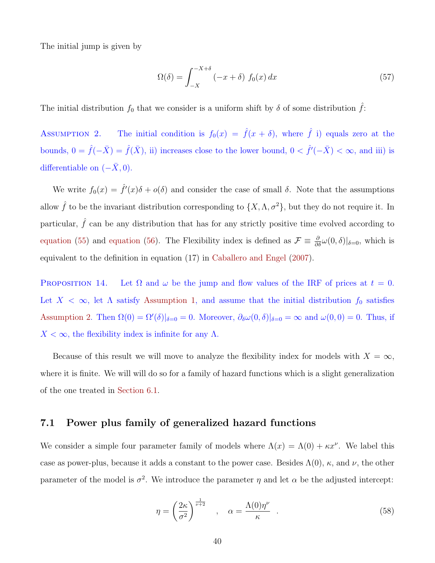The initial jump is given by

$$
\Omega(\delta) = \int_{-X}^{-X+\delta} (-x+\delta) f_0(x) dx \tag{57}
$$

The initial distribution  $f_0$  that we consider is a uniform shift by  $\delta$  of some distribution  $\hat{f}$ :

ASSUMPTION 2. The initial condition is  $f_0(x) = \hat{f}(x + \delta)$ , where  $\hat{f}$  i) equals zero at the bounds,  $0 = \hat{f}(-\bar{X}) = \hat{f}(\bar{X})$ , ii) increases close to the lower bound,  $0 < \hat{f}'(-\bar{X}) < \infty$ , and iii) is differentiable on  $(-\bar{X}, 0)$ .

We write  $f_0(x) = \hat{f}'(x)\delta + o(\delta)$  and consider the case of small  $\delta$ . Note that the assumptions allow  $\hat{f}$  to be the invariant distribution corresponding to  $\{X, \Lambda, \sigma^2\}$ , but they do not require it. In particular,  $\hat{f}$  can be any distribution that has for any strictly positive time evolved according to equation (55) and equation (56). The Flexibility index is defined as  $\mathcal{F} \equiv \frac{\partial}{\partial \delta} \omega(0,\delta)|_{\delta=0}$ , which is equivalent to the definition in equation (17) in Caballero and Engel (2007).

PROPOSITION 14. Let  $\Omega$  and  $\omega$  be the jump and flow values of the IRF of prices at  $t = 0$ . Let  $X < \infty$ , let  $\Lambda$  satisfy Assumption 1, and assume that the initial distribution  $f_0$  satisfies Assumption 2. Then  $\Omega(0) = \Omega'(\delta)|_{\delta=0} = 0$ . Moreover,  $\partial_{\delta} \omega(0, \delta)|_{\delta=0} = \infty$  and  $\omega(0, 0) = 0$ . Thus, if  $X < \infty$ , the flexibility index is infinite for any  $\Lambda$ .

Because of this result we will move to analyze the flexibility index for models with  $X = \infty$ , where it is finite. We will will do so for a family of hazard functions which is a slight generalization of the one treated in Section 6.1.

### 7.1 Power plus family of generalized hazard functions

We consider a simple four parameter family of models where  $\Lambda(x) = \Lambda(0) + \kappa x^{\nu}$ . We label this case as power-plus, because it adds a constant to the power case. Besides  $\Lambda(0)$ ,  $\kappa$ , and  $\nu$ , the other parameter of the model is  $\sigma^2$ . We introduce the parameter  $\eta$  and let  $\alpha$  be the adjusted intercept:

$$
\eta = \left(\frac{2\kappa}{\sigma^2}\right)^{\frac{1}{\nu+2}}, \quad \alpha = \frac{\Lambda(0)\eta^{\nu}}{\kappa} \quad . \tag{58}
$$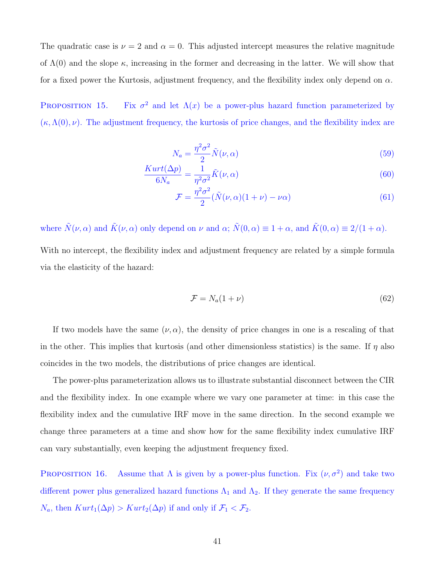The quadratic case is  $\nu = 2$  and  $\alpha = 0$ . This adjusted intercept measures the relative magnitude of  $\Lambda(0)$  and the slope  $\kappa$ , increasing in the former and decreasing in the latter. We will show that for a fixed power the Kurtosis, adjustment frequency, and the flexibility index only depend on  $\alpha$ .

PROPOSITION 15. Fix  $\sigma^2$  and let  $\Lambda(x)$  be a power-plus hazard function parameterized by  $(\kappa, \Lambda(0), \nu)$ . The adjustment frequency, the kurtosis of price changes, and the flexibility index are

$$
N_a = \frac{\eta^2 \sigma^2}{2} \tilde{N}(\nu, \alpha) \tag{59}
$$

$$
\frac{Kurt(\Delta p)}{6N_a} = \frac{1}{\eta^2 \sigma^2} \tilde{K}(\nu, \alpha)
$$
\n(60)

$$
\mathcal{F} = \frac{\eta^2 \sigma^2}{2} (\tilde{N}(\nu, \alpha)(1 + \nu) - \nu \alpha)
$$
\n(61)

where  $\tilde{N}(\nu, \alpha)$  and  $\tilde{K}(\nu, \alpha)$  only depend on  $\nu$  and  $\alpha$ ;  $\tilde{N}(0, \alpha) \equiv 1 + \alpha$ , and  $\tilde{K}(0, \alpha) \equiv 2/(1 + \alpha)$ . With no intercept, the flexibility index and adjustment frequency are related by a simple formula via the elasticity of the hazard:

$$
\mathcal{F} = N_a(1+\nu) \tag{62}
$$

If two models have the same  $(\nu, \alpha)$ , the density of price changes in one is a rescaling of that in the other. This implies that kurtosis (and other dimensionless statistics) is the same. If  $\eta$  also coincides in the two models, the distributions of price changes are identical.

The power-plus parameterization allows us to illustrate substantial disconnect between the CIR and the flexibility index. In one example where we vary one parameter at time: in this case the flexibility index and the cumulative IRF move in the same direction. In the second example we change three parameters at a time and show how for the same flexibility index cumulative IRF can vary substantially, even keeping the adjustment frequency fixed.

PROPOSITION 16. Assume that  $\Lambda$  is given by a power-plus function. Fix  $(\nu, \sigma^2)$  and take two different power plus generalized hazard functions  $\Lambda_1$  and  $\Lambda_2$ . If they generate the same frequency  $N_a$ , then  $Kurt_1(\Delta p) > Kurt_2(\Delta p)$  if and only if  $\mathcal{F}_1 < \mathcal{F}_2$ .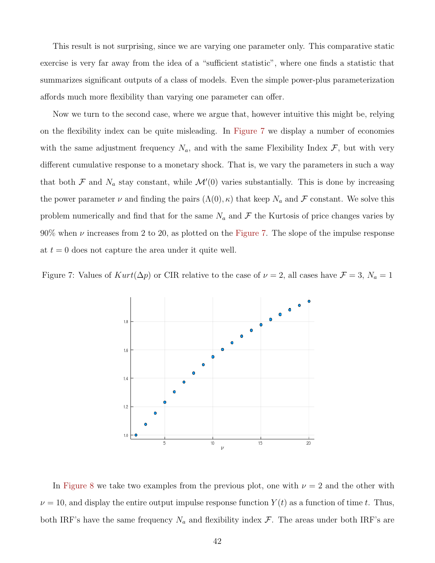This result is not surprising, since we are varying one parameter only. This comparative static exercise is very far away from the idea of a "sufficient statistic", where one finds a statistic that summarizes significant outputs of a class of models. Even the simple power-plus parameterization affords much more flexibility than varying one parameter can offer.

Now we turn to the second case, where we argue that, however intuitive this might be, relying on the flexibility index can be quite misleading. In Figure 7 we display a number of economies with the same adjustment frequency  $N_a$ , and with the same Flexibility Index  $\mathcal{F}$ , but with very different cumulative response to a monetary shock. That is, we vary the parameters in such a way that both  $\mathcal F$  and  $N_a$  stay constant, while  $\mathcal M'(0)$  varies substantially. This is done by increasing the power parameter  $\nu$  and finding the pairs  $(\Lambda(0), \kappa)$  that keep  $N_a$  and  $\mathcal F$  constant. We solve this problem numerically and find that for the same  $N_a$  and  $\mathcal F$  the Kurtosis of price changes varies by  $90\%$  when  $\nu$  increases from 2 to 20, as plotted on the Figure 7. The slope of the impulse response at  $t = 0$  does not capture the area under it quite well.

Figure 7: Values of  $Kurt(\Delta p)$  or CIR relative to the case of  $\nu = 2$ , all cases have  $\mathcal{F} = 3$ ,  $N_a = 1$ 



In Figure 8 we take two examples from the previous plot, one with  $\nu = 2$  and the other with  $\nu = 10$ , and display the entire output impulse response function  $Y(t)$  as a function of time t. Thus, both IRF's have the same frequency  $N_a$  and flexibility index  $\mathcal F$ . The areas under both IRF's are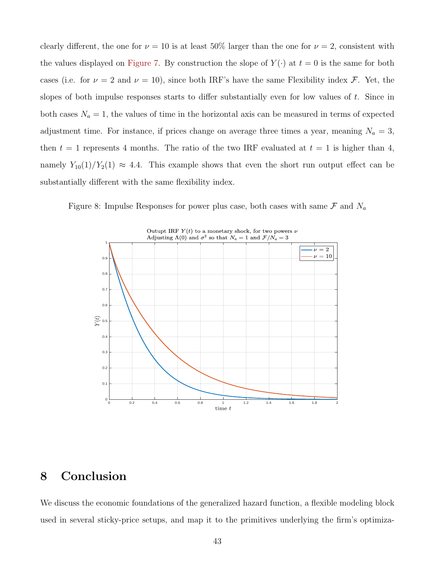clearly different, the one for  $\nu = 10$  is at least 50% larger than the one for  $\nu = 2$ , consistent with the values displayed on Figure 7. By construction the slope of  $Y(\cdot)$  at  $t = 0$  is the same for both cases (i.e. for  $\nu = 2$  and  $\nu = 10$ ), since both IRF's have the same Flexibility index F. Yet, the slopes of both impulse responses starts to differ substantially even for low values of  $t$ . Since in both cases  $N_a = 1$ , the values of time in the horizontal axis can be measured in terms of expected adjustment time. For instance, if prices change on average three times a year, meaning  $N_a = 3$ , then  $t = 1$  represents 4 months. The ratio of the two IRF evaluated at  $t = 1$  is higher than 4, namely  $Y_{10}(1)/Y_2(1) \approx 4.4$ . This example shows that even the short run output effect can be substantially different with the same flexibility index.

Figure 8: Impulse Responses for power plus case, both cases with same  $\mathcal F$  and  $N_a$ 



### 8 Conclusion

We discuss the economic foundations of the generalized hazard function, a flexible modeling block used in several sticky-price setups, and map it to the primitives underlying the firm's optimiza-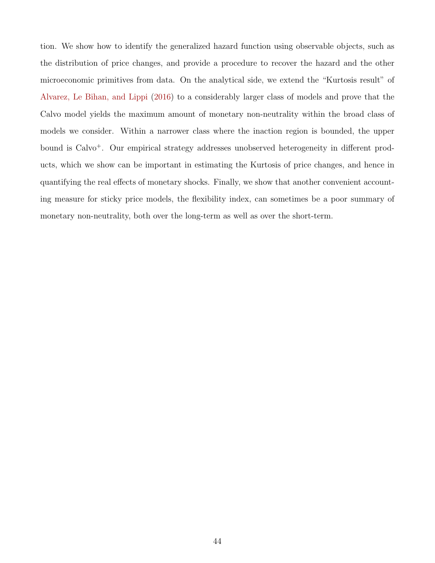tion. We show how to identify the generalized hazard function using observable objects, such as the distribution of price changes, and provide a procedure to recover the hazard and the other microeconomic primitives from data. On the analytical side, we extend the "Kurtosis result" of Alvarez, Le Bihan, and Lippi (2016) to a considerably larger class of models and prove that the Calvo model yields the maximum amount of monetary non-neutrality within the broad class of models we consider. Within a narrower class where the inaction region is bounded, the upper bound is Calvo<sup>+</sup>. Our empirical strategy addresses unobserved heterogeneity in different products, which we show can be important in estimating the Kurtosis of price changes, and hence in quantifying the real effects of monetary shocks. Finally, we show that another convenient accounting measure for sticky price models, the flexibility index, can sometimes be a poor summary of monetary non-neutrality, both over the long-term as well as over the short-term.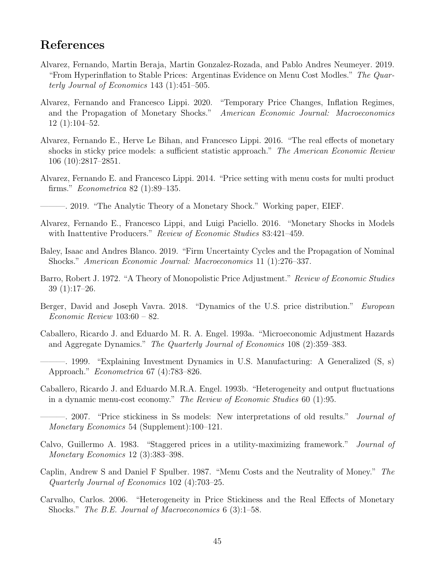# References

- Alvarez, Fernando, Martin Beraja, Martin Gonzalez-Rozada, and Pablo Andres Neumeyer. 2019. "From Hyperinflation to Stable Prices: Argentinas Evidence on Menu Cost Modles." The Quarterly Journal of Economics 143 (1):451–505.
- Alvarez, Fernando and Francesco Lippi. 2020. "Temporary Price Changes, Inflation Regimes, and the Propagation of Monetary Shocks." American Economic Journal: Macroeconomics 12 (1):104–52.
- Alvarez, Fernando E., Herve Le Bihan, and Francesco Lippi. 2016. "The real effects of monetary shocks in sticky price models: a sufficient statistic approach." The American Economic Review 106 (10):2817–2851.
- Alvarez, Fernando E. and Francesco Lippi. 2014. "Price setting with menu costs for multi product firms." Econometrica 82 (1):89–135.
- ———. 2019. "The Analytic Theory of a Monetary Shock." Working paper, EIEF.
- Alvarez, Fernando E., Francesco Lippi, and Luigi Paciello. 2016. "Monetary Shocks in Models with Inattentive Producers." Review of Economic Studies 83:421-459.
- Baley, Isaac and Andres Blanco. 2019. "Firm Uncertainty Cycles and the Propagation of Nominal Shocks." American Economic Journal: Macroeconomics 11 (1):276–337.
- Barro, Robert J. 1972. "A Theory of Monopolistic Price Adjustment." Review of Economic Studies 39 (1):17–26.
- Berger, David and Joseph Vavra. 2018. "Dynamics of the U.S. price distribution." *European* Economic Review 103:60 – 82.
- Caballero, Ricardo J. and Eduardo M. R. A. Engel. 1993a. "Microeconomic Adjustment Hazards and Aggregate Dynamics." The Quarterly Journal of Economics 108 (2):359–383.
- ———. 1999. "Explaining Investment Dynamics in U.S. Manufacturing: A Generalized (S, s) Approach." Econometrica 67 (4):783–826.
- Caballero, Ricardo J. and Eduardo M.R.A. Engel. 1993b. "Heterogeneity and output fluctuations in a dynamic menu-cost economy." The Review of Economic Studies 60 (1):95.
- ———. 2007. "Price stickiness in Ss models: New interpretations of old results." Journal of Monetary Economics 54 (Supplement):100–121.
- Calvo, Guillermo A. 1983. "Staggered prices in a utility-maximizing framework." Journal of Monetary Economics 12 (3):383–398.
- Caplin, Andrew S and Daniel F Spulber. 1987. "Menu Costs and the Neutrality of Money." The Quarterly Journal of Economics 102 (4):703–25.
- Carvalho, Carlos. 2006. "Heterogeneity in Price Stickiness and the Real Effects of Monetary Shocks." The B.E. Journal of Macroeconomics 6 (3):1–58.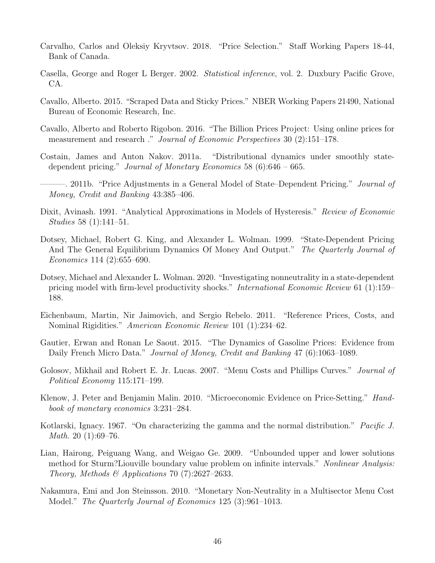- Carvalho, Carlos and Oleksiy Kryvtsov. 2018. "Price Selection." Staff Working Papers 18-44, Bank of Canada.
- Casella, George and Roger L Berger. 2002. Statistical inference, vol. 2. Duxbury Pacific Grove, CA.
- Cavallo, Alberto. 2015. "Scraped Data and Sticky Prices." NBER Working Papers 21490, National Bureau of Economic Research, Inc.
- Cavallo, Alberto and Roberto Rigobon. 2016. "The Billion Prices Project: Using online prices for measurement and research ." Journal of Economic Perspectives 30 (2):151–178.
- Costain, James and Anton Nakov. 2011a. "Distributional dynamics under smoothly statedependent pricing." Journal of Monetary Economics 58 (6):646 – 665.
	- 2011b. "Price Adjustments in a General Model of State–Dependent Pricing." *Journal of* Money, Credit and Banking 43:385–406.
- Dixit, Avinash. 1991. "Analytical Approximations in Models of Hysteresis." Review of Economic Studies 58 (1):141–51.
- Dotsey, Michael, Robert G. King, and Alexander L. Wolman. 1999. "State-Dependent Pricing And The General Equilibrium Dynamics Of Money And Output." The Quarterly Journal of Economics 114 (2):655–690.
- Dotsey, Michael and Alexander L. Wolman. 2020. "Investigating nonneutrality in a state-dependent pricing model with firm-level productivity shocks." International Economic Review 61 (1):159– 188.
- Eichenbaum, Martin, Nir Jaimovich, and Sergio Rebelo. 2011. "Reference Prices, Costs, and Nominal Rigidities." American Economic Review 101 (1):234–62.
- Gautier, Erwan and Ronan Le Saout. 2015. "The Dynamics of Gasoline Prices: Evidence from Daily French Micro Data." Journal of Money, Credit and Banking 47 (6):1063–1089.
- Golosov, Mikhail and Robert E. Jr. Lucas. 2007. "Menu Costs and Phillips Curves." *Journal of* Political Economy 115:171–199.
- Klenow, J. Peter and Benjamin Malin. 2010. "Microeconomic Evidence on Price-Setting." Handbook of monetary economics 3:231–284.
- Kotlarski, Ignacy. 1967. "On characterizing the gamma and the normal distribution." *Pacific J. Math.* 20  $(1):69-76$ .
- Lian, Hairong, Peiguang Wang, and Weigao Ge. 2009. "Unbounded upper and lower solutions method for Sturm?Liouville boundary value problem on infinite intervals." Nonlinear Analysis: Theory, Methods & Applications 70 (7):2627-2633.
- Nakamura, Emi and Jon Steinsson. 2010. "Monetary Non-Neutrality in a Multisector Menu Cost Model." The Quarterly Journal of Economics 125 (3):961–1013.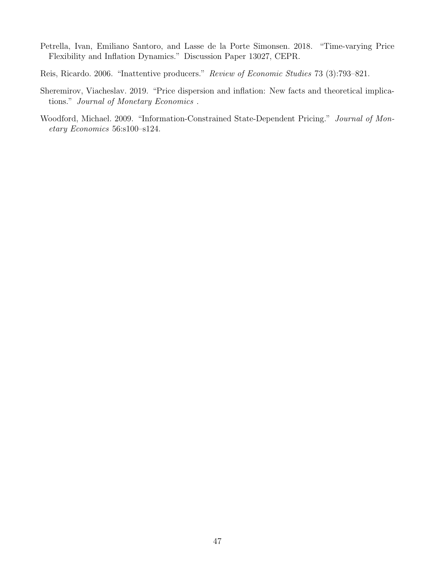- Petrella, Ivan, Emiliano Santoro, and Lasse de la Porte Simonsen. 2018. "Time-varying Price Flexibility and Inflation Dynamics." Discussion Paper 13027, CEPR.
- Reis, Ricardo. 2006. "Inattentive producers." Review of Economic Studies 73 (3):793–821.
- Sheremirov, Viacheslav. 2019. "Price dispersion and inflation: New facts and theoretical implications." Journal of Monetary Economics .
- Woodford, Michael. 2009. "Information-Constrained State-Dependent Pricing." Journal of Monetary Economics 56:s100–s124.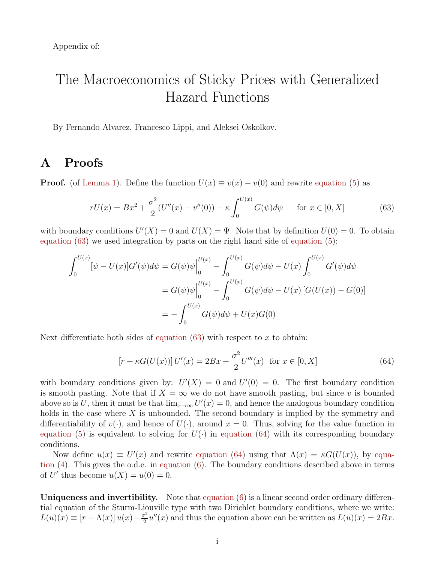Appendix of:

# The Macroeconomics of Sticky Prices with Generalized Hazard Functions

By Fernando Alvarez, Francesco Lippi, and Aleksei Oskolkov.

# A Proofs

**Proof.** (of Lemma 1). Define the function  $U(x) \equiv v(x) - v(0)$  and rewrite equation (5) as

$$
rU(x) = Bx^{2} + \frac{\sigma^{2}}{2}(U''(x) - v''(0)) - \kappa \int_{0}^{U(x)} G(\psi) d\psi \quad \text{for } x \in [0, X]
$$
 (63)

with boundary conditions  $U'(X) = 0$  and  $U(X) = \Psi$ . Note that by definition  $U(0) = 0$ . To obtain equation (63) we used integration by parts on the right hand side of equation (5):

$$
\int_0^{U(x)} [\psi - U(x)] G'(\psi) d\psi = G(\psi)\psi \Big|_0^{U(x)} - \int_0^{U(x)} G(\psi) d\psi - U(x) \int_0^{U(x)} G'(\psi) d\psi
$$
  
=  $G(\psi)\psi \Big|_0^{U(x)} - \int_0^{U(x)} G(\psi) d\psi - U(x) [G(U(x)) - G(0)]$   
=  $-\int_0^{U(x)} G(\psi) d\psi + U(x) G(0)$ 

Next differentiate both sides of equation  $(63)$  with respect to x to obtain:

$$
[r + \kappa G(U(x))] U'(x) = 2Bx + \frac{\sigma^2}{2} U'''(x) \text{ for } x \in [0, X]
$$
 (64)

with boundary conditions given by:  $U'(X) = 0$  and  $U'(0) = 0$ . The first boundary condition is smooth pasting. Note that if  $X = \infty$  we do not have smooth pasting, but since v is bounded above so is U, then it must be that  $\lim_{x\to\infty} U'(x) = 0$ , and hence the analogous boundary condition holds in the case where  $X$  is unbounded. The second boundary is implied by the symmetry and differentiability of  $v(\cdot)$ , and hence of  $U(\cdot)$ , around  $x = 0$ . Thus, solving for the value function in equation (5) is equivalent to solving for  $U(\cdot)$  in equation (64) with its corresponding boundary conditions.

Now define  $u(x) \equiv U'(x)$  and rewrite equation (64) using that  $\Lambda(x) = \kappa G(U(x))$ , by equation (4). This gives the o.d.e. in equation (6). The boundary conditions described above in terms of U' thus become  $u(X) = u(0) = 0$ .

Uniqueness and invertibility. Note that equation (6) is a linear second order ordinary differential equation of the Sturm-Liouville type with two Dirichlet boundary conditions, where we write:  $L(u)(x) \equiv [r + \Lambda(x)] u(x) - \frac{\sigma^2}{2}$  $\frac{\partial^2 u}{\partial x^2}u''(x)$  and thus the equation above can be written as  $L(u)(x) = 2Bx$ .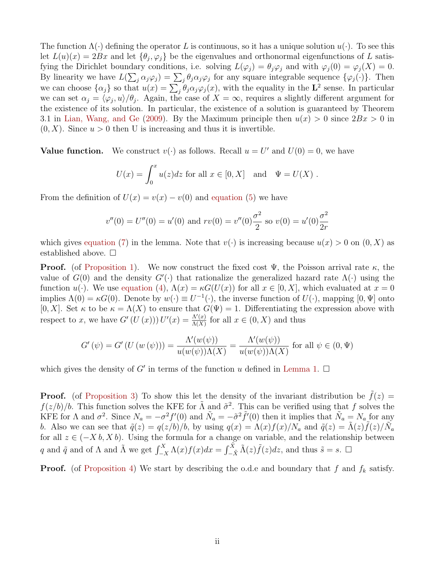The function  $\Lambda(\cdot)$  defining the operator L is continuous, so it has a unique solution  $u(\cdot)$ . To see this let  $L(u)(x) = 2Bx$  and let  $\{\theta_j, \varphi_j\}$  be the eigenvalues and orthonormal eigenfunctions of L satisfying the Dirichlet boundary conditions, i.e. solving  $L(\varphi_j) = \theta_j \varphi_j$  and with  $\varphi_j(0) = \varphi_j(X) = 0$ . By linearity we have  $L(\sum_j \alpha_j \varphi_j) = \sum_j \theta_j \alpha_j \varphi_j$  for any square integrable sequence  $\{\varphi_j(\cdot)\}\$ . Then we can choose  $\{\alpha_j\}$  so that  $u(x) = \sum_j \theta_j \alpha_j \varphi_j(x)$ , with the equality in the  $\mathbf{L}^2$  sense. In particular we can set  $\alpha_j = \langle \varphi_j, u \rangle / \theta_j$ . Again, the case of  $X = \infty$ , requires a slightly different argument for the existence of its solution. In particular, the existence of a solution is guaranteed by Theorem 3.1 in Lian, Wang, and Ge (2009). By the Maximum principle then  $u(x) > 0$  since  $2Bx > 0$  in  $(0, X)$ . Since  $u > 0$  then U is increasing and thus it is invertible.

**Value function.** We construct  $v(\cdot)$  as follows. Recall  $u = U'$  and  $U(0) = 0$ , we have

$$
U(x) = \int_0^x u(z)dz
$$
 for all  $x \in [0, X]$  and  $\Psi = U(X)$ .

From the definition of  $U(x) = v(x) - v(0)$  and equation (5) we have

$$
v''(0) = U''(0) = u'(0)
$$
 and  $rv(0) = v''(0)\frac{\sigma^2}{2}$  so  $v(0) = u'(0)\frac{\sigma^2}{2r}$ 

which gives equation (7) in the lemma. Note that  $v(\cdot)$  is increasing because  $u(x) > 0$  on  $(0, X)$  as established above.  $\square$ 

**Proof.** (of Proposition 1). We now construct the fixed cost  $\Psi$ , the Poisson arrival rate  $\kappa$ , the value of  $G(0)$  and the density  $G'(\cdot)$  that rationalize the generalized hazard rate  $\Lambda(\cdot)$  using the function  $u(\cdot)$ . We use equation (4),  $\Lambda(x) = \kappa G(U(x))$  for all  $x \in [0, X]$ , which evaluated at  $x = 0$ implies  $\Lambda(0) = \kappa G(0)$ . Denote by  $w(\cdot) \equiv U^{-1}(\cdot)$ , the inverse function of  $U(\cdot)$ , mapping  $[0, \Psi]$  onto [0, X]. Set  $\kappa$  to be  $\kappa = \Lambda(X)$  to ensure that  $G(\Psi) = 1$ . Differentiating the expression above with respect to x, we have  $G'(U(x))) U'(x) = \frac{\Lambda'(x)}{\Lambda(X)}$  $\frac{\Lambda'(x)}{\Lambda(X)}$  for all  $x \in (0, X)$  and thus

$$
G'( \psi) = G'(U(w(\psi))) = \frac{\Lambda'(w(\psi))}{u(w(\psi))\Lambda(X)} = \frac{\Lambda'(w(\psi))}{u(w(\psi))\Lambda(X)}
$$
 for all  $\psi \in (0, \Psi)$ 

which gives the density of G' in terms of the function u defined in Lemma 1.  $\Box$ 

**Proof.** (of Proposition 3) To show this let the density of the invariant distribution be  $\tilde{f}(z)$  =  $f(z/b)/b$ . This function solves the KFE for  $\tilde{\Lambda}$  and  $\tilde{\sigma}^2$ . This can be verified using that f solves the KFE for  $\Lambda$  and  $\sigma^2$ . Since  $N_a = -\sigma^2 f'(0)$  and  $\tilde{N}_a = -\tilde{\sigma}^2 \tilde{f}'(0)$  then it implies that  $\tilde{N}_a = N_a$  for any b. Also we can see that  $\tilde{q}(z) = q(z/b)/b$ , by using  $q(x) = \Lambda(x)f(x)/N_a$  and  $\tilde{q}(z) = \tilde{\Lambda}(z)\tilde{f}(z)/N_a$ for all  $z \in (-X b, X b)$ . Using the formula for a change on variable, and the relationship between q and  $\tilde{q}$  and of  $\Lambda$  and  $\tilde{\Lambda}$  we get  $\int_{-X}^{X} \Lambda(x) f(x) dx = \int_{-\tilde{X}}^{\tilde{X}} \tilde{\Lambda}(z) \tilde{f}(z) dz$ , and thus  $\tilde{s} = s$ .  $\Box$ 

**Proof.** (of Proposition 4) We start by describing the o.d.e and boundary that f and  $f_k$  satisfy.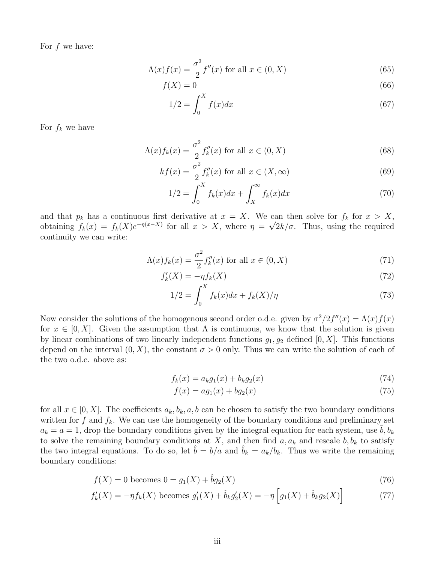For  $f$  we have:

$$
\Lambda(x)f(x) = \frac{\sigma^2}{2}f''(x) \text{ for all } x \in (0, X)
$$
\n(65)

$$
f(X) = 0\tag{66}
$$

$$
1/2 = \int_0^X f(x)dx\tag{67}
$$

For  $f_k$  we have

$$
\Lambda(x)f_k(x) = \frac{\sigma^2}{2}f_k''(x) \text{ for all } x \in (0, X)
$$
\n(68)

$$
kf(x) = \frac{\sigma^2}{2} f_k''(x) \text{ for all } x \in (X, \infty)
$$
\n(69)

$$
1/2 = \int_0^X f_k(x)dx + \int_X^\infty f_k(x)dx
$$
 (70)

and that  $p_k$  has a continuous first derivative at  $x = X$ . We can then solve for  $f_k$  for  $x > X$ , obtaining  $f_k(x) = f_k(X)e^{-\eta(x-X)}$  for all  $x > X$ , where  $\eta = \sqrt{2k}/\sigma$ . Thus, using the required continuity we can write:

$$
\Lambda(x)f_k(x) = \frac{\sigma^2}{2}f''_k(x) \text{ for all } x \in (0, X)
$$
\n(71)

$$
f'_k(X) = -\eta f_k(X) \tag{72}
$$

$$
1/2 = \int_0^X f_k(x)dx + f_k(X)/\eta
$$
\n(73)

Now consider the solutions of the homogenous second order o.d.e. given by  $\sigma^2/2f''(x) = \Lambda(x)f(x)$ for  $x \in [0, X]$ . Given the assumption that  $\Lambda$  is continuous, we know that the solution is given by linear combinations of two linearly independent functions  $g_1, g_2$  defined  $[0, X]$ . This functions depend on the interval  $(0, X)$ , the constant  $\sigma > 0$  only. Thus we can write the solution of each of the two o.d.e. above as:

$$
f_k(x) = a_k g_1(x) + b_k g_2(x)
$$
\n(74)

$$
f(x) = a g_1(x) + b g_2(x) \tag{75}
$$

for all  $x \in [0, X]$ . The coefficients  $a_k, b_k, a, b$  can be chosen to satisfy the two boundary conditions written for f and  $f_k$ . We can use the homogeneity of the boundary conditions and preliminary set  $a_k = a = 1$ , drop the boundary conditions given by the integral equation for each system, use  $b, b_k$ to solve the remaining boundary conditions at X, and then find  $a, a_k$  and rescale  $b, b_k$  to satisfy the two integral equations. To do so, let  $\hat{b} = b/a$  and  $\hat{b}_k = a_k/b_k$ . Thus we write the remaining boundary conditions:

$$
f(X) = 0 \text{ becomes } 0 = g_1(X) + \hat{b}g_2(X) \tag{76}
$$

$$
f'_{k}(X) = -\eta f_{k}(X) \text{ becomes } g'_{1}(X) + \hat{b}_{k}g'_{2}(X) = -\eta \left[ g_{1}(X) + \hat{b}_{k}g_{2}(X) \right]
$$
 (77)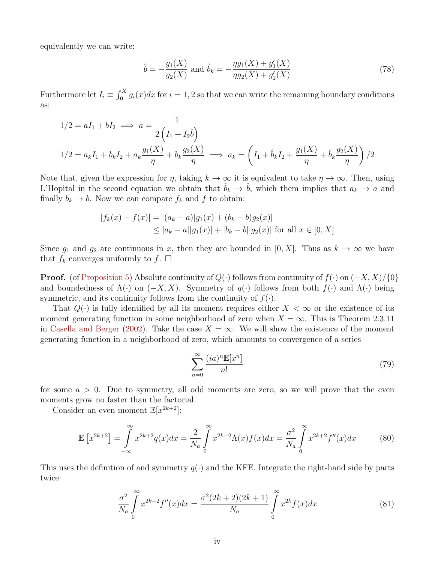equivalently we can write:

$$
\hat{b} = -\frac{g_1(X)}{g_2(X)} \text{ and } \hat{b}_k = -\frac{\eta g_1(X) + g_1'(X)}{\eta g_2(X) + g_2'(X)}\tag{78}
$$

Furthermore let  $I_i \equiv \int_0^X g_i(x)dx$  for  $i = 1, 2$  so that we can write the remaining boundary conditions as:

$$
1/2 = aI_1 + bI_2 \implies a = \frac{1}{2\left(I_1 + I_2\hat{b}\right)}
$$
  

$$
1/2 = a_kI_1 + b_kI_2 + a_k\frac{g_1(X)}{\eta} + b_k\frac{g_2(X)}{\eta} \implies a_k = \left(I_1 + \hat{b}_kI_2 + \frac{g_1(X)}{\eta} + \hat{b}_k\frac{g_2(X)}{\eta}\right)/2
$$

Note that, given the expression for  $\eta$ , taking  $k \to \infty$  it is equivalent to take  $\eta \to \infty$ . Then, using L'Hopital in the second equation we obtain that  $\hat{b}_k \to \hat{b}$ , which them implies that  $a_k \to a$  and finally  $b_k \to b$ . Now we can compare  $f_k$  and f to obtain:

$$
|f_k(x) - f(x)| = |(a_k - a)|g_1(x) + (b_k - b)g_2(x)|
$$
  
\n
$$
\le |a_k - a||g_1(x)| + |b_k - b||g_2(x)| \text{ for all } x \in [0, X]
$$

Since  $g_1$  and  $g_2$  are continuous in x, then they are bounded in [0, X]. Thus as  $k \to \infty$  we have that  $f_k$  converges uniformly to  $f$ .  $\Box$ 

**Proof.** (of Proposition 5) Absolute continuity of  $Q(\cdot)$  follows from continuity of  $f(\cdot)$  on  $(-X, X)/\{0\}$ and boundedness of  $\Lambda(\cdot)$  on  $(-X, X)$ . Symmetry of  $q(\cdot)$  follows from both  $f(\cdot)$  and  $\Lambda(\cdot)$  being symmetric, and its continuity follows from the continuity of  $f(.)$ .

That  $Q(\cdot)$  is fully identified by all its moment requires either  $X < \infty$  or the existence of its moment generating function in some neighborhood of zero when  $X = \infty$ . This is Theorem 2.3.11 in Casella and Berger (2002). Take the case  $X = \infty$ . We will show the existence of the moment generating function in a neighborhood of zero, which amounts to convergence of a series

$$
\sum_{n=0}^{\infty} \frac{(ia)^n \mathbb{E}[x^n]}{n!}
$$
 (79)

for some  $a > 0$ . Due to symmetry, all odd moments are zero, so we will prove that the even moments grow no faster than the factorial.

Consider an even moment  $\mathbb{E}[x^{2k+2}]$ :

$$
\mathbb{E}\left[x^{2k+2}\right] = \int_{-\infty}^{\infty} x^{2k+2} q(x) dx = \frac{2}{N_a} \int_{0}^{\infty} x^{2k+2} \Lambda(x) f(x) dx = \frac{\sigma^2}{N_a} \int_{0}^{\infty} x^{2k+2} f''(x) dx \tag{80}
$$

This uses the definition of and symmetry  $q(\cdot)$  and the KFE. Integrate the right-hand side by parts twice:

$$
\frac{\sigma^2}{N_a} \int\limits_0^\infty x^{2k+2} f''(x) dx = \frac{\sigma^2 (2k+2)(2k+1)}{N_a} \int\limits_0^\infty x^{2k} f(x) dx \tag{81}
$$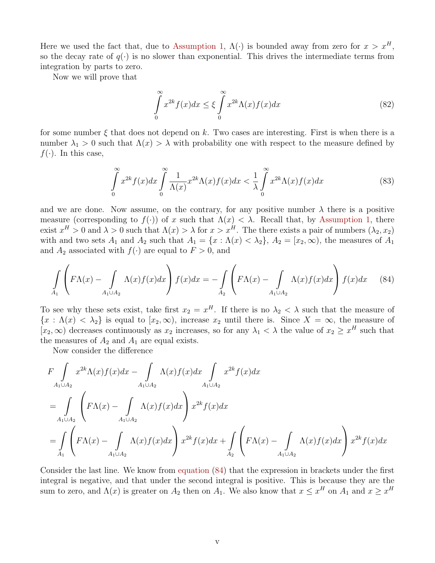Here we used the fact that, due to Assumption 1,  $\Lambda(\cdot)$  is bounded away from zero for  $x > x^H$ , so the decay rate of  $q(\cdot)$  is no slower than exponential. This drives the intermediate terms from integration by parts to zero.

Now we will prove that

$$
\int_{0}^{\infty} x^{2k} f(x) dx \le \xi \int_{0}^{\infty} x^{2k} \Lambda(x) f(x) dx \tag{82}
$$

for some number  $\xi$  that does not depend on k. Two cases are interesting. First is when there is a number  $\lambda_1 > 0$  such that  $\Lambda(x) > \lambda$  with probability one with respect to the measure defined by  $f(\cdot)$ . In this case,

$$
\int_{0}^{\infty} x^{2k} f(x) dx \int_{0}^{\infty} \frac{1}{\Lambda(x)} x^{2k} \Lambda(x) f(x) dx < \frac{1}{\lambda} \int_{0}^{\infty} x^{2k} \Lambda(x) f(x) dx
$$
\n(83)

and we are done. Now assume, on the contrary, for any positive number  $\lambda$  there is a positive measure (corresponding to  $f(.)$ ) of x such that  $\Lambda(x) < \lambda$ . Recall that, by Assumption 1, there exist  $x^H > 0$  and  $\lambda > 0$  such that  $\Lambda(x) > \lambda$  for  $x > x^H$ . The there exists a pair of numbers  $(\lambda_2, x_2)$ with and two sets  $A_1$  and  $A_2$  such that  $A_1 = \{x : \Lambda(x) < \lambda_2\}$ ,  $A_2 = [x_2, \infty)$ , the measures of  $A_1$ and  $A_2$  associated with  $f(\cdot)$  are equal to  $F > 0$ , and

$$
\int_{A_1} \left( F\Lambda(x) - \int_{A_1 \cup A_2} \Lambda(x) f(x) dx \right) f(x) dx = - \int_{A_2} \left( F\Lambda(x) - \int_{A_1 \cup A_2} \Lambda(x) f(x) dx \right) f(x) dx \tag{84}
$$

To see why these sets exist, take first  $x_2 = x^H$ . If there is no  $\lambda_2 < \lambda$  such that the measure of  ${x : \Lambda(x) < \lambda_2}$  is equal to  $[x_2, \infty)$ , increase  $x_2$  until there is. Since  $X = \infty$ , the measure of  $[x_2,\infty)$  decreases continuously as  $x_2$  increases, so for any  $\lambda_1 < \lambda$  the value of  $x_2 \geq x^H$  such that the measures of  $A_2$  and  $A_1$  are equal exists.

Now consider the difference

$$
F \int_{A_1 \cup A_2} x^{2k} \Lambda(x) f(x) dx - \int_{A_1 \cup A_2} \Lambda(x) f(x) dx \int_{A_1 \cup A_2} x^{2k} f(x) dx
$$
  
= 
$$
\int_{A_1 \cup A_2} \left( F \Lambda(x) - \int_{A_1 \cup A_2} \Lambda(x) f(x) dx \right) x^{2k} f(x) dx
$$
  
= 
$$
\int_{A_1} \left( F \Lambda(x) - \int_{A_1 \cup A_2} \Lambda(x) f(x) dx \right) x^{2k} f(x) dx + \int_{A_2} \left( F \Lambda(x) - \int_{A_1 \cup A_2} \Lambda(x) f(x) dx \right) x^{2k} f(x) dx
$$

Consider the last line. We know from equation (84) that the expression in brackets under the first integral is negative, and that under the second integral is positive. This is because they are the sum to zero, and  $\Lambda(x)$  is greater on  $A_2$  then on  $A_1$ . We also know that  $x \leq x^H$  on  $A_1$  and  $x \geq x^H$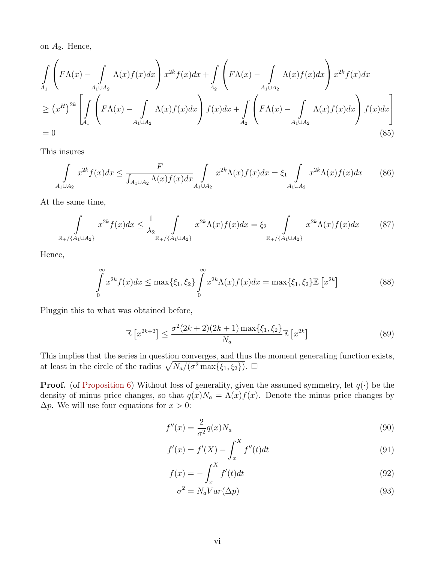on  $A_2$ . Hence,

$$
\int_{A_1} \left( F\Lambda(x) - \int_{A_1 \cup A_2} \Lambda(x) f(x) dx \right) x^{2k} f(x) dx + \int_{A_2} \left( F\Lambda(x) - \int_{A_1 \cup A_2} \Lambda(x) f(x) dx \right) x^{2k} f(x) dx
$$
\n
$$
\geq (x^H)^{2k} \left[ \int_{A_1} \left( F\Lambda(x) - \int_{A_1 \cup A_2} \Lambda(x) f(x) dx \right) f(x) dx \right] f(x) dx \right]
$$
\n
$$
= 0
$$
\n(85)

This insures

$$
\int_{A_1 \cup A_2} x^{2k} f(x) dx \le \frac{F}{\int_{A_1 \cup A_2} \Lambda(x) f(x) dx} \int_{A_1 \cup A_2} x^{2k} \Lambda(x) f(x) dx = \xi_1 \int_{A_1 \cup A_2} x^{2k} \Lambda(x) f(x) dx \tag{86}
$$

At the same time,

$$
\int_{\mathbb{R}^+/\{A_1 \cup A_2\}} x^{2k} f(x) dx \le \frac{1}{\lambda_2} \int_{\mathbb{R}^+/\{A_1 \cup A_2\}} x^{2k} \Lambda(x) f(x) dx = \xi_2 \int_{\mathbb{R}^+/\{A_1 \cup A_2\}} x^{2k} \Lambda(x) f(x) dx \tag{87}
$$

Hence,

$$
\int_{0}^{\infty} x^{2k} f(x) dx \le \max\{\xi_1, \xi_2\} \int_{0}^{\infty} x^{2k} \Lambda(x) f(x) dx = \max\{\xi_1, \xi_2\} \mathbb{E} \left[ x^{2k} \right] \tag{88}
$$

Pluggin this to what was obtained before,

$$
\mathbb{E}\left[x^{2k+2}\right] \le \frac{\sigma^2 (2k+2)(2k+1) \max\{\xi_1, \xi_2\}}{N_a} \mathbb{E}\left[x^{2k}\right] \tag{89}
$$

This implies that the series in question converges, and thus the moment generating function exists, at least in the circle of the radius  $\sqrt{N_a/(\sigma^2 \max\{\xi_1,\xi_2\})}$ .  $\Box$ 

**Proof.** (of Proposition 6) Without loss of generality, given the assumed symmetry, let  $q(\cdot)$  be the density of minus price changes, so that  $q(x)N_a = \Lambda(x)f(x)$ . Denote the minus price changes by  $\Delta p$ . We will use four equations for  $x > 0$ :

$$
f''(x) = \frac{2}{\sigma^2} q(x) N_a \tag{90}
$$

$$
f'(x) = f'(X) - \int_{x}^{X} f''(t)dt
$$
\n(91)

$$
f(x) = -\int_{x}^{X} f'(t)dt
$$
\n(92)

$$
\sigma^2 = N_a Var(\Delta p) \tag{93}
$$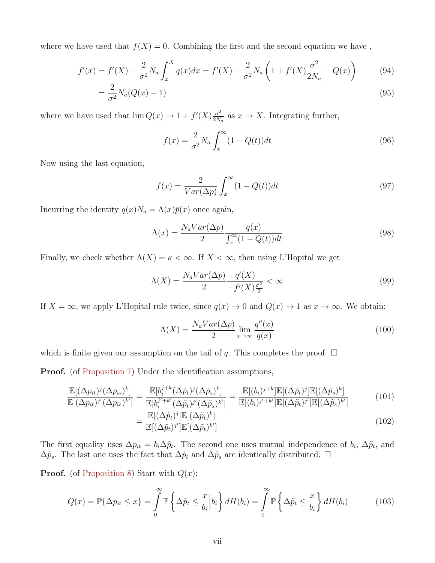where we have used that  $f(X) = 0$ . Combining the first and the second equation we have,

$$
f'(x) = f'(X) - \frac{2}{\sigma^2} N_a \int_x^X q(x) dx = f'(X) - \frac{2}{\sigma^2} N_a \left( 1 + f'(X) \frac{\sigma^2}{2N_a} - Q(x) \right)
$$
(94)

$$
=\frac{2}{\sigma^2}N_a(Q(x)-1)\tag{95}
$$

where we have used that  $\lim Q(x) \to 1 + f'(X) \frac{\sigma^2}{2N}$  $\frac{\sigma^2}{2N_a}$  as  $x \to X$ . Integrating further,

$$
f(x) = \frac{2}{\sigma^2} N_a \int_x^{\infty} (1 - Q(t)) dt
$$
\n(96)

Now using the last equation,

$$
f(x) = \frac{2}{Var(\Delta p)} \int_{x}^{\infty} (1 - Q(t))dt
$$
\n(97)

Incurring the identity  $q(x)N_a = \Lambda(x)\bar{p}(x)$  once again,

$$
\Lambda(x) = \frac{N_a Var(\Delta p)}{2} \frac{q(x)}{\int_x^{\infty} (1 - Q(t)) dt}
$$
\n(98)

Finally, we check whether  $\Lambda(X) = \kappa < \infty$ . If  $X < \infty$ , then using L'Hopital we get

$$
\Lambda(X) = \frac{N_a Var(\Delta p)}{2} \frac{q'(X)}{-f'(X)\frac{\sigma^2}{2}} < \infty
$$
\n(99)

If  $X = \infty$ , we apply L'Hopital rule twice, since  $q(x) \to 0$  and  $Q(x) \to 1$  as  $x \to \infty$ . We obtain:

$$
\Lambda(X) = \frac{N_a Var(\Delta p)}{2} \lim_{x \to \infty} \frac{q''(x)}{q(x)} \tag{100}
$$

which is finite given our assumption on the tail of q. This completes the proof.  $\Box$ 

**Proof.** (of Proposition 7) Under the identification assumptions,

$$
\frac{\mathbb{E}[(\Delta p_{it})^j(\Delta p_{is})^k]}{\mathbb{E}[(\Delta p_{it})^{j'}(\Delta p_{is})^{k'}]} = \frac{\mathbb{E}[b_i^{j+k}(\Delta \tilde{p}_t)^j(\Delta \tilde{p}_s)^k]}{\mathbb{E}[b_i^{j'+k'}(\Delta \tilde{p}_t)^{j'}(\Delta \tilde{p}_s)^{k'}]} = \frac{\mathbb{E}[(b_i)^{j+k}]\mathbb{E}[(\Delta \tilde{p}_t)^j]\mathbb{E}[(\Delta \tilde{p}_s)^k]}{\mathbb{E}[(b_i)^{j'+k'}]\mathbb{E}[(\Delta \tilde{p}_t)^{j'}]\mathbb{E}[(\Delta \tilde{p}_s)^{k'}]}
$$
(101)

$$
= \frac{\mathbb{E}[(\Delta \tilde{p}_t)^j] \mathbb{E}[(\Delta \tilde{p}_t)^k]}{\mathbb{E}[(\Delta \tilde{p}_t)^j''] \mathbb{E}[(\Delta \tilde{p}_t)^k']}
$$
(102)

The first equality uses  $\Delta p_{it} = b_i \Delta \tilde{p}_t$ . The second one uses mutual independence of  $b_i$ ,  $\Delta \tilde{p}_t$ , and  $\Delta \tilde{p}_s$ . The last one uses the fact that  $\Delta \tilde{p}_t$  and  $\Delta \tilde{p}_s$  are identically distributed. □

**Proof.** (of Proposition 8) Start with  $Q(x)$ :

$$
Q(x) = \mathbb{P}\{\Delta p_{it} \le x\} = \int_{0}^{\infty} \mathbb{P}\left\{\Delta \tilde{p}_{t} \le \frac{x}{b_{i}} \Big| b_{i}\right\} dH(b_{i}) = \int_{0}^{\infty} \mathbb{P}\left\{\Delta \tilde{p}_{t} \le \frac{x}{b_{i}}\right\} dH(b_{i})
$$
(103)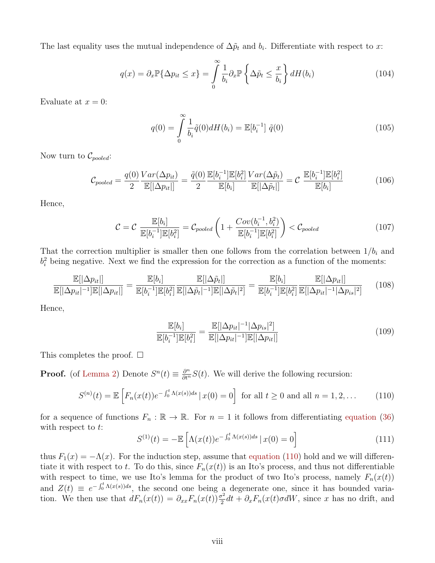The last equality uses the mutual independence of  $\Delta\tilde{p}_t$  and  $b_i$ . Differentiate with respect to x:

$$
q(x) = \partial_x \mathbb{P}\{\Delta p_{it} \le x\} = \int_0^\infty \frac{1}{b_i} \partial_x \mathbb{P}\left\{\Delta \tilde{p}_t \le \frac{x}{b_i}\right\} dH(b_i)
$$
(104)

Evaluate at  $x = 0$ :

$$
q(0) = \int_{0}^{\infty} \frac{1}{b_i} \tilde{q}(0) dH(b_i) = \mathbb{E}[b_i^{-1}] \tilde{q}(0)
$$
 (105)

Now turn to  $\mathcal{C}_{pooled}$ :

$$
\mathcal{C}_{pooled} = \frac{q(0)}{2} \frac{Var(\Delta p_{it})}{\mathbb{E}[|\Delta p_{it}|]} = \frac{\tilde{q}(0)}{2} \frac{\mathbb{E}[b_i^{-1}]\mathbb{E}[b_i^2]}{\mathbb{E}[b_i]} \frac{Var(\Delta \tilde{p}_t)}{\mathbb{E}[|\Delta \tilde{p}_t|]} = \mathcal{C} \frac{\mathbb{E}[b_i^{-1}]\mathbb{E}[b_i^2]}{\mathbb{E}[b_i]}
$$
(106)

Hence,

$$
C = C \frac{\mathbb{E}[b_i]}{\mathbb{E}[b_i^{-1}]\mathbb{E}[b_i^2]} = C_{pooled}\left(1 + \frac{Cov(b_i^{-1}, b_i^2)}{\mathbb{E}[b_i^{-1}]\mathbb{E}[b_i^2]}\right) < C_{pooled}
$$
(107)

That the correction multiplier is smaller then one follows from the correlation between  $1/b_i$  and  $b_i^2$  being negative. Next we find the expression for the correction as a function of the moments:

$$
\frac{\mathbb{E}[|\Delta p_{it}|]}{\mathbb{E}[|\Delta p_{it}|^{-1}]\mathbb{E}[|\Delta p_{it}|]} = \frac{\mathbb{E}[b_i]}{\mathbb{E}[b_i^{-1}]\mathbb{E}[b_i^2]}\frac{\mathbb{E}[|\Delta \tilde{p}_t|]}{\mathbb{E}[|\Delta \tilde{p}_t|^{-1}]\mathbb{E}[|\Delta \tilde{p}_t|^2]} = \frac{\mathbb{E}[b_i]}{\mathbb{E}[b_i^{-1}]\mathbb{E}[b_i^2]}\frac{\mathbb{E}[|\Delta p_{it}|]}{\mathbb{E}[|\Delta p_{it}|^{-1}|\Delta p_{is}|^2]}
$$
(108)

Hence,

$$
\frac{\mathbb{E}[b_i]}{\mathbb{E}[b_i^{-1}]\mathbb{E}[b_i^2]} = \frac{\mathbb{E}[|\Delta p_{it}|^{-1}|\Delta p_{is}|^2]}{\mathbb{E}[|\Delta p_{it}|^{-1}]\mathbb{E}[|\Delta p_{it}|]}
$$
\n(109)

This completes the proof.  $\square$ 

**Proof.** (of Lemma 2) Denote  $S^n(t) \equiv \frac{\partial^n}{\partial t^n} S(t)$ . We will derive the following recursion:

$$
S^{(n)}(t) = \mathbb{E}\left[F_n(x(t))e^{-\int_0^t \Lambda(x(s))ds} \,|\, x(0) = 0\right] \text{ for all } t \ge 0 \text{ and all } n = 1, 2, \dots \tag{110}
$$

for a sequence of functions  $F_n : \mathbb{R} \to \mathbb{R}$ . For  $n = 1$  it follows from differentiating equation (36) with respect to  $t$ :

$$
S^{(1)}(t) = -\mathbb{E}\left[\Lambda(x(t))e^{-\int_0^t \Lambda(x(s))ds} \,|\, x(0) = 0\right] \tag{111}
$$

thus  $F_1(x) = -\Lambda(x)$ . For the induction step, assume that equation (110) hold and we will differentiate it with respect to t. To do this, since  $F_n(x(t))$  is an Ito's process, and thus not differentiable with respect to time, we use Ito's lemma for the product of two Ito's process, namely  $F_n(x(t))$ and  $Z(t) \equiv e^{-\int_0^t \Lambda(x(s))ds}$ , the second one being a degenerate one, since it has bounded variation. We then use that  $dF_n(x(t)) = \partial_{xx} F_n(x(t)) \frac{\sigma^2}{2}$  $\frac{\partial^2}{\partial x^2}dt + \partial_x F_n(x(t)\sigma dW)$ , since x has no drift, and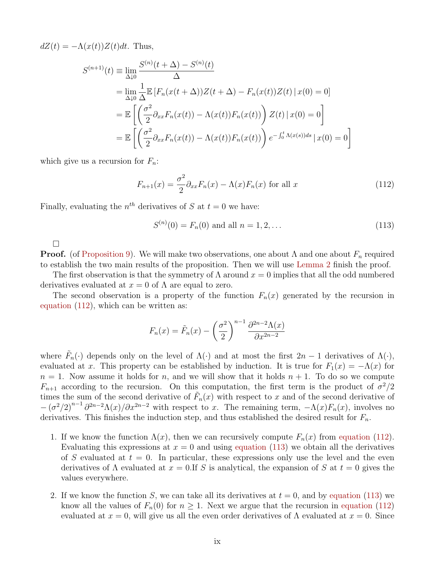$dZ(t) = -\Lambda(x(t))Z(t)dt$ . Thus,

$$
S^{(n+1)}(t) \equiv \lim_{\Delta \downarrow 0} \frac{S^{(n)}(t + \Delta) - S^{(n)}(t)}{\Delta}
$$
  
\n
$$
= \lim_{\Delta \downarrow 0} \frac{1}{\Delta} \mathbb{E} \left[ F_n(x(t + \Delta)) Z(t + \Delta) - F_n(x(t)) Z(t) \, | \, x(0) = 0 \right]
$$
  
\n
$$
= \mathbb{E} \left[ \left( \frac{\sigma^2}{2} \partial_{xx} F_n(x(t)) - \Lambda(x(t)) F_n(x(t)) \right) Z(t) \, | \, x(0) = 0 \right]
$$
  
\n
$$
= \mathbb{E} \left[ \left( \frac{\sigma^2}{2} \partial_{xx} F_n(x(t)) - \Lambda(x(t)) F_n(x(t)) \right) e^{-\int_0^t \Lambda(x(s)) ds} \, | \, x(0) = 0 \right]
$$

which give us a recursion for  $F_n$ :

$$
F_{n+1}(x) = \frac{\sigma^2}{2} \partial_{xx} F_n(x) - \Lambda(x) F_n(x) \text{ for all } x
$$
\n(112)

Finally, evaluating the  $n<sup>th</sup>$  derivatives of S at  $t = 0$  we have:

$$
S^{(n)}(0) = F_n(0) \text{ and all } n = 1, 2, ... \tag{113}
$$

 $\Box$ 

**Proof.** (of Proposition 9). We will make two observations, one about  $\Lambda$  and one about  $F_n$  required to establish the two main results of the proposition. Then we will use Lemma 2 finish the proof.

The first observation is that the symmetry of  $\Lambda$  around  $x = 0$  implies that all the odd numbered derivatives evaluated at  $x = 0$  of  $\Lambda$  are equal to zero.

The second observation is a property of the function  $F_n(x)$  generated by the recursion in equation (112), which can be written as:

$$
F_n(x) = \tilde{F}_n(x) - \left(\frac{\sigma^2}{2}\right)^{n-1} \frac{\partial^{2n-2} \Lambda(x)}{\partial x^{2n-2}}
$$

where  $\tilde{F}_n(\cdot)$  depends only on the level of  $\Lambda(\cdot)$  and at most the first  $2n-1$  derivatives of  $\Lambda(\cdot)$ , evaluated at x. This property can be established by induction. It is true for  $F_1(x) = -\Lambda(x)$  for  $n = 1$ . Now assume it holds for n, and we will show that it holds  $n + 1$ . To do so we compute  $F_{n+1}$  according to the recursion. On this computation, the first term is the product of  $\sigma^2/2$ times the sum of the second derivative of  $\tilde{F}_n(x)$  with respect to x and of the second derivative of  $-(\sigma^2/2)^{n-1}\partial^{2n-2}\Lambda(x)/\partial x^{2n-2}$  with respect to x. The remaining term,  $-\Lambda(x)F_n(x)$ , involves no derivatives. This finishes the induction step, and thus established the desired result for  $F_n$ .

- 1. If we know the function  $\Lambda(x)$ , then we can recursively compute  $F_n(x)$  from equation (112). Evaluating this expressions at  $x = 0$  and using equation (113) we obtain all the derivatives of S evaluated at  $t = 0$ . In particular, these expressions only use the level and the even derivatives of  $\Lambda$  evaluated at  $x = 0$ . If S is analytical, the expansion of S at  $t = 0$  gives the values everywhere.
- 2. If we know the function S, we can take all its derivatives at  $t = 0$ , and by equation (113) we know all the values of  $F_n(0)$  for  $n \geq 1$ . Next we argue that the recursion in equation (112) evaluated at  $x = 0$ , will give us all the even order derivatives of  $\Lambda$  evaluated at  $x = 0$ . Since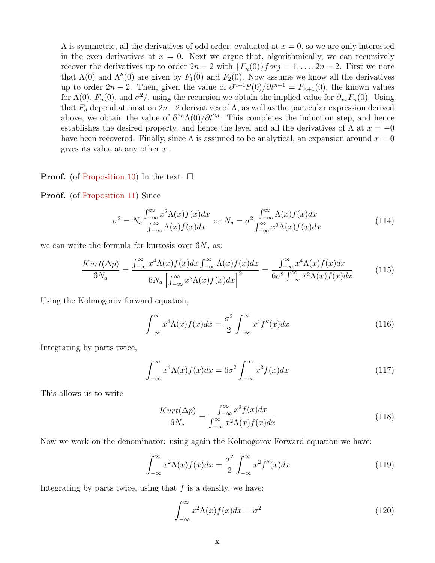$\Lambda$  is symmetric, all the derivatives of odd order, evaluated at  $x = 0$ , so we are only interested in the even derivatives at  $x = 0$ . Next we argue that, algorithmically, we can recursively recover the derivatives up to order  $2n-2$  with  $\{F_n(0)\}$  for  $j=1,\ldots, 2n-2$ . First we note that  $\Lambda(0)$  and  $\Lambda''(0)$  are given by  $F_1(0)$  and  $F_2(0)$ . Now assume we know all the derivatives up to order  $2n-2$ . Then, given the value of  $\partial^{n+1}S(0)/\partial t^{n+1} = F_{n+1}(0)$ , the known values for  $\Lambda(0)$ ,  $F_n(0)$ , and  $\sigma^2$ , using the recursion we obtain the implied value for  $\partial_{xx}F_n(0)$ . Using that  $F_n$  depend at most on  $2n-2$  derivatives of  $\Lambda$ , as well as the particular expression derived above, we obtain the value of  $\partial^{2n}\Lambda(0)/\partial t^{2n}$ . This completes the induction step, and hence establishes the desired property, and hence the level and all the derivatives of  $\Lambda$  at  $x = -0$ have been recovered. Finally, since  $\Lambda$  is assumed to be analytical, an expansion around  $x = 0$ gives its value at any other  $x$ .

#### **Proof.** (of Proposition 10) In the text.  $\Box$

#### Proof. (of Proposition 11) Since

$$
\sigma^2 = N_a \frac{\int_{-\infty}^{\infty} x^2 \Lambda(x) f(x) dx}{\int_{-\infty}^{\infty} \Lambda(x) f(x) dx} \text{ or } N_a = \sigma^2 \frac{\int_{-\infty}^{\infty} \Lambda(x) f(x) dx}{\int_{-\infty}^{\infty} x^2 \Lambda(x) f(x) dx}
$$
(114)

we can write the formula for kurtosis over  $6N_a$  as:

$$
\frac{Kurt(\Delta p)}{6N_a} = \frac{\int_{-\infty}^{\infty} x^4 \Lambda(x) f(x) dx \int_{-\infty}^{\infty} \Lambda(x) f(x) dx}{6N_a \left[ \int_{-\infty}^{\infty} x^2 \Lambda(x) f(x) dx \right]^2} = \frac{\int_{-\infty}^{\infty} x^4 \Lambda(x) f(x) dx}{6\sigma^2 \int_{-\infty}^{\infty} x^2 \Lambda(x) f(x) dx}
$$
(115)

Using the Kolmogorov forward equation,

$$
\int_{-\infty}^{\infty} x^4 \Lambda(x) f(x) dx = \frac{\sigma^2}{2} \int_{-\infty}^{\infty} x^4 f''(x) dx \tag{116}
$$

Integrating by parts twice,

$$
\int_{-\infty}^{\infty} x^4 \Lambda(x) f(x) dx = 6\sigma^2 \int_{-\infty}^{\infty} x^2 f(x) dx \tag{117}
$$

This allows us to write

$$
\frac{Kurt(\Delta p)}{6N_a} = \frac{\int_{-\infty}^{\infty} x^2 f(x) dx}{\int_{-\infty}^{\infty} x^2 \Lambda(x) f(x) dx}
$$
(118)

Now we work on the denominator: using again the Kolmogorov Forward equation we have:

$$
\int_{-\infty}^{\infty} x^2 \Lambda(x) f(x) dx = \frac{\sigma^2}{2} \int_{-\infty}^{\infty} x^2 f''(x) dx \tag{119}
$$

Integrating by parts twice, using that  $f$  is a density, we have:

$$
\int_{-\infty}^{\infty} x^2 \Lambda(x) f(x) dx = \sigma^2 \tag{120}
$$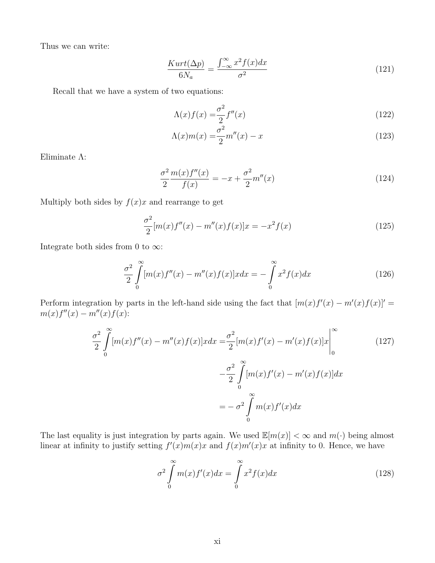Thus we can write:

$$
\frac{Kurt(\Delta p)}{6N_a} = \frac{\int_{-\infty}^{\infty} x^2 f(x) dx}{\sigma^2}
$$
\n(121)

Recall that we have a system of two equations:

$$
\Lambda(x)f(x) = \frac{\sigma^2}{2}f''(x) \tag{122}
$$

$$
\Lambda(x)m(x) = \frac{\sigma^2}{2}m''(x) - x\tag{123}
$$

Eliminate Λ:

$$
\frac{\sigma^2}{2} \frac{m(x)f''(x)}{f(x)} = -x + \frac{\sigma^2}{2} m''(x)
$$
\n(124)

Multiply both sides by  $f(x)x$  and rearrange to get

$$
\frac{\sigma^2}{2}[m(x)f''(x) - m''(x)f(x)]x = -x^2f(x)
$$
\n(125)

Integrate both sides from 0 to  $\infty$ :

$$
\frac{\sigma^2}{2} \int_{0}^{\infty} [m(x)f''(x) - m''(x)f(x)]x dx = -\int_{0}^{\infty} x^2 f(x) dx \qquad (126)
$$

Perform integration by parts in the left-hand side using the fact that  $[m(x)f'(x) - m'(x)f(x)]' =$  $m(x) f''(x) - m''(x) f(x)$ :

$$
\frac{\sigma^2}{2} \int_0^\infty [m(x)f''(x) - m''(x)f(x)]x dx = \frac{\sigma^2}{2} [m(x)f'(x) - m'(x)f(x)]x \Big|_0^\infty \tag{127}
$$

$$
- \frac{\sigma^2}{2} \int_0^\infty [m(x)f'(x) - m'(x)f(x)]dx
$$

$$
= -\sigma^2 \int_0^\infty m(x)f'(x)dx
$$

The last equality is just integration by parts again. We used  $\mathbb{E}[m(x)] < \infty$  and  $m(\cdot)$  being almost linear at infinity to justify setting  $f'(x)m(x)x$  and  $f(x)m'(x)x$  at infinity to 0. Hence, we have

$$
\sigma^2 \int_0^\infty m(x) f'(x) dx = \int_0^\infty x^2 f(x) dx \tag{128}
$$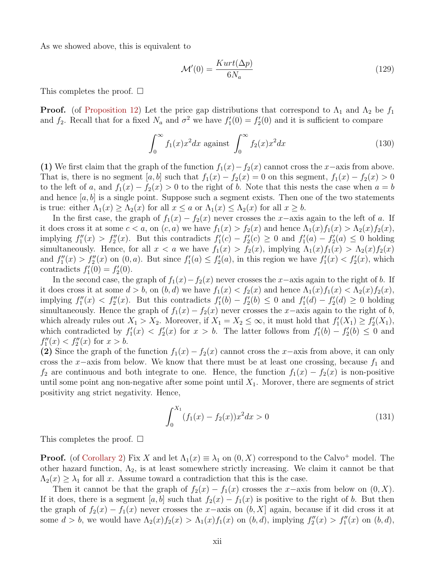As we showed above, this is equivalent to

$$
\mathcal{M}'(0) = \frac{Kurt(\Delta p)}{6N_a} \tag{129}
$$

This completes the proof.  $\square$ 

**Proof.** (of Proposition 12) Let the price gap distributions that correspond to  $\Lambda_1$  and  $\Lambda_2$  be  $f_1$ and  $f_2$ . Recall that for a fixed  $N_a$  and  $\sigma^2$  we have  $f_1'(0) = f_2'(0)$  and it is sufficient to compare

$$
\int_0^\infty f_1(x)x^2 dx \text{ against } \int_0^\infty f_2(x)x^2 dx \tag{130}
$$

(1) We first claim that the graph of the function  $f_1(x) - f_2(x)$  cannot cross the x−axis from above. That is, there is no segment [a, b] such that  $f_1(x) - f_2(x) = 0$  on this segment,  $f_1(x) - f_2(x) > 0$ to the left of a, and  $f_1(x) - f_2(x) > 0$  to the right of b. Note that this nests the case when  $a = b$ and hence  $[a, b]$  is a single point. Suppose such a segment exists. Then one of the two statements is true: either  $\Lambda_1(x) \geq \Lambda_2(x)$  for all  $x \leq a$  or  $\Lambda_1(x) \leq \Lambda_2(x)$  for all  $x \geq b$ .

In the first case, the graph of  $f_1(x) - f_2(x)$  never crosses the x–axis again to the left of a. If it does cross it at some  $c < a$ , on  $(c, a)$  we have  $f_1(x) > f_2(x)$  and hence  $\Lambda_1(x) f_1(x) > \Lambda_2(x) f_2(x)$ , implying  $f''_1(x) > f''_2(x)$ . But this contradicts  $f'_1(c) - f'_2(c) \geq 0$  and  $f'_1(a) - f'_2(a) \leq 0$  holding simultaneously. Hence, for all  $x < a$  we have  $f_1(x) > f_2(x)$ , implying  $\Lambda_1(x) f_1(x) > \Lambda_2(x) f_2(x)$ and  $f''_1(x) > f''_2(x)$  on  $(0, a)$ . But since  $f'_1(a) \leq f'_2(a)$ , in this region we have  $f'_1(x) < f'_2(x)$ , which contradicts  $f_1'(0) = f_2'(0)$ .

In the second case, the graph of  $f_1(x) - f_2(x)$  never crosses the x−axis again to the right of b. If it does cross it at some  $d > b$ , on  $(b, d)$  we have  $f_1(x) < f_2(x)$  and hence  $\Lambda_1(x) f_1(x) < \Lambda_2(x) f_2(x)$ , implying  $f''_1(x) < f''_2(x)$ . But this contradicts  $f'_1(b) - f'_2(b) \leq 0$  and  $f'_1(d) - f'_2(d) \geq 0$  holding simultaneously. Hence the graph of  $f_1(x) - f_2(x)$  never crosses the x-axis again to the right of b, which already rules out  $X_1 > X_2$ . Moreover, if  $X_1 = X_2 \leq \infty$ , it must hold that  $f'_1(X_1) \geq f'_2(X_1)$ , which contradicted by  $f_1'(x) < f_2'(x)$  for  $x > b$ . The latter follows from  $f_1'(b) - f_2'(b) \leq 0$  and  $f''_1(x) < f''_2(x)$  for  $x > b$ .

(2) Since the graph of the function  $f_1(x) - f_2(x)$  cannot cross the x–axis from above, it can only cross the x–axis from below. We know that there must be at least one crossing, because  $f_1$  and  $f_2$  are continuous and both integrate to one. Hence, the function  $f_1(x) - f_2(x)$  is non-positive until some point ang non-negative after some point until  $X_1$ . Morover, there are segments of strict positivity ang strict negativity. Hence,

$$
\int_0^{X_1} (f_1(x) - f_2(x))x^2 dx > 0
$$
\n(131)

This completes the proof.  $\square$ 

**Proof.** (of Corollary 2) Fix X and let  $\Lambda_1(x) \equiv \lambda_1$  on  $(0, X)$  correspond to the Calvo+ model. The other hazard function,  $\Lambda_2$ , is at least somewhere strictly increasing. We claim it cannot be that  $\Lambda_2(x) \geq \lambda_1$  for all x. Assume toward a contradiction that this is the case.

Then it cannot be that the graph of  $f_2(x) - f_1(x)$  crosses the x-axis from below on  $(0, X)$ . If it does, there is a segment [a, b] such that  $f_2(x) - f_1(x)$  is positive to the right of b. But then the graph of  $f_2(x) - f_1(x)$  never crosses the x-axis on  $(b, X]$  again, because if it did cross it at some  $d > b$ , we would have  $\Lambda_2(x) f_2(x) > \Lambda_1(x) f_1(x)$  on  $(b, d)$ , implying  $f''_2(x) > f''_1(x)$  on  $(b, d)$ ,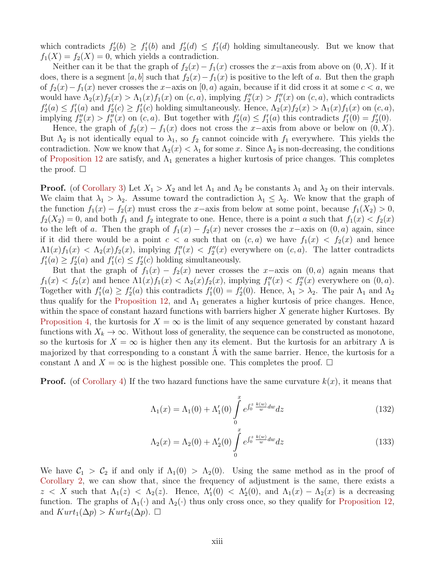which contradicts  $f_2'(b) \geq f_1'(b)$  and  $f_2'(d) \leq f_1'(d)$  holding simultaneously. But we know that  $f_1(X) = f_2(X) = 0$ , which yields a contradiction.

Neither can it be that the graph of  $f_2(x) - f_1(x)$  crosses the x-axis from above on  $(0, X)$ . If it does, there is a segment [a, b] such that  $f_2(x) - f_1(x)$  is positive to the left of a. But then the graph of  $f_2(x) - f_1(x)$  never crosses the x–axis on  $[0, a)$  again, because if it did cross it at some  $c < a$ , we would have  $\Lambda_2(x) f_2(x) > \Lambda_1(x) f_1(x)$  on  $(c, a)$ , implying  $f_2''(x) > f_1''(x)$  on  $(c, a)$ , which contradicts  $f_2'(a) \le f_1'(a)$  and  $f_2'(c) \ge f_1'(c)$  holding simultaneously. Hence,  $\Lambda_2(x) f_2(x) > \Lambda_1(x) f_1(x)$  on  $(c, a)$ , implying  $f''_2(x) > f''_1(x)$  on  $(c, a)$ . But together with  $f'_2(a) \le f'_1(a)$  this contradicts  $f'_1(0) = f'_2(0)$ .

Hence, the graph of  $f_2(x) - f_1(x)$  does not cross the x-axis from above or below on  $(0, X)$ . But  $\Lambda_2$  is not identically equal to  $\lambda_1$ , so  $f_2$  cannot coincide with  $f_1$  everywhere. This yields the contradiction. Now we know that  $\Lambda_2(x) < \lambda_1$  for some x. Since  $\Lambda_2$  is non-decreasing, the conditions of Proposition 12 are satisfy, and  $\Lambda_1$  generates a higher kurtosis of price changes. This completes the proof.  $\square$ 

**Proof.** (of Corollary 3) Let  $X_1 > X_2$  and let  $\Lambda_1$  and  $\Lambda_2$  be constants  $\lambda_1$  and  $\lambda_2$  on their intervals. We claim that  $\lambda_1 > \lambda_2$ . Assume toward the contradiction  $\lambda_1 \leq \lambda_2$ . We know that the graph of the function  $f_1(x) - f_2(x)$  must cross the x-axis from below at some point, because  $f_1(X_2) > 0$ ,  $f_2(X_2) = 0$ , and both  $f_1$  and  $f_2$  integrate to one. Hence, there is a point a such that  $f_1(x) < f_2(x)$ to the left of a. Then the graph of  $f_1(x) - f_2(x)$  never crosses the x–axis on  $(0, a)$  again, since if it did there would be a point  $c < a$  such that on  $(c, a)$  we have  $f_1(x) < f_2(x)$  and hence  $\Lambda(1(x) f_1(x) < \Lambda_2(x) f_2(x)$ , implying  $f_1''(x) < f_2''(x)$  everywhere on  $(c, a)$ . The latter contradicts  $f'_{1}(a) \geq f'_{2}(a)$  and  $f'_{1}(c) \leq f'_{2}(c)$  holding simultaneously.

But that the graph of  $f_1(x) - f_2(x)$  never crosses the x-axis on  $(0, a)$  again means that  $f_1(x) < f_2(x)$  and hence  $\Lambda(1(x)f_1(x) < \Lambda_2(x)f_2(x)$ , implying  $f_1''(x) < f_2''(x)$  everywhere on  $(0, a)$ . Together with  $f_1'(a) \ge f_2'(a)$  this contradicts  $f_1'(0) = f_2'(0)$ . Hence,  $\lambda_1 > \lambda_2$ . The pair  $\Lambda_1$  and  $\Lambda_2$ thus qualify for the Proposition 12, and  $\Lambda_1$  generates a higher kurtosis of price changes. Hence, within the space of constant hazard functions with barriers higher  $X$  generate higher Kurtoses. By Proposition 4, the kurtosis for  $X = \infty$  is the limit of any sequence generated by constant hazard functions with  $X_k \to \infty$ . Without loss of generality, the sequence can be constructed as monotone, so the kurtosis for  $X = \infty$  is higher then any its element. But the kurtosis for an arbitrary  $\Lambda$  is majorized by that corresponding to a constant  $\Lambda$  with the same barrier. Hence, the kurtosis for a constant  $\Lambda$  and  $X = \infty$  is the highest possible one. This completes the proof.  $\Box$ 

**Proof.** (of Corollary 4) If the two hazard functions have the same curvature  $k(x)$ , it means that

$$
\Lambda_1(x) = \Lambda_1(0) + \Lambda'_1(0) \int_0^x e^{\int_0^z \frac{k(w)}{w} dw} dz
$$
\n(132)

$$
\Lambda_2(x) = \Lambda_2(0) + \Lambda_2'(0) \int_0^x e^{\int_0^z \frac{k(w)}{w} dw} dz
$$
\n(133)

We have  $C_1 > C_2$  if and only if  $\Lambda_1(0) > \Lambda_2(0)$ . Using the same method as in the proof of Corollary 2, we can show that, since the frequency of adjustment is the same, there exists a z < X such that  $\Lambda_1(z)$  <  $\Lambda_2(z)$ . Hence,  $\Lambda'_1(0)$  <  $\Lambda'_2(0)$ , and  $\Lambda_1(x) - \Lambda_2(x)$  is a decreasing function. The graphs of  $\Lambda_1(\cdot)$  and  $\Lambda_2(\cdot)$  thus only cross once, so they qualify for Proposition 12, and  $Kurt_1(\Delta p) > Kurt_2(\Delta p)$ .  $\Box$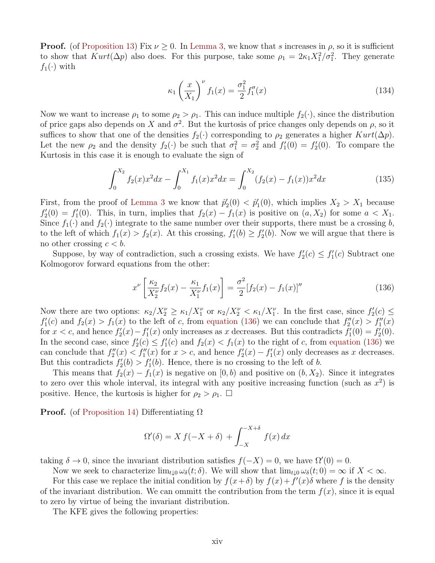**Proof.** (of Proposition 13) Fix  $\nu \geq 0$ . In Lemma 3, we know that s increases in  $\rho$ , so it is sufficient to show that  $Kurt(\Delta p)$  also does. For this purpose, take some  $\rho_1 = 2\kappa_1 X_1^2/\sigma_1^2$ . They generate  $f_1(\cdot)$  with

$$
\kappa_1 \left(\frac{x}{X_1}\right)^{\nu} f_1(x) = \frac{\sigma_1^2}{2} f_1''(x) \tag{134}
$$

Now we want to increase  $\rho_1$  to some  $\rho_2 > \rho_1$ . This can induce multiple  $f_2(\cdot)$ , since the distribution of price gaps also depends on X and  $\sigma^2$ . But the kurtosis of price changes only depends on  $\rho$ , so it suffices to show that one of the densities  $f_2(\cdot)$  corresponding to  $\rho_2$  generates a higher  $Kurt(\Delta p)$ . Let the new  $\rho_2$  and the density  $f_2(\cdot)$  be such that  $\sigma_1^2 = \sigma_2^2$  and  $f_1'(0) = f_2'(0)$ . To compare the Kurtosis in this case it is enough to evaluate the sign of

$$
\int_0^{X_2} f_2(x)x^2 dx - \int_0^{X_1} f_1(x)x^2 dx = \int_0^{X_2} (f_2(x) - f_1(x))x^2 dx \tag{135}
$$

First, from the proof of Lemma 3 we know that  $\hat{p}'_2(0) < \hat{p}'_1(0)$ , which implies  $X_2 > X_1$  because  $f'_{2}(0) = f'_{1}(0)$ . This, in turn, implies that  $f_{2}(x) - f_{1}(x)$  is positive on  $(a, X_{2})$  for some  $a < X_{1}$ . Since  $f_1(\cdot)$  and  $f_2(\cdot)$  integrate to the same number over their supports, there must be a crossing b, to the left of which  $f_1(x) > f_2(x)$ . At this crossing,  $f'_1(b) \ge f'_2(b)$ . Now we will argue that there is no other crossing  $c < b$ .

Suppose, by way of contradiction, such a crossing exists. We have  $f_2'(c) \leq f_1'(c)$  Subtract one Kolmogorov forward equations from the other:

$$
x^{\nu} \left[ \frac{\kappa_2}{X_2^{\nu}} f_2(x) - \frac{\kappa_1}{X_1^{\nu}} f_1(x) \right] = \frac{\sigma^2}{2} [f_2(x) - f_1(x)]^{\prime \prime}
$$
 (136)

Now there are two options:  $\kappa_2/X_2^{\nu} \geq \kappa_1/X_1^{\nu}$  or  $\kappa_2/X_2^{\nu} < \kappa_1/X_1^{\nu}$ . In the first case, since  $f_2'(c) \leq$  $f_1'(c)$  and  $f_2(x) > f_1(x)$  to the left of c, from equation (136) we can conclude that  $f_2''(x) > f_1''(x)$ for  $x < c$ , and hence  $f'_2(x) - f'_1(x)$  only increases as x decreases. But this contradicts  $f'_1(0) = f'_2(0)$ . In the second case, since  $f_2'(c) \leq f_1'(c)$  and  $f_2(x) < f_1(x)$  to the right of c, from equation (136) we can conclude that  $f_2''(x) < f_1''(x)$  for  $x > c$ , and hence  $f_2'(x) - f_1'(x)$  only decreases as x decreases. But this contradicts  $f_2'(b) > f_1'(b)$ . Hence, there is no crossing to the left of b.

This means that  $f_2(x) - f_1(x)$  is negative on  $[0, b)$  and positive on  $(b, X_2)$ . Since it integrates to zero over this whole interval, its integral with any positive increasing function (such as  $x^2$ ) is positive. Hence, the kurtosis is higher for  $\rho_2 > \rho_1$ .  $\Box$ 

**Proof.** (of Proposition 14) Differentiating  $\Omega$ 

$$
\Omega'(\delta) = X f(-X + \delta) + \int_{-X}^{-X + \delta} f(x) dx
$$

taking  $\delta \to 0$ , since the invariant distribution satisfies  $f(-X) = 0$ , we have  $\Omega'(0) = 0$ .

Now we seek to characterize  $\lim_{t\downarrow 0} \omega_\delta(t;\delta)$ . We will show that  $\lim_{t\downarrow 0} \omega_\delta(t;0) = \infty$  if  $X < \infty$ .

For this case we replace the initial condition by  $f(x+\delta)$  by  $f(x)+f'(x)\delta$  where f is the density of the invariant distribution. We can ommitt the contribution from the term  $f(x)$ , since it is equal to zero by virtue of being the invariant distribution.

The KFE gives the following properties: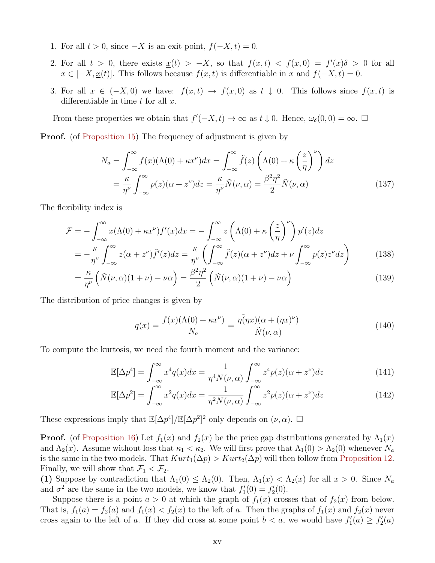- 1. For all  $t > 0$ , since  $-X$  is an exit point,  $f(-X, t) = 0$ .
- 2. For all  $t > 0$ , there exists  $\underline{x}(t) > -X$ , so that  $f(x,t) < f(x,0) = f'(x)\delta > 0$  for all  $x \in [-X, \underline{x}(t)].$  This follows because  $f(x, t)$  is differentiable in x and  $f(-X, t) = 0.$
- 3. For all  $x \in (-X,0)$  we have:  $f(x,t) \to f(x,0)$  as  $t \downarrow 0$ . This follows since  $f(x,t)$  is differentiable in time  $t$  for all  $x$ .

From these properties we obtain that  $f'(-X,t) \to \infty$  as  $t \downarrow 0$ . Hence,  $\omega_{\delta}(0,0) = \infty$ .  $\Box$ 

**Proof.** (of Proposition 15) The frequency of adjustment is given by

$$
N_a = \int_{-\infty}^{\infty} f(x) (\Lambda(0) + \kappa x^{\nu}) dx = \int_{-\infty}^{\infty} \tilde{f}(z) \left( \Lambda(0) + \kappa \left( \frac{z}{\eta} \right)^{\nu} \right) dz
$$
  
= 
$$
\frac{\kappa}{\eta^{\nu}} \int_{-\infty}^{\infty} p(z) (\alpha + z^{\nu}) dz = \frac{\kappa}{\eta^{\nu}} \tilde{N}(\nu, \alpha) = \frac{\beta^2 \eta^2}{2} \tilde{N}(\nu, \alpha)
$$
(137)

The flexibility index is

$$
\mathcal{F} = -\int_{-\infty}^{\infty} x(\Lambda(0) + \kappa x^{\nu}) f'(x) dx = -\int_{-\infty}^{\infty} z\left(\Lambda(0) + \kappa \left(\frac{z}{\eta}\right)^{\nu}\right) p'(z) dz
$$
  
= 
$$
-\frac{\kappa}{\eta^{\nu}} \int_{-\infty}^{\infty} z(\alpha + z^{\nu}) \tilde{f}'(z) dz = \frac{\kappa}{\eta^{\nu}} \left(\int_{-\infty}^{\infty} \tilde{f}(z)(\alpha + z^{\nu}) dz + \nu \int_{-\infty}^{\infty} p(z) z^{\nu} dz\right)
$$
(138)

$$
= \frac{\kappa}{\eta^{\nu}} \left( \tilde{N}(\nu, \alpha)(1 + \nu) - \nu \alpha \right) = \frac{\beta^2 \eta^2}{2} \left( \tilde{N}(\nu, \alpha)(1 + \nu) - \nu \alpha \right)
$$
(139)

The distribution of price changes is given by

$$
q(x) = \frac{f(x)(\Lambda(0) + \kappa x^{\nu})}{N_a} = \frac{\tilde{\eta(\eta x)}(\alpha + (\eta x)^{\nu})}{\tilde{N}(\nu, \alpha)}
$$
(140)

To compute the kurtosis, we need the fourth moment and the variance:

$$
\mathbb{E}[\Delta p^4] = \int_{-\infty}^{\infty} x^4 q(x) dx = \frac{1}{\eta^4 N(\nu, \alpha)} \int_{-\infty}^{\infty} z^4 p(z) (\alpha + z^{\nu}) dz \tag{141}
$$

$$
\mathbb{E}[\Delta p^2] = \int_{-\infty}^{\infty} x^2 q(x) dx = \frac{1}{\eta^2 N(\nu, \alpha)} \int_{-\infty}^{\infty} z^2 p(z) (\alpha + z^{\nu}) dz \tag{142}
$$

These expressions imply that  $\mathbb{E}[\Delta p^4]/\mathbb{E}[\Delta p^2]^2$  only depends on  $(\nu, \alpha)$ .  $\square$ 

**Proof.** (of Proposition 16) Let  $f_1(x)$  and  $f_2(x)$  be the price gap distributions generated by  $\Lambda_1(x)$ and  $\Lambda_2(x)$ . Assume without loss that  $\kappa_1 < \kappa_2$ . We will first prove that  $\Lambda_1(0) > \Lambda_2(0)$  whenever  $N_a$ is the same in the two models. That  $Kurt_1(\Delta p) > Kurt_2(\Delta p)$  will then follow from Proposition 12. Finally, we will show that  $\mathcal{F}_1 < \mathcal{F}_2$ .

(1) Suppose by contradiction that  $\Lambda_1(0) \leq \Lambda_2(0)$ . Then,  $\Lambda_1(x) < \Lambda_2(x)$  for all  $x > 0$ . Since  $N_a$ and  $\sigma^2$  are the same in the two models, we know that  $f'_1(0) = f'_2(0)$ .

Suppose there is a point  $a > 0$  at which the graph of  $f_1(x)$  crosses that of  $f_2(x)$  from below. That is,  $f_1(a) = f_2(a)$  and  $f_1(x) < f_2(x)$  to the left of a. Then the graphs of  $f_1(x)$  and  $f_2(x)$  never cross again to the left of a. If they did cross at some point  $b < a$ , we would have  $f'_{1}(a) \geq f'_{2}(a)$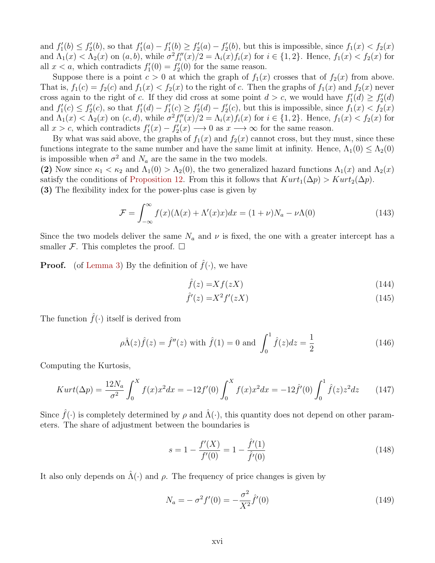and  $f_1'(b) \le f_2'(b)$ , so that  $f_1'(a) - f_1'(b) \ge f_2'(a) - f_2'(b)$ , but this is impossible, since  $f_1(x) < f_2(x)$ and  $\Lambda_1(x) < \Lambda_2(x)$  on  $(a, b)$ , while  $\sigma^2 f''_i(x)/2 = \Lambda_i(x) f_i(x)$  for  $i \in \{1, 2\}$ . Hence,  $f_1(x) < f_2(x)$  for all  $x < a$ , which contradicts  $f_1'(0) = f_2'(0)$  for the same reason.

Suppose there is a point  $c > 0$  at which the graph of  $f_1(x)$  crosses that of  $f_2(x)$  from above. That is,  $f_1(c) = f_2(c)$  and  $f_1(x) < f_2(x)$  to the right of c. Then the graphs of  $f_1(x)$  and  $f_2(x)$  never cross again to the right of c. If they did cross at some point  $d > c$ , we would have  $f'_{1}(d) \geq f'_{2}(d)$ and  $f_1'(c) \le f_2'(c)$ , so that  $f_1'(d) - f_1'(c) \ge f_2'(d) - f_2'(c)$ , but this is impossible, since  $f_1(x) < f_2(x)$ and  $\Lambda_1(x) < \Lambda_2(x)$  on  $(c, d)$ , while  $\sigma^2 f''_i(x)/2 = \Lambda_i(x) f_i(x)$  for  $i \in \{1, 2\}$ . Hence,  $f_1(x) < f_2(x)$  for all  $x > c$ , which contradicts  $f'_1(x) - f'_2(x) \longrightarrow 0$  as  $x \longrightarrow \infty$  for the same reason.

By what was said above, the graphs of  $f_1(x)$  and  $f_2(x)$  cannot cross, but they must, since these functions integrate to the same number and have the same limit at infinity. Hence,  $\Lambda_1(0) \leq \Lambda_2(0)$ is impossible when  $\sigma^2$  and  $N_a$  are the same in the two models.

(2) Now since  $\kappa_1 < \kappa_2$  and  $\Lambda_1(0) > \Lambda_2(0)$ , the two generalized hazard functions  $\Lambda_1(x)$  and  $\Lambda_2(x)$ satisfy the conditions of Proposition 12. From this it follows that  $Kurt_1(\Delta p) > Kurt_2(\Delta p)$ . (3) The flexibility index for the power-plus case is given by

$$
\mathcal{F} = \int_{-\infty}^{\infty} f(x) (\Lambda(x) + \Lambda'(x)x) dx = (1 + \nu) N_a - \nu \Lambda(0)
$$
\n(143)

Since the two models deliver the same  $N_a$  and  $\nu$  is fixed, the one with a greater intercept has a smaller  $\mathcal F$ . This completes the proof.  $\Box$ 

**Proof.** (of Lemma 3) By the definition of  $\hat{f}(\cdot)$ , we have

$$
\hat{f}(z) = X f(zX) \tag{144}
$$

$$
\hat{f}'(z) = X^2 f'(zX) \tag{145}
$$

The function  $\hat{f}(\cdot)$  itself is derived from

$$
\rho \hat{\Lambda}(z)\hat{f}(z) = \hat{f}''(z) \text{ with } \hat{f}(1) = 0 \text{ and } \int_0^1 \hat{f}(z)dz = \frac{1}{2}
$$
\n(146)

Computing the Kurtosis,

$$
Kurt(\Delta p) = \frac{12N_a}{\sigma^2} \int_0^X f(x)x^2 dx = -12f'(0) \int_0^X f(x)x^2 dx = -12\hat{f}'(0) \int_0^1 \hat{f}(z)z^2 dz \qquad (147)
$$

Since  $\hat{f}(\cdot)$  is completely determined by  $\rho$  and  $\hat{\Lambda}(\cdot)$ , this quantity does not depend on other parameters. The share of adjustment between the boundaries is

$$
s = 1 - \frac{f'(X)}{f'(0)} = 1 - \frac{\hat{f}'(1)}{\hat{f}'(0)}
$$
\n(148)

It also only depends on  $\Lambda(\cdot)$  and  $\rho$ . The frequency of price changes is given by

$$
N_a = -\sigma^2 f'(0) = -\frac{\sigma^2}{X^2} \hat{f}'(0)
$$
\n(149)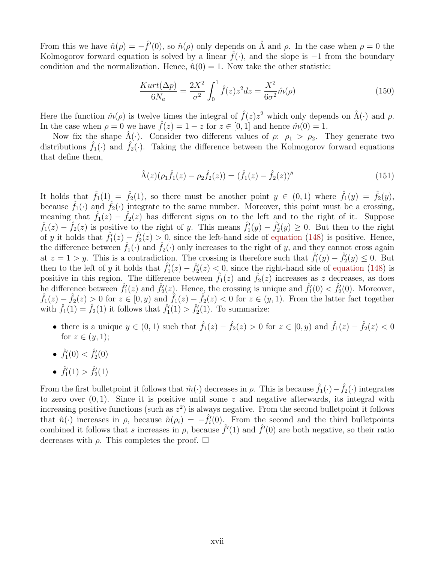From this we have  $\hat{n}(\rho) = -\hat{f}'(0)$ , so  $\hat{n}(\rho)$  only depends on  $\hat{\Lambda}$  and  $\rho$ . In the case when  $\rho = 0$  the Kolmogorov forward equation is solved by a linear  $\hat{f}(\cdot)$ , and the slope is  $-1$  from the boundary condition and the normalization. Hence,  $\hat{n}(0) = 1$ . Now take the other statistic:

$$
\frac{Kurt(\Delta p)}{6N_a} = \frac{2X^2}{\sigma^2} \int_0^1 \hat{f}(z)z^2 dz = \frac{X^2}{6\sigma^2} \hat{m}(\rho)
$$
\n(150)

Here the function  $\hat{m}(\rho)$  is twelve times the integral of  $\hat{f}(z)z^2$  which only depends on  $\hat{\Lambda}(\cdot)$  and  $\rho$ . In the case when  $\rho = 0$  we have  $\hat{f}(z) = 1 - z$  for  $z \in [0, 1]$  and hence  $\hat{m}(0) = 1$ .

Now fix the shape  $\hat{\Lambda}(\cdot)$ . Consider two different values of  $\rho: \rho_1 > \rho_2$ . They generate two distributions  $f_1(\cdot)$  and  $f_2(\cdot)$ . Taking the difference between the Kolmogorov forward equations that define them,

$$
\hat{\Lambda}(z)(\rho_1 \hat{f}_1(z) - \rho_2 \hat{f}_2(z)) = (\hat{f}_1(z) - \hat{f}_2(z))''
$$
\n(151)

It holds that  $\hat{f}_1(1) = \hat{f}_2(1)$ , so there must be another point  $y \in (0,1)$  where  $\hat{f}_1(y) = \hat{f}_2(y)$ , because  $\hat{f}_1(\cdot)$  and  $\hat{f}_2(\cdot)$  integrate to the same number. Moreover, this point must be a crossing, meaning that  $\hat{f}_1(z) - \hat{f}_2(z)$  has different signs on to the left and to the right of it. Suppose  $\hat{f}_1(z) - \hat{f}_2(z)$  is positive to the right of y. This means  $\hat{f}'_1(y) - \hat{f}'_2(y) \geq 0$ . But then to the right of y it holds that  $\hat{f}'_1(z) - \hat{f}'_2(z) > 0$ , since the left-hand side of equation (148) is positive. Hence, the difference between  $\hat{f}_1(\cdot)$  and  $\hat{f}_2(\cdot)$  only increases to the right of y, and they cannot cross again at  $z = 1 > y$ . This is a contradiction. The crossing is therefore such that  $\hat{f}'_1(y) - \hat{f}'_2(y) \leq 0$ . But then to the left of y it holds that  $\hat{f}'_1(z) - \hat{f}'_2(z) < 0$ , since the right-hand side of equation (148) is positive in this region. The difference between  $\hat{f}_1(z)$  and  $\hat{f}_2(z)$  increases as z decreases, as does he difference between  $\hat{f}'_1(z)$  and  $\hat{f}'_2(z)$ . Hence, the crossing is unique and  $\hat{f}'_1(0) < \hat{f}'_2(0)$ . Moreover,  $\hat{f}_1(z) - \hat{f}_2(z) > 0$  for  $z \in [0, y)$  and  $\hat{f}_1(z) - \hat{f}_2(z) < 0$  for  $z \in (y, 1)$ . From the latter fact together with  $\hat{f}_1(1) = \hat{f}_2(1)$  it follows that  $\hat{f}'_1(1) > \hat{f}'_2(1)$ . To summarize:

- there is a unique  $y \in (0,1)$  such that  $\hat{f}_1(z) \hat{f}_2(z) > 0$  for  $z \in [0, y)$  and  $\hat{f}_1(z) \hat{f}_2(z) < 0$ for  $z \in (y, 1)$ ;
- $\hat{f}'_1(0) < \hat{f}'_2(0)$
- $\hat{f}'_1(1) > \hat{f}'_2(1)$

From the first bulletpoint it follows that  $\hat{m}(\cdot)$  decreases in  $\rho$ . This is because  $\hat{f}_1(\cdot) - \hat{f}_2(\cdot)$  integrates to zero over  $(0, 1)$ . Since it is positive until some z and negative afterwards, its integral with increasing positive functions (such as  $z^2$ ) is always negative. From the second bullet point it follows that  $\hat{n}(\cdot)$  increases in  $\rho$ , because  $\hat{n}(\rho_i) = -\hat{f}_i(0)$ . From the second and the third bullet points combined it follows that s increases in  $\rho$ , because  $\hat{f}'(1)$  and  $\hat{f}'(0)$  are both negative, so their ratio decreases with  $\rho$ . This completes the proof.  $\Box$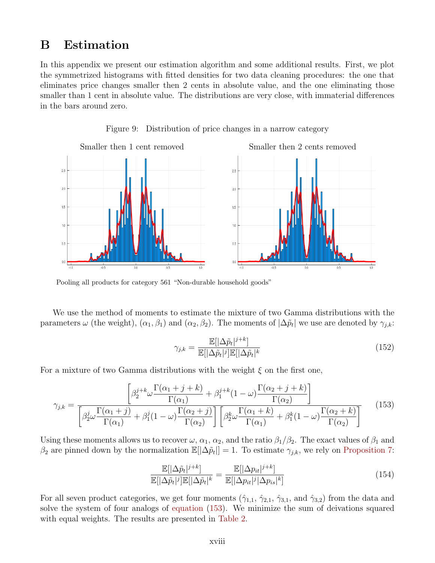# B Estimation

In this appendix we present our estimation algorithm and some additional results. First, we plot the symmetrized histograms with fitted densities for two data cleaning procedures: the one that eliminates price changes smaller then 2 cents in absolute value, and the one eliminating those smaller than 1 cent in absolute value. The distributions are very close, with immaterial differences in the bars around zero.



Figure 9: Distribution of price changes in a narrow category

Pooling all products for category 561 "Non-durable household goods"

We use the method of moments to estimate the mixture of two Gamma distributions with the parameters  $\omega$  (the weight),  $(\alpha_1, \beta_1)$  and  $(\alpha_2, \beta_2)$ . The moments of  $|\Delta \tilde{p}_t|$  we use are denoted by  $\gamma_{j,k}$ :

$$
\gamma_{j,k} = \frac{\mathbb{E}[|\Delta \tilde{p}_t|^{j+k}]}{\mathbb{E}[|\Delta \tilde{p}_t|^j] \mathbb{E}[|\Delta \tilde{p}_t|^k} \tag{152}
$$

For a mixture of two Gamma distributions with the weight  $\xi$  on the first one,

$$
\gamma_{j,k} = \frac{\left[\beta_2^{j+k}\omega \frac{\Gamma(\alpha_1+j+k)}{\Gamma(\alpha_1)} + \beta_1^{j+k}(1-\omega)\frac{\Gamma(\alpha_2+j+k)}{\Gamma(\alpha_2)}\right]}{\left[\beta_2^j\omega \frac{\Gamma(\alpha_1+j)}{\Gamma(\alpha_1)} + \beta_1^j(1-\omega)\frac{\Gamma(\alpha_2+j)}{\Gamma(\alpha_2)}\right] \left[\beta_2^k\omega \frac{\Gamma(\alpha_1+k)}{\Gamma(\alpha_1)} + \beta_1^k(1-\omega)\frac{\Gamma(\alpha_2+k)}{\Gamma(\alpha_2)}\right]}
$$
(153)

Using these moments allows us to recover  $\omega$ ,  $\alpha_1$ ,  $\alpha_2$ , and the ratio  $\beta_1/\beta_2$ . The exact values of  $\beta_1$  and  $\beta_2$  are pinned down by the normalization  $\mathbb{E}[\Delta \tilde{p}_t] = 1$ . To estimate  $\gamma_{j,k}$ , we rely on Proposition 7:

$$
\frac{\mathbb{E}[|\Delta\tilde{p}_t|^{j+k}]}{\mathbb{E}[|\Delta\tilde{p}_t|^{j}]\mathbb{E}[|\Delta\tilde{p}_t|^{k}} = \frac{\mathbb{E}[|\Delta p_{it}|^{j+k}]}{\mathbb{E}[|\Delta p_{it}|^{j}|\Delta p_{is}|^{k}]}\n \tag{154}
$$

For all seven product categories, we get four moments  $(\hat{\gamma}_{1,1}, \hat{\gamma}_{2,1}, \hat{\gamma}_{3,1}, \text{ and } \hat{\gamma}_{3,2})$  from the data and solve the system of four analogs of equation (153). We minimize the sum of deivations squared with equal weights. The results are presented in Table 2.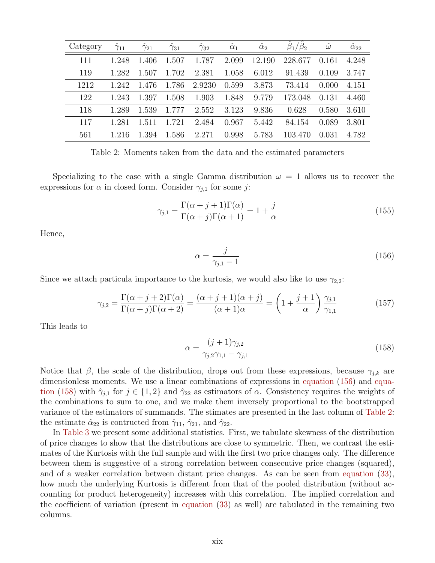| Category | $\hat{\gamma}_{11}$ | $\gamma_{21}$ | $\hat{\gamma}_{31}$ | $\gamma_{32}$ | $\alpha_1$ | $\hat{\alpha}_2$ | $\beta_1/\beta_2$ | $\hat{\omega}$ | $\hat{\alpha}_{22}$ |
|----------|---------------------|---------------|---------------------|---------------|------------|------------------|-------------------|----------------|---------------------|
| 111      | 1.248               | 1.406         | 1.507               | 1.787         | 2.099      | 12.190           | 228.677           | 0.161          | 4.248               |
| 119      | 1.282               | 1.507         | 1.702               | 2.381         | 1.058      | 6.012            | 91.439            | 0.109          | 3.747               |
| 1212     | 1.242               | 1.476         | 1.786               | 2.9230        | 0.599      | 3.873            | 73.414            | 0.000          | 4.151               |
| 122      | 1.243               | 1.397         | 1.508               | 1.903         | 1.848      | 9.779            | 173.048           | 0.131          | 4.460               |
| 118      | 1.289               | 1.539         | 1.777               | 2.552         | 3.123      | 9.836            | 0.628             | 0.580          | 3.610               |
| 117      | 1.281               | 1.511         | 1.721               | 2.484         | 0.967      | 5.442            | 84.154            | 0.089          | 3.801               |
| 561      | 1 216               | 1.394         | 1.586               | 2.271         | 0.998      | 5.783            | 103.470           | 0.031          | 4.782               |

Table 2: Moments taken from the data and the estimated parameters

Specializing to the case with a single Gamma distribution  $\omega = 1$  allows us to recover the expressions for  $\alpha$  in closed form. Consider  $\gamma_{i,1}$  for some j:

$$
\gamma_{j,1} = \frac{\Gamma(\alpha + j + 1)\Gamma(\alpha)}{\Gamma(\alpha + j)\Gamma(\alpha + 1)} = 1 + \frac{j}{\alpha}
$$
\n(155)

Hence,

$$
\alpha = \frac{j}{\gamma_{j,1} - 1} \tag{156}
$$

Since we attach particula importance to the kurtosis, we would also like to use  $\gamma_{2,2}$ :

$$
\gamma_{j,2} = \frac{\Gamma(\alpha+j+2)\Gamma(\alpha)}{\Gamma(\alpha+j)\Gamma(\alpha+2)} = \frac{(\alpha+j+1)(\alpha+j)}{(\alpha+1)\alpha} = \left(1 + \frac{j+1}{\alpha}\right)\frac{\gamma_{j,1}}{\gamma_{1,1}}\tag{157}
$$

This leads to

$$
\alpha = \frac{(j+1)\gamma_{j,2}}{\gamma_{j,2}\gamma_{1,1} - \gamma_{j,1}}\tag{158}
$$

Notice that  $\beta$ , the scale of the distribution, drops out from these expressions, because  $\gamma_{i,k}$  are dimensionless moments. We use a linear combinations of expressions in equation (156) and equation (158) with  $\hat{\gamma}_{i,1}$  for  $j \in \{1,2\}$  and  $\hat{\gamma}_{22}$  as estimators of  $\alpha$ . Consistency requires the weights of the combinations to sum to one, and we make them inversely proportional to the bootstrapped variance of the estimators of summands. The stimates are presented in the last column of Table 2: the estimate  $\hat{\alpha}_{22}$  is contructed from  $\hat{\gamma}_{11}$ ,  $\hat{\gamma}_{21}$ , and  $\hat{\gamma}_{22}$ .

In Table 3 we present some additional statistics. First, we tabulate skewness of the distribution of price changes to show that the distributions are close to symmetric. Then, we contrast the estimates of the Kurtosis with the full sample and with the first two price changes only. The difference between them is suggestive of a strong correlation between consecutive price changes (squared), and of a weaker correlation between distant price changes. As can be seen from equation (33), how much the underlying Kurtosis is different from that of the pooled distribution (without accounting for product heterogeneity) increases with this correlation. The implied correlation and the coefficient of variation (present in equation (33) as well) are tabulated in the remaining two columns.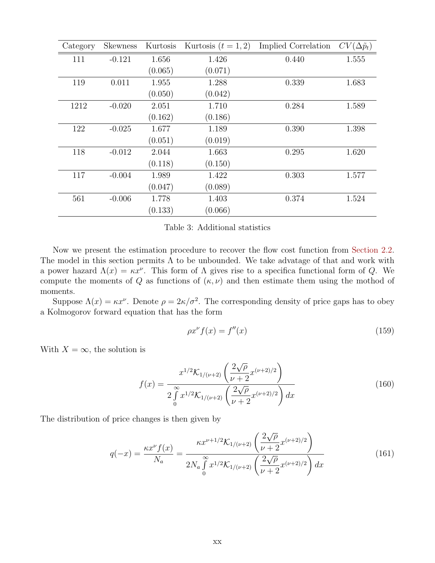| Category | <b>Skewness</b> | Kurtosis | Kurtosis $(t = 1, 2)$ | Implied Correlation | $CV(\Delta \tilde{p}_t)$ |
|----------|-----------------|----------|-----------------------|---------------------|--------------------------|
| 111      | $-0.121$        | 1.656    | 1.426                 | 0.440               | 1.555                    |
|          |                 | (0.065)  | (0.071)               |                     |                          |
| 119      | 0.011           | 1.955    | 1.288                 | 0.339               | 1.683                    |
|          |                 | (0.050)  | (0.042)               |                     |                          |
| 1212     | $-0.020$        | 2.051    | 1.710                 | 0.284               | 1.589                    |
|          |                 | (0.162)  | (0.186)               |                     |                          |
| 122      | $-0.025$        | 1.677    | 1.189                 | 0.390               | 1.398                    |
|          |                 | (0.051)  | (0.019)               |                     |                          |
| 118      | $-0.012$        | 2.044    | 1.663                 | 0.295               | 1.620                    |
|          |                 | (0.118)  | (0.150)               |                     |                          |
| 117      | $-0.004$        | 1.989    | 1.422                 | 0.303               | 1.577                    |
|          |                 | (0.047)  | (0.089)               |                     |                          |
| 561      | $-0.006$        | 1.778    | 1.403                 | 0.374               | 1.524                    |
|          |                 | (0.133)  | (0.066)               |                     |                          |

Table 3: Additional statistics

Now we present the estimation procedure to recover the flow cost function from Section 2.2. The model in this section permits  $\Lambda$  to be unbounded. We take advatage of that and work with a power hazard  $\Lambda(x) = \kappa x^{\nu}$ . This form of  $\Lambda$  gives rise to a specifica functional form of Q. We compute the moments of Q as functions of  $(\kappa, \nu)$  and then estimate them using the mothod of moments.

Suppose  $\Lambda(x) = \kappa x^{\nu}$ . Denote  $\rho = 2\kappa/\sigma^2$ . The corresponding density of price gaps has to obey a Kolmogorov forward equation that has the form

$$
\rho x^{\nu} f(x) = f''(x) \tag{159}
$$

With  $X = \infty$ , the solution is

$$
f(x) = \frac{x^{1/2} \mathcal{K}_{1/(\nu+2)}\left(\frac{2\sqrt{\rho}}{\nu+2} x^{(\nu+2)/2}\right)}{2 \int_{0}^{\infty} x^{1/2} \mathcal{K}_{1/(\nu+2)}\left(\frac{2\sqrt{\rho}}{\nu+2} x^{(\nu+2)/2}\right) dx}
$$
(160)

The distribution of price changes is then given by

$$
q(-x) = \frac{\kappa x^{\nu} f(x)}{N_a} = \frac{\kappa x^{\nu+1/2} \mathcal{K}_{1/(\nu+2)} \left(\frac{2\sqrt{\rho}}{\nu+2} x^{(\nu+2)/2}\right)}{2N_a \int_0^{\infty} x^{1/2} \mathcal{K}_{1/(\nu+2)} \left(\frac{2\sqrt{\rho}}{\nu+2} x^{(\nu+2)/2}\right) dx}
$$
(161)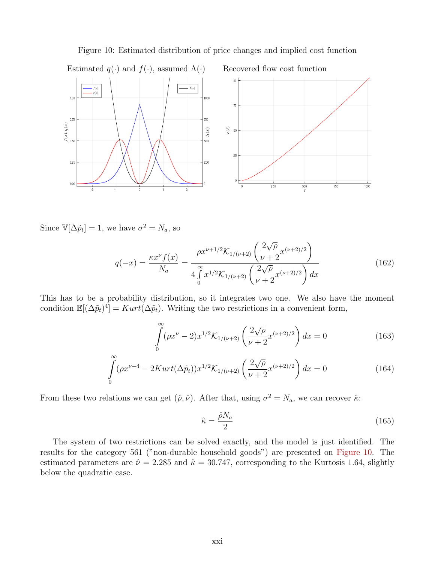

Figure 10: Estimated distribution of price changes and implied cost function

Since  $\mathbb{V}[\Delta \tilde{p}_t] = 1$ , we have  $\sigma^2 = N_a$ , so

$$
q(-x) = \frac{\kappa x^{\nu} f(x)}{N_a} = \frac{\rho x^{\nu+1/2} \mathcal{K}_{1/(\nu+2)} \left(\frac{2\sqrt{\rho}}{\nu+2} x^{(\nu+2)/2}\right)}{4 \int_{0}^{\infty} x^{1/2} \mathcal{K}_{1/(\nu+2)} \left(\frac{2\sqrt{\rho}}{\nu+2} x^{(\nu+2)/2}\right) dx}
$$
(162)

This has to be a probability distribution, so it integrates two one. We also have the moment condition  $\mathbb{E}[(\Delta \tilde{p}_t)^4] = Kurt(\Delta \tilde{p}_t)$ . Writing the two restrictions in a convenient form,

$$
\int_{0}^{\infty} (\rho x^{\nu} - 2) x^{1/2} \mathcal{K}_{1/(\nu+2)} \left( \frac{2\sqrt{\rho}}{\nu+2} x^{(\nu+2)/2} \right) dx = 0 \tag{163}
$$

$$
\int_{0}^{\infty} (\rho x^{\nu+4} - 2Kurt(\Delta \tilde{p}_t)) x^{1/2} \mathcal{K}_{1/(\nu+2)} \left(\frac{2\sqrt{\rho}}{\nu+2} x^{(\nu+2)/2}\right) dx = 0 \tag{164}
$$

From these two relations we can get  $(\hat{\rho}, \hat{\nu})$ . After that, using  $\sigma^2 = N_a$ , we can recover  $\hat{\kappa}$ :

$$
\hat{\kappa} = \frac{\hat{\rho} N_a}{2} \tag{165}
$$

The system of two restrictions can be solved exactly, and the model is just identified. The results for the category 561 ("non-durable household goods") are presented on Figure 10. The estimated parameters are  $\hat{\nu} = 2.285$  and  $\hat{\kappa} = 30.747$ , corresponding to the Kurtosis 1.64, slightly below the quadratic case.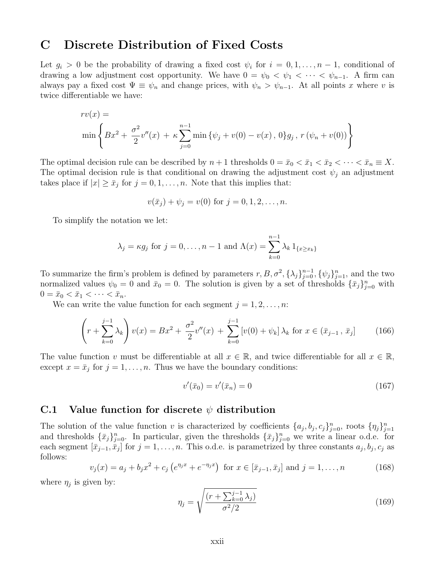# C Discrete Distribution of Fixed Costs

Let  $g_i > 0$  be the probability of drawing a fixed cost  $\psi_i$  for  $i = 0, 1, \ldots, n-1$ , conditional of drawing a low adjustment cost opportunity. We have  $0 = \psi_0 < \psi_1 < \cdots < \psi_{n-1}$ . A firm can always pay a fixed cost  $\Psi \equiv \psi_n$  and change prices, with  $\psi_n > \psi_{n-1}$ . At all points x where v is twice differentiable we have:

$$
rv(x) =
$$
  
\n
$$
\min \left\{ Bx^2 + \frac{\sigma^2}{2}v''(x) + \kappa \sum_{j=0}^{n-1} \min \left\{ \psi_j + v(0) - v(x), 0 \right\} g_j, r(\psi_n + v(0)) \right\}
$$

The optimal decision rule can be described by  $n+1$  thresholds  $0 = \bar{x}_0 < \bar{x}_1 < \bar{x}_2 < \cdots < \bar{x}_n \equiv X$ . The optimal decision rule is that conditional on drawing the adjustment cost  $\psi_i$  an adjustment takes place if  $|x| \geq \bar{x}_j$  for  $j = 0, 1, \ldots, n$ . Note that this implies that:

$$
v(\bar{x}_j) + \psi_j = v(0)
$$
 for  $j = 0, 1, 2, ..., n$ .

To simplify the notation we let:

$$
\lambda_j = \kappa g_j
$$
 for  $j = 0, \ldots, n-1$  and  $\Lambda(x) = \sum_{k=0}^{n-1} \lambda_k 1_{\{x \ge x_k\}}$ 

To summarize the firm's problem is defined by parameters  $r, B, \sigma^2, {\{\lambda_j\}}_{j=0}^{n-1}, {\{\psi_j\}}_{j=1}^n$ , and the two normalized values  $\psi_0 = 0$  and  $\bar{x}_0 = 0$ . The solution is given by a set of thresholds  $\{\bar{x}_j\}_{j=0}^n$  with  $0 = \bar{x}_0 < \bar{x}_1 < \cdots < \bar{x}_n.$ 

We can write the value function for each segment  $j = 1, 2, \ldots, n$ :

$$
\left(r + \sum_{k=0}^{j-1} \lambda_k\right) v(x) = Bx^2 + \frac{\sigma^2}{2}v''(x) + \sum_{k=0}^{j-1} \left[v(0) + \psi_k\right] \lambda_k \text{ for } x \in (\bar{x}_{j-1}, \bar{x}_j]
$$
(166)

The value function v must be differentiable at all  $x \in \mathbb{R}$ , and twice differentiable for all  $x \in \mathbb{R}$ , except  $x = \bar{x}_j$  for  $j = 1, ..., n$ . Thus we have the boundary conditions:

$$
v'(\bar{x}_0) = v'(\bar{x}_n) = 0 \tag{167}
$$

### C.1 Value function for discrete  $\psi$  distribution

The solution of the value function v is characterized by coefficients  $\{a_j, b_j, c_j\}_{j=0}^n$ , roots  $\{\eta_j\}_{j=1}^n$ and thresholds  $\{\bar{x}_j\}_{j=0}^n$ . In particular, given the thresholds  $\{\bar{x}_j\}_{j=0}^n$  we write a linear o.d.e. for each segment  $[\bar{x}_{j-1}, \bar{x}_j]$  for  $j = 1, \ldots, n$ . This o.d.e. is parametrized by three constants  $a_j, b_j, c_j$  as follows:

$$
v_j(x) = a_j + b_j x^2 + c_j \left( e^{\eta_j x} + e^{-\eta_j x} \right) \text{ for } x \in [\bar{x}_{j-1}, \bar{x}_j] \text{ and } j = 1, ..., n
$$
 (168)

where  $\eta_j$  is given by:

$$
\eta_j = \sqrt{\frac{(r + \sum_{k=0}^{j-1} \lambda_j)}{\sigma^2/2}} \tag{169}
$$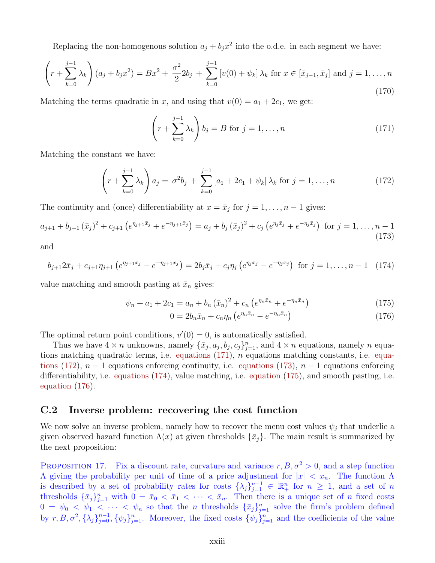Replacing the non-homogenous solution  $a_j + b_j x^2$  into the o.d.e. in each segment we have:

$$
\left(r+\sum_{k=0}^{j-1} \lambda_k\right)(a_j+b_jx^2) = Bx^2 + \frac{\sigma^2}{2}2b_j + \sum_{k=0}^{j-1} \left[v(0)+\psi_k\right]\lambda_k \text{ for } x \in [\bar{x}_{j-1},\bar{x}_j] \text{ and } j=1,\ldots,n\tag{170}
$$

Matching the terms quadratic in x, and using that  $v(0) = a_1 + 2c_1$ , we get:

$$
\left(r + \sum_{k=0}^{j-1} \lambda_k\right) b_j = B \text{ for } j = 1, \dots, n
$$
\n(171)

Matching the constant we have:

$$
\left(r+\sum_{k=0}^{j-1}\lambda_k\right)a_j = \sigma^2 b_j + \sum_{k=0}^{j-1} \left[a_1+2c_1+\psi_k\right]\lambda_k \text{ for } j=1,\ldots,n \tag{172}
$$

The continuity and (once) differentiability at  $x = \bar{x}_j$  for  $j = 1, \ldots, n-1$  gives:

$$
a_{j+1} + b_{j+1}(\bar{x}_j)^2 + c_{j+1} \left( e^{\eta_{j+1}\bar{x}_j} + e^{-\eta_{j+1}\bar{x}_j} \right) = a_j + b_j(\bar{x}_j)^2 + c_j \left( e^{\eta_j\bar{x}_j} + e^{-\eta_j\bar{x}_j} \right) \text{ for } j = 1, \dots, n-1
$$
\n(173)

and

$$
b_{j+1}2\bar{x}_j + c_{j+1}\eta_{j+1} \left(e^{\eta_{j+1}\bar{x}_j} - e^{-\eta_{j+1}\bar{x}_j}\right) = 2b_j\bar{x}_j + c_j\eta_j \left(e^{\eta_j\bar{x}_j} - e^{-\eta_j\bar{x}_j}\right) \text{ for } j = 1, \dots, n-1 \quad (174)
$$

value matching and smooth pasting at  $\bar{x}_n$  gives:

$$
\psi_n + a_1 + 2c_1 = a_n + b_n (\bar{x}_n)^2 + c_n (e^{\eta_n \bar{x}_n} + e^{-\eta_n \bar{x}_n})
$$
\n(175)

$$
0 = 2b_n\bar{x}_n + c_n\eta_n \left(e^{\eta_n\bar{x}_n} - e^{-\eta_n\bar{x}_n}\right) \tag{176}
$$

The optimal return point conditions,  $v'(0) = 0$ , is automatically satisfied.

Thus we have  $4 \times n$  unknowns, namely  $\{\bar{x}_j, a_j, b_j, c_j\}_{j=1}^n$ , and  $4 \times n$  equations, namely n equations matching quadratic terms, i.e. equations (171), n equations matching constants, i.e. equations (172),  $n-1$  equations enforcing continuity, i.e. equations (173),  $n-1$  equations enforcing differentiability, i.e. equations (174), value matching, i.e. equation (175), and smooth pasting, i.e. equation (176).

### C.2 Inverse problem: recovering the cost function

We now solve an inverse problem, namely how to recover the menu cost values  $\psi_j$  that underlie a given observed hazard function  $\Lambda(x)$  at given thresholds  $\{\bar{x}_j\}$ . The main result is summarized by the next proposition:

PROPOSITION 17. Fix a discount rate, curvature and variance  $r, B, \sigma^2 > 0$ , and a step function  $Λ$  giving the probability per unit of time of a price adjustment for  $|x| < x_n$ . The function Λ is described by a set of probability rates for costs  $\{\lambda_j\}_{j=1}^{n-1} \in \mathbb{R}_+^n$  for  $n \geq 1$ , and a set of n thresholds  $\{\bar{x}_j\}_{j=1}^n$  with  $0 = \bar{x}_0 < \bar{x}_1 < \cdots < \bar{x}_n$ . Then there is a unique set of *n* fixed costs  $0 = \psi_0 < \psi_1 < \cdots < \psi_n$  so that the *n* thresholds  $\{\bar{x}_j\}_{j=1}^n$  solve the firm's problem defined by  $r, B, \sigma^2, {\{\lambda_j\}}_{j=0}^{n-1}, {\{\psi_j\}}_{j=1}^n$ . Moreover, the fixed costs  ${\{\psi_j\}}_{j=1}^n$  and the coefficients of the value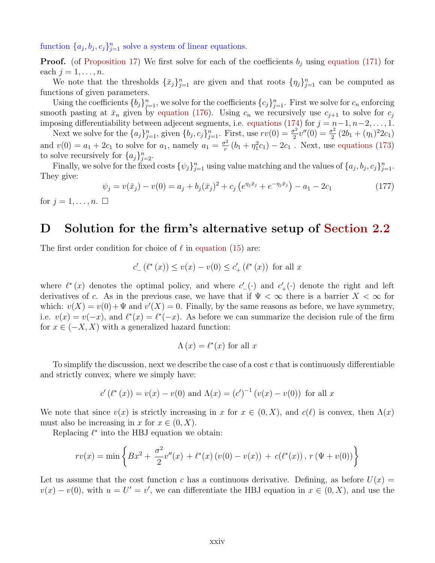function  $\{a_j, b_j, c_j\}_{j=1}^n$  solve a system of linear equations.

**Proof.** (of Proposition 17) We first solve for each of the coefficients  $b_j$  using equation (171) for each  $j = 1, \ldots, n$ .

We note that the thresholds  $\{\bar{x}_j\}_{j=1}^n$  are given and that roots  $\{\eta_j\}_{j=1}^n$  can be computed as functions of given parameters.

Using the coefficients  ${b_j}_{j=1}^n$ , we solve for the coefficients  ${c_j}_{j=1}^n$ . First we solve for  $c_n$  enforcing smooth pasting at  $\bar{x}_n$  given by equation (176). Using  $c_n$  we recursively use  $c_{j+1}$  to solve for  $c_j$ imposing differentiability between adjecent segments, i.e. equations (174) for  $j = n-1, n-2, \ldots, 1$ .

Next we solve for the  $\{a_j\}_{j=1}^n$ , given  $\{b_j, c_j\}_{j=1}^n$ . First, use  $rv(0) = \frac{\sigma^2}{2}$  $\frac{\sigma^2}{2}v''(0) = \frac{\sigma^2}{2}$  $\frac{\sigma^2}{2}(2b_1+(\eta_1)^22c_1)$ and  $v(0) = a_1 + 2c_1$  to solve for  $a_1$ , namely  $a_1 = \frac{\sigma^2}{r}$  $\frac{\sigma^2}{r}(b_1 + \eta_1^2 c_1) - 2c_1$ . Next, use equations (173) to solve recursively for  $\{a_j\}_{j=2}^n$ .

Finally, we solve for the fixed costs  $\{\psi_j\}_{j=1}^n$  using value matching and the values of  $\{a_j, b_j, c_j\}_{j=1}^n$ . They give:

$$
\psi_j = v(\bar{x}_j) - v(0) = a_j + b_j(\bar{x}_j)^2 + c_j \left( e^{\eta_j \bar{x}_j} + e^{-\eta_j \bar{x}_j} \right) - a_1 - 2c_1 \tag{177}
$$

for  $j = 1, \ldots, n$ .  $\Box$ 

### D Solution for the firm's alternative setup of Section 2.2

The first order condition for choice of  $\ell$  in equation (15) are:

$$
c'_{-}(\ell^*(x)) \le v(x) - v(0) \le c'_{+}(\ell^*(x))
$$
 for all x

where  $\ell^*(x)$  denotes the optimal policy, and where  $c'_{-}(\cdot)$  and  $c'_{+}(\cdot)$  denote the right and left derivatives of c. As in the previous case, we have that if  $\Psi < \infty$  there is a barrier  $X < \infty$  for which:  $v(X) = v(0) + \Psi$  and  $v'(X) = 0$ . Finally, by the same reasons as before, we have symmetry, i.e.  $v(x) = v(-x)$ , and  $\ell^*(x) = \ell^*(-x)$ . As before we can summarize the decision rule of the firm for  $x \in (-X, X)$  with a generalized hazard function:

$$
\Lambda(x) = \ell^*(x) \text{ for all } x
$$

To simplify the discussion, next we describe the case of a cost  $c$  that is continuously differentiable and strictly convex, where we simply have:

$$
c'(\ell^*(x)) = v(x) - v(0)
$$
 and  $\Lambda(x) = (c')^{-1}(v(x) - v(0))$  for all x

We note that since  $v(x)$  is strictly increasing in x for  $x \in (0, X)$ , and  $c(\ell)$  is convex, then  $\Lambda(x)$ must also be increasing in x for  $x \in (0, X)$ .

Replacing  $\ell^*$  into the HBJ equation we obtain:

$$
rv(x) = \min \left\{ Bx^2 + \frac{\sigma^2}{2}v''(x) + \ell^*(x)\left(v(0) - v(x)\right) + c(\ell^*(x)), r(\Psi + v(0)) \right\}
$$

Let us assume that the cost function c has a continuous derivative. Defining, as before  $U(x)$  =  $v(x) - v(0)$ , with  $u = U' = v'$ , we can differentiate the HBJ equation in  $x \in (0, X)$ , and use the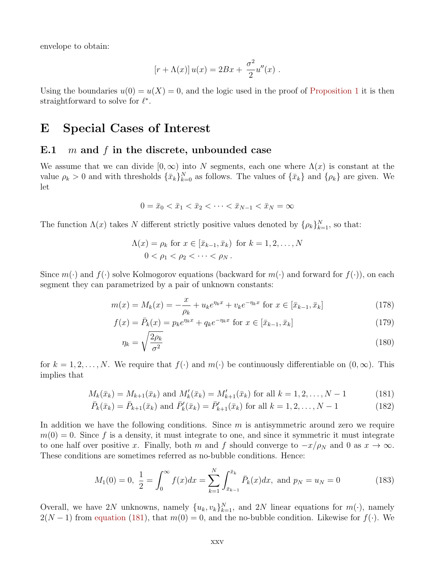envelope to obtain:

$$
[r + \Lambda(x)] u(x) = 2Bx + \frac{\sigma^2}{2}u''(x) .
$$

Using the boundaries  $u(0) = u(X) = 0$ , and the logic used in the proof of Proposition 1 it is then straightforward to solve for  $\ell^*$ .

### E Special Cases of Interest

#### E.1 m and f in the discrete, unbounded case

We assume that we can divide  $[0,\infty)$  into N segments, each one where  $\Lambda(x)$  is constant at the value  $\rho_k > 0$  and with thresholds  $\{\bar{x}_k\}_{k=0}^N$  as follows. The values of  $\{\bar{x}_k\}$  and  $\{\rho_k\}$  are given. We let

$$
0 = \bar{x}_0 < \bar{x}_1 < \bar{x}_2 < \dots < \bar{x}_{N-1} < \bar{x}_N = \infty
$$

The function  $\Lambda(x)$  takes N different strictly positive values denoted by  $\{\rho_k\}_{k=1}^N$ , so that:

$$
\Lambda(x) = \rho_k \text{ for } x \in [\bar{x}_{k-1}, \bar{x}_k] \text{ for } k = 1, 2, \dots, N
$$
  

$$
0 < \rho_1 < \rho_2 < \dots < \rho_N.
$$

Since  $m(\cdot)$  and  $f(\cdot)$  solve Kolmogorov equations (backward for  $m(\cdot)$  and forward for  $f(\cdot)$ ), on each segment they can parametrized by a pair of unknown constants:

$$
m(x) = M_k(x) = -\frac{x}{\rho_k} + u_k e^{\eta_k x} + v_k e^{-\eta_k x} \text{ for } x \in [\bar{x}_{k-1}, \bar{x}_k]
$$
 (178)

$$
f(x) = \bar{P}_k(x) = p_k e^{\eta_k x} + q_k e^{-\eta_k x} \text{ for } x \in [\bar{x}_{k-1}, \bar{x}_k]
$$
 (179)

$$
\eta_k = \sqrt{\frac{2\rho_k}{\sigma^2}}\tag{180}
$$

for  $k = 1, 2, ..., N$ . We require that  $f(\cdot)$  and  $m(\cdot)$  be continuously differentiable on  $(0, \infty)$ . This implies that

$$
M_k(\bar{x}_k) = M_{k+1}(\bar{x}_k) \text{ and } M'_k(\bar{x}_k) = M'_{k+1}(\bar{x}_k) \text{ for all } k = 1, 2, ..., N-1
$$
 (181)

$$
\bar{P}_k(\bar{x}_k) = \bar{P}_{k+1}(\bar{x}_k) \text{ and } \bar{P}'_k(\bar{x}_k) = \bar{P}'_{k+1}(\bar{x}_k) \text{ for all } k = 1, 2, \dots, N-1
$$
\n(182)

In addition we have the following conditions. Since  $m$  is antisymmetric around zero we require  $m(0) = 0$ . Since f is a density, it must integrate to one, and since it symmetric it must integrate to one half over positive x. Finally, both m and f should converge to  $-x/\rho_N$  and 0 as  $x \to \infty$ . These conditions are sometimes referred as no-bubble conditions. Hence:

$$
M_1(0) = 0, \ \frac{1}{2} = \int_0^\infty f(x)dx = \sum_{k=1}^N \int_{\bar{x}_{k-1}}^{\bar{x}_k} \bar{P}_k(x)dx, \text{ and } p_N = u_N = 0 \tag{183}
$$

Overall, we have 2N unknowns, namely  $\{u_k, v_k\}_{k=1}^N$ , and 2N linear equations for  $m(\cdot)$ , namely  $2(N-1)$  from equation (181), that  $m(0) = 0$ , and the no-bubble condition. Likewise for  $f(\cdot)$ . We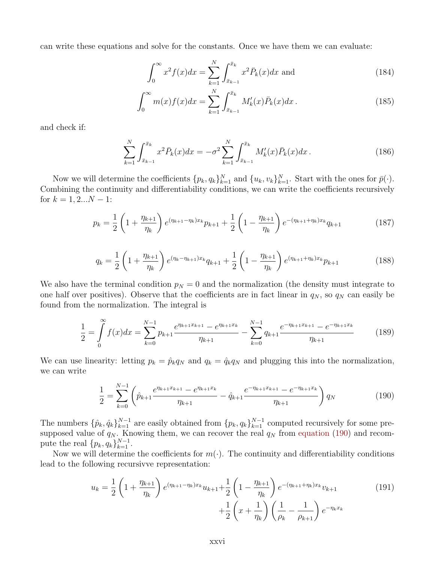can write these equations and solve for the constants. Once we have them we can evaluate:

$$
\int_0^\infty x^2 f(x) dx = \sum_{k=1}^N \int_{\bar{x}_{k-1}}^{\bar{x}_k} x^2 \bar{P}_k(x) dx \text{ and } (184)
$$

$$
\int_0^\infty m(x)f(x)dx = \sum_{k=1}^N \int_{\bar{x}_{k-1}}^{\bar{x}_k} M'_k(x)\bar{P}_k(x)dx.
$$
 (185)

and check if:

$$
\sum_{k=1}^{N} \int_{\bar{x}_{k-1}}^{\bar{x}_k} x^2 \bar{P}_k(x) dx = -\sigma^2 \sum_{k=1}^{N} \int_{\bar{x}_{k-1}}^{\bar{x}_k} M'_k(x) \bar{P}_k(x) dx.
$$
 (186)

Now we will determine the coefficients  $\{p_k, q_k\}_{k=1}^N$  and  $\{u_k, v_k\}_{k=1}^N$ . Start with the ones for  $\bar{p}(\cdot)$ . Combining the continuity and differentiability conditions, we can write the coefficients recursively for  $k = 1, 2...N - 1$ :

$$
p_k = \frac{1}{2} \left( 1 + \frac{\eta_{k+1}}{\eta_k} \right) e^{(\eta_{k+1} - \eta_k)x_k} p_{k+1} + \frac{1}{2} \left( 1 - \frac{\eta_{k+1}}{\eta_k} \right) e^{-(\eta_{k+1} + \eta_k)x_k} q_{k+1}
$$
(187)

$$
q_k = \frac{1}{2} \left( 1 + \frac{\eta_{k+1}}{\eta_k} \right) e^{(\eta_k - \eta_{k+1})x_k} q_{k+1} + \frac{1}{2} \left( 1 - \frac{\eta_{k+1}}{\eta_k} \right) e^{(\eta_{k+1} + \eta_k)x_k} p_{k+1}
$$
(188)

We also have the terminal condition  $p_N = 0$  and the normalization (the density must integrate to one half over positives). Observe that the coefficients are in fact linear in  $q_N$ , so  $q_N$  can easily be found from the normalization. The integral is

$$
\frac{1}{2} = \int_{0}^{\infty} f(x)dx = \sum_{k=0}^{N-1} p_{k+1} \frac{e^{\eta_{k+1}x_{k+1}} - e^{\eta_{k+1}x_k}}{\eta_{k+1}} - \sum_{k=0}^{N-1} q_{k+1} \frac{e^{-\eta_{k+1}x_{k+1}} - e^{-\eta_{k+1}x_k}}{\eta_{k+1}}
$$
(189)

We can use linearity: letting  $p_k = \hat{p}_k q_N$  and  $q_k = \hat{q}_k q_N$  and plugging this into the normalization, we can write

$$
\frac{1}{2} = \sum_{k=0}^{N-1} \left( \hat{p}_{k+1} \frac{e^{\eta_{k+1} x_{k+1}} - e^{\eta_{k+1} x_k}}{\eta_{k+1}} - \hat{q}_{k+1} \frac{e^{-\eta_{k+1} x_{k+1}} - e^{-\eta_{k+1} x_k}}{\eta_{k+1}} \right) q_N \tag{190}
$$

The numbers  $\{\hat{p}_k, \hat{q}_k\}_{k=1}^{N-1}$  are easily obtained from  $\{p_k, q_k\}_{k=1}^{N-1}$  computed recursively for some presupposed value of  $q_N$ . Knowing them, we can recover the real  $q_N$  from equation (190) and recompute the real  $\{p_k, q_k\}_{k=1}^{N-1}$ .

Now we will determine the coefficients for  $m(\cdot)$ . The continuity and differentiability conditions lead to the following recursivve representation:

$$
u_k = \frac{1}{2} \left( 1 + \frac{\eta_{k+1}}{\eta_k} \right) e^{(\eta_{k+1} - \eta_k)x_k} u_{k+1} + \frac{1}{2} \left( 1 - \frac{\eta_{k+1}}{\eta_k} \right) e^{-(\eta_{k+1} + \eta_k)x_k} v_{k+1} + \frac{1}{2} \left( x + \frac{1}{\eta_k} \right) \left( \frac{1}{\rho_k} - \frac{1}{\rho_{k+1}} \right) e^{-\eta_k x_k}
$$
(191)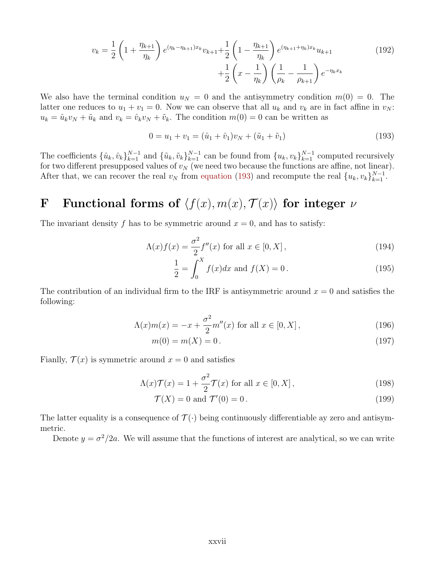$$
v_k = \frac{1}{2} \left( 1 + \frac{\eta_{k+1}}{\eta_k} \right) e^{(\eta_k - \eta_{k+1})x_k} v_{k+1} + \frac{1}{2} \left( 1 - \frac{\eta_{k+1}}{\eta_k} \right) e^{(\eta_{k+1} + \eta_k)x_k} u_{k+1} + \frac{1}{2} \left( x - \frac{1}{\eta_k} \right) \left( \frac{1}{\rho_k} - \frac{1}{\rho_{k+1}} \right) e^{-\eta_k x_k}
$$
(192)

We also have the terminal condition  $u_N = 0$  and the antisymmetry condition  $m(0) = 0$ . The latter one reduces to  $u_1 + v_1 = 0$ . Now we can observe that all  $u_k$  and  $v_k$  are in fact affine in  $v_N$ :  $u_k = \hat{u}_k v_N + \tilde{u}_k$  and  $v_k = \hat{v}_k v_N + \tilde{v}_k$ . The condition  $m(0) = 0$  can be written as

$$
0 = u_1 + v_1 = (\hat{u}_1 + \hat{v}_1)v_N + (\tilde{u}_1 + \tilde{v}_1)
$$
\n(193)

The coefficients  $\{\hat{u}_k, \hat{v}_k\}_{k=1}^{N-1}$  and  $\{\tilde{u}_k, \tilde{v}_k\}_{k=1}^{N-1}$  can be found from  $\{u_k, v_k\}_{k=1}^{N-1}$  computed recursively for two different presupposed values of  $v_N$  (we need two because the functions are affine, not linear). After that, we can recover the real  $v_N$  from equation (193) and recompute the real  $\{u_k, v_k\}_{k=1}^{N-1}$ .

# F Functional forms of  $\langle f(x), m(x), T(x)\rangle$  for integer  $\nu$

The invariant density f has to be symmetric around  $x = 0$ , and has to satisfy:

$$
\Lambda(x)f(x) = \frac{\sigma^2}{2}f''(x) \text{ for all } x \in [0, X], \qquad (194)
$$

$$
\frac{1}{2} = \int_0^X f(x)dx \text{ and } f(X) = 0.
$$
 (195)

The contribution of an individual firm to the IRF is antisymmetric around  $x = 0$  and satisfies the following:

$$
\Lambda(x)m(x) = -x + \frac{\sigma^2}{2}m''(x) \text{ for all } x \in [0, X],
$$
\n(196)

$$
m(0) = m(X) = 0.
$$
\n(197)

Fianlly,  $\mathcal{T}(x)$  is symmetric around  $x = 0$  and satisfies

$$
\Lambda(x)\mathcal{T}(x) = 1 + \frac{\sigma^2}{2}\mathcal{T}(x) \text{ for all } x \in [0, X],\tag{198}
$$

$$
\mathcal{T}(X) = 0 \text{ and } \mathcal{T}'(0) = 0. \tag{199}
$$

The latter equality is a consequence of  $\mathcal{T}(\cdot)$  being continuously differentiable ay zero and antisymmetric.

Denote  $y = \sigma^2/2a$ . We will assume that the functions of interest are analytical, so we can write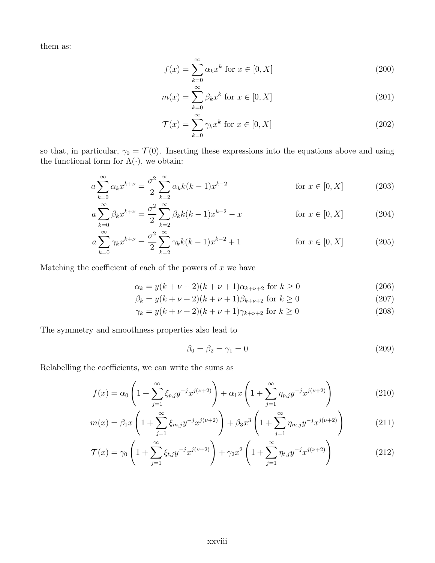them as:

$$
f(x) = \sum_{k=0}^{\infty} \alpha_k x^k \text{ for } x \in [0, X]
$$
 (200)

$$
m(x) = \sum_{k=0}^{\infty} \beta_k x^k \text{ for } x \in [0, X]
$$
 (201)

$$
\mathcal{T}(x) = \sum_{k=0}^{\infty} \gamma_k x^k \text{ for } x \in [0, X]
$$
\n(202)

so that, in particular,  $\gamma_0 = \mathcal{T}(0)$ . Inserting these expressions into the equations above and using the functional form for  $\Lambda(\cdot)$ , we obtain:

$$
a\sum_{k=0}^{\infty} \alpha_k x^{k+\nu} = \frac{\sigma^2}{2} \sum_{k=2}^{\infty} \alpha_k k(k-1) x^{k-2}
$$
 for  $x \in [0, X]$  (203)

$$
a\sum_{k=0}^{\infty} \beta_k x^{k+\nu} = \frac{\sigma^2}{2} \sum_{k=2}^{\infty} \beta_k k(k-1) x^{k-2} - x \qquad \text{for } x \in [0, X]
$$
 (204)

$$
a\sum_{k=0}^{\infty} \gamma_k x^{k+\nu} = \frac{\sigma^2}{2} \sum_{k=2}^{\infty} \gamma_k k(k-1) x^{k-2} + 1 \qquad \text{for } x \in [0, X]
$$
 (205)

Matching the coefficient of each of the powers of  $x$  we have

$$
\alpha_k = y(k + \nu + 2)(k + \nu + 1)\alpha_{k+\nu+2} \text{ for } k \ge 0
$$
\n(206)

$$
\beta_k = y(k + \nu + 2)(k + \nu + 1)\beta_{k+\nu+2} \text{ for } k \ge 0
$$
\n(207)

$$
\gamma_k = y(k + \nu + 2)(k + \nu + 1)\gamma_{k+\nu+2} \text{ for } k \ge 0
$$
\n(208)

The symmetry and smoothness properties also lead to

$$
\beta_0 = \beta_2 = \gamma_1 = 0 \tag{209}
$$

Relabelling the coefficients, we can write the sums as

$$
f(x) = \alpha_0 \left( 1 + \sum_{j=1}^{\infty} \xi_{p,j} y^{-j} x^{j(\nu+2)} \right) + \alpha_1 x \left( 1 + \sum_{j=1}^{\infty} \eta_{p,j} y^{-j} x^{j(\nu+2)} \right)
$$
(210)

$$
m(x) = \beta_1 x \left( 1 + \sum_{j=1}^{\infty} \xi_{m,j} y^{-j} x^{j(\nu+2)} \right) + \beta_3 x^3 \left( 1 + \sum_{j=1}^{\infty} \eta_{m,j} y^{-j} x^{j(\nu+2)} \right)
$$
(211)

$$
\mathcal{T}(x) = \gamma_0 \left( 1 + \sum_{j=1}^{\infty} \xi_{t,j} y^{-j} x^{j(\nu+2)} \right) + \gamma_2 x^2 \left( 1 + \sum_{j=1}^{\infty} \eta_{t,j} y^{-j} x^{j(\nu+2)} \right)
$$
(212)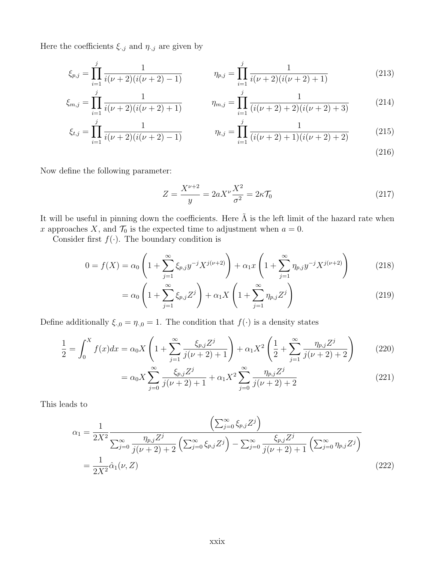Here the coefficients  $\xi_{\cdot,j}$  and  $\eta_{\cdot,j}$  are given by

$$
\xi_{p,j} = \prod_{i=1}^{j} \frac{1}{i(\nu+2)(i(\nu+2)-1)} \qquad \eta_{p,j} = \prod_{i=1}^{j} \frac{1}{i(\nu+2)(i(\nu+2)+1)} \qquad (213)
$$

$$
\xi_{m,j} = \prod_{i=1}^{j} \frac{1}{i(\nu+2)(i(\nu+2)+1)} \qquad \eta_{m,j} = \prod_{i=1}^{j} \frac{1}{(i(\nu+2)+2)(i(\nu+2)+3)} \qquad (214)
$$

$$
\xi_{t,j} = \prod_{i=1}^{j} \frac{1}{i(\nu+2)(i(\nu+2)-1)} \qquad \eta_{t,j} = \prod_{i=1}^{j} \frac{1}{(i(\nu+2)+1)(i(\nu+2)+2)} \qquad (215)
$$

(216)

Now define the following parameter:

$$
Z = \frac{X^{\nu+2}}{y} = 2aX^{\nu}\frac{X^2}{\sigma^2} = 2\kappa\mathcal{T}_0
$$
 (217)

It will be useful in pinning down the coefficients. Here  $\tilde{\Lambda}$  is the left limit of the hazard rate when x approaches X, and  $\mathcal{T}_0$  is the expected time to adjustment when  $a = 0$ .

Consider first  $f(\cdot)$ . The boundary condition is

$$
0 = f(X) = \alpha_0 \left( 1 + \sum_{j=1}^{\infty} \xi_{p,j} y^{-j} X^{j(\nu+2)} \right) + \alpha_1 x \left( 1 + \sum_{j=1}^{\infty} \eta_{p,j} y^{-j} X^{j(\nu+2)} \right) \tag{218}
$$

$$
= \alpha_0 \left( 1 + \sum_{j=1}^{\infty} \xi_{p,j} Z^j \right) + \alpha_1 X \left( 1 + \sum_{j=1}^{\infty} \eta_{p,j} Z^j \right)
$$
\n(219)

Define additionally  $\xi_{0} = \eta_{0} = 1$ . The condition that  $f(\cdot)$  is a density states

$$
\frac{1}{2} = \int_0^X f(x)dx = \alpha_0 X \left( 1 + \sum_{j=1}^\infty \frac{\xi_{p,j} Z^j}{j(\nu + 2) + 1} \right) + \alpha_1 X^2 \left( \frac{1}{2} + \sum_{j=1}^\infty \frac{\eta_{p,j} Z^j}{j(\nu + 2) + 2} \right) \tag{220}
$$

$$
= \alpha_0 X \sum_{j=0}^{\infty} \frac{\xi_{p,j} Z^j}{j(\nu+2)+1} + \alpha_1 X^2 \sum_{j=0}^{\infty} \frac{\eta_{p,j} Z^j}{j(\nu+2)+2}
$$
(221)

This leads to

$$
\alpha_{1} = \frac{1}{2X^{2}} \frac{\left(\sum_{j=0}^{\infty} \xi_{p,j} Z^{j}\right)}{\sum_{j=0}^{\infty} \frac{\eta_{p,j} Z^{j}}{j(\nu+2)+2} \left(\sum_{j=0}^{\infty} \xi_{p,j} Z^{j}\right) - \sum_{j=0}^{\infty} \frac{\xi_{p,j} Z^{j}}{j(\nu+2)+1} \left(\sum_{j=0}^{\infty} \eta_{p,j} Z^{j}\right)}
$$
\n
$$
= \frac{1}{2X^{2}} \hat{\alpha}_{1}(\nu, Z) \tag{222}
$$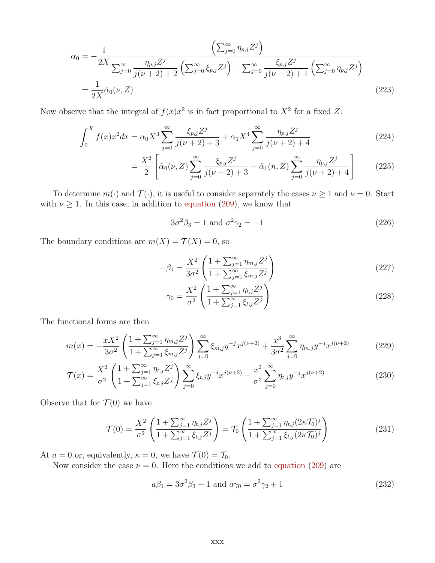$$
\alpha_0 = -\frac{1}{2X} \frac{\left(\sum_{j=0}^{\infty} \eta_{p,j} Z^j\right)}{\sum_{j=0}^{\infty} \frac{\eta_{p,j} Z^j}{j(\nu+2)+2} \left(\sum_{j=0}^{\infty} \xi_{p,j} Z^j\right) - \sum_{j=0}^{\infty} \frac{\xi_{p,j} Z^j}{j(\nu+2)+1} \left(\sum_{j=0}^{\infty} \eta_{p,j} Z^j\right)}
$$
\n
$$
= \frac{1}{2X} \hat{\alpha}_0(\nu, Z) \tag{223}
$$

Now observe that the integral of  $f(x)x^2$  is in fact proportional to  $X^2$  for a fixed Z:

$$
\int_0^X f(x)x^2 dx = \alpha_0 X^3 \sum_{j=0}^\infty \frac{\xi_{p,j} Z^j}{j(\nu+2)+3} + \alpha_1 X^4 \sum_{j=0}^\infty \frac{\eta_{p,j} Z^j}{j(\nu+2)+4}
$$
(224)

$$
= \frac{X^2}{2} \left[ \hat{\alpha}_0(\nu, Z) \sum_{j=0}^{\infty} \frac{\xi_{p,j} Z^j}{j(\nu+2)+3} + \hat{\alpha}_1(n, Z) \sum_{j=0}^{\infty} \frac{\eta_{p,j} Z^j}{j(\nu+2)+4} \right]
$$
(225)

To determine  $m(\cdot)$  and  $\mathcal{T}(\cdot)$ , it is useful to consider separately the cases  $\nu \geq 1$  and  $\nu = 0$ . Start with  $\nu \geq 1$ . In this case, in addition to equation (209), we know that

$$
3\sigma^2 \beta_3 = 1 \text{ and } \sigma^2 \gamma_2 = -1 \tag{226}
$$

The boundary conditions are  $m(X) = \mathcal{T}(X) = 0$ , so

$$
-\beta_1 = \frac{X^2}{3\sigma^2} \left( \frac{1 + \sum_{j=1}^{\infty} \eta_{m,j} Z^j}{1 + \sum_{j=1}^{\infty} \xi_{m,j} Z^j} \right)
$$
(227)

$$
\gamma_0 = \frac{X^2}{\sigma^2} \left( \frac{1 + \sum_{j=1}^{\infty} \eta_{t,j} Z^j}{1 + \sum_{j=1}^{\infty} \xi_{t,j} Z^j} \right)
$$
(228)

The functional forms are then

$$
m(x) = -\frac{xX^2}{3\sigma^2} \left( \frac{1 + \sum_{j=1}^{\infty} \eta_{m,j} Z^j}{1 + \sum_{j=1}^{\infty} \xi_{m,j} Z^j} \right) \sum_{j=0}^{\infty} \xi_{m,j} y^{-j} x^{j(\nu+2)} + \frac{x^3}{3\sigma^2} \sum_{j=0}^{\infty} \eta_{m,j} y^{-j} x^{j(\nu+2)}
$$
(229)

$$
\mathcal{T}(x) = \frac{X^2}{\sigma^2} \left( \frac{1 + \sum_{j=1}^{\infty} \eta_{t,j} Z^j}{1 + \sum_{j=1}^{\infty} \xi_{t,j} Z^j} \right) \sum_{j=0}^{\infty} \xi_{t,j} y^{-j} x^{j(\nu+2)} - \frac{x^2}{\sigma^2} \sum_{j=0}^{\infty} \eta_{t,j} y^{-j} x^{j(\nu+2)}
$$
(230)

Observe that for  $\mathcal{T}(0)$  we have

$$
\mathcal{T}(0) = \frac{X^2}{\sigma^2} \left( \frac{1 + \sum_{j=1}^{\infty} \eta_{t,j} Z^j}{1 + \sum_{j=1}^{\infty} \xi_{t,j} Z^j} \right) = \mathcal{T}_0 \left( \frac{1 + \sum_{j=1}^{\infty} \eta_{t,j} (2\kappa \mathcal{T}_0)^j}{1 + \sum_{j=1}^{\infty} \xi_{t,j} (2\kappa \mathcal{T}_0)^j} \right)
$$
(231)

At  $a = 0$  or, equivalently,  $\kappa = 0$ , we have  $\mathcal{T}(0) = \mathcal{T}_0$ .

Now consider the case  $\nu = 0$ . Here the conditions we add to equation (209) are

$$
a\beta_1 = 3\sigma^2\beta_3 - 1 \text{ and } a\gamma_0 = \sigma^2\gamma_2 + 1 \tag{232}
$$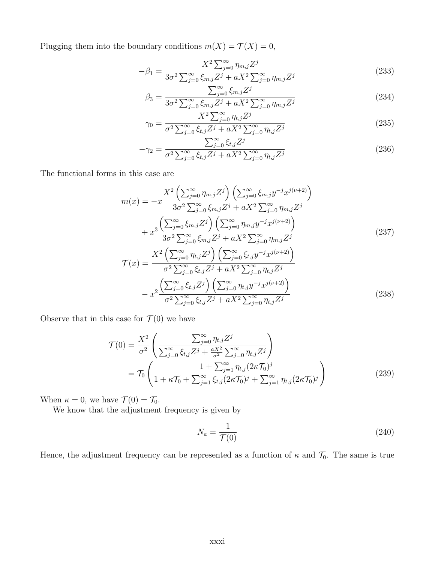Plugging them into the boundary conditions  $m(X) = \mathcal{T}(X) = 0$ ,

$$
-\beta_1 = \frac{X^2 \sum_{j=0}^{\infty} \eta_{m,j} Z^j}{3\sigma^2 \sum_{j=0}^{\infty} \xi_{m,j} Z^j + aX^2 \sum_{j=0}^{\infty} \eta_{m,j} Z^j}
$$
(233)

$$
\beta_3 = \frac{\sum_{j=0}^{\infty} \xi_{m,j} Z^j}{3\sigma^2 \sum_{j=0}^{\infty} \xi_{m,j} Z^j + aX^2 \sum_{j=0}^{\infty} \eta_{m,j} Z^j}
$$
(234)

$$
\gamma_0 = \frac{X^2 \sum_{j=0}^{\infty} \eta_{t,j} Z^j}{\sigma^2 \sum_{j=0}^{\infty} \xi_{t,j} Z^j + a X^2 \sum_{j=0}^{\infty} \eta_{t,j} Z^j}
$$
(235)

$$
-\gamma_2 = \frac{\sum_{j=0}^{\infty} \xi_{t,j} Z^j}{\sigma^2 \sum_{j=0}^{\infty} \xi_{t,j} Z^j + a X^2 \sum_{j=0}^{\infty} \eta_{t,j} Z^j}
$$
(236)

The functional forms in this case are

$$
m(x) = -x \frac{X^2 \left(\sum_{j=0}^{\infty} \eta_{m,j} Z^j\right) \left(\sum_{j=0}^{\infty} \xi_{m,j} y^{-j} x^{j(\nu+2)}\right)}{3\sigma^2 \sum_{j=0}^{\infty} \xi_{m,j} Z^j + aX^2 \sum_{j=0}^{\infty} \eta_{m,j} Z^j} + x^3 \frac{\left(\sum_{j=0}^{\infty} \xi_{m,j} Z^j\right) \left(\sum_{j=0}^{\infty} \eta_{m,j} y^{-j} x^{j(\nu+2)}\right)}{3\sigma^2 \sum_{j=0}^{\infty} \xi_{m,j} Z^j + aX^2 \sum_{j=0}^{\infty} \eta_{m,j} Z^j} \n\mathcal{T}(x) = \frac{X^2 \left(\sum_{j=0}^{\infty} \eta_{t,j} Z^j\right) \left(\sum_{j=0}^{\infty} \xi_{t,j} y^{-j} x^{j(\nu+2)}\right)}{\sigma^2 \sum_{j=0}^{\infty} \xi_{t,j} Z^j + aX^2 \sum_{j=0}^{\infty} \eta_{t,j} Z^j}
$$
\n(237)

$$
- x^2 \frac{\left(\sum_{j=0}^{\infty} \xi_{t,j} Z^j\right) \left(\sum_{j=0}^{\infty} \eta_{t,j} y^{-j} x^{j(\nu+2)}\right)}{\sigma^2 \sum_{j=0}^{\infty} \xi_{t,j} Z^j + a X^2 \sum_{j=0}^{\infty} \eta_{t,j} Z^j}
$$
(238)

Observe that in this case for  $\mathcal{T}(0)$  we have

$$
\mathcal{T}(0) = \frac{X^2}{\sigma^2} \left( \frac{\sum_{j=0}^{\infty} \eta_{t,j} Z^j}{\sum_{j=0}^{\infty} \xi_{t,j} Z^j + \frac{aX^2}{\sigma^2} \sum_{j=0}^{\infty} \eta_{t,j} Z^j} \right) \n= \mathcal{T}_0 \left( \frac{1 + \sum_{j=1}^{\infty} \eta_{t,j} (2\kappa \mathcal{T}_0)^j}{1 + \kappa \mathcal{T}_0 + \sum_{j=1}^{\infty} \xi_{t,j} (2\kappa \mathcal{T}_0)^j + \sum_{j=1}^{\infty} \eta_{t,j} (2\kappa \mathcal{T}_0)^j} \right)
$$
\n(239)

When  $\kappa = 0$ , we have  $\mathcal{T}(0) = \mathcal{T}_0$ .

We know that the adjustment frequency is given by

$$
N_a = \frac{1}{\mathcal{T}(0)}\tag{240}
$$

Hence, the adjustment frequency can be represented as a function of  $\kappa$  and  $\mathcal{T}_0$ . The same is true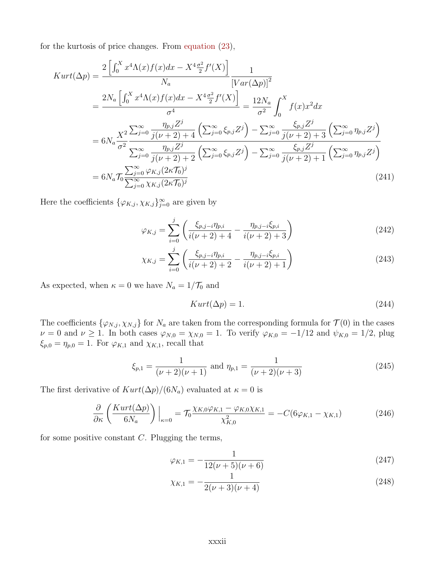for the kurtosis of price changes. From equation (23),

$$
Kurt(\Delta p) = \frac{2\left[\int_0^X x^4 \Lambda(x)f(x)dx - X^4 \frac{\sigma^2}{2}f'(X)\right]}{N_a} \frac{1}{\left[Var(\Delta p)\right]^2}
$$
  
\n
$$
= \frac{2N_a \left[\int_0^X x^4 \Lambda(x)f(x)dx - X^4 \frac{\sigma^2}{2}f'(X)\right]}{\sigma^4} = \frac{12N_a}{\sigma^2} \int_0^X f(x)x^2 dx
$$
  
\n
$$
= 6N_a \frac{X^2}{\sigma^2} \frac{\sum_{j=0}^\infty \frac{\eta_{p,j}Z^j}{j(\nu+2)+4} \left(\sum_{j=0}^\infty \xi_{p,j}Z^j\right) - \sum_{j=0}^\infty \frac{\xi_{p,j}Z^j}{j(\nu+2)+3} \left(\sum_{j=0}^\infty \eta_{p,j}Z^j\right)}{\sum_{j=0}^\infty \frac{\eta_{p,j}Z^j}{j(\nu+2)+2} \left(\sum_{j=0}^\infty \xi_{p,j}Z^j\right) - \sum_{j=0}^\infty \frac{\xi_{p,j}Z^j}{j(\nu+2)+1} \left(\sum_{j=0}^\infty \eta_{p,j}Z^j\right)}
$$
  
\n
$$
= 6N_a \mathcal{T}_0 \frac{\sum_{j=0}^\infty \varphi_{K,j}(2\kappa \mathcal{T}_0)^j}{\sum_{j=0}^\infty \chi_{K,j}(2\kappa \mathcal{T}_0)^j}
$$
 (241)

Here the coefficients  $\{\varphi_{K,j}, \chi_{K,j}\}_{j=0}^{\infty}$  are given by

$$
\varphi_{K,j} = \sum_{i=0}^{j} \left( \frac{\xi_{p,j-i} \eta_{p,i}}{i(\nu+2)+4} - \frac{\eta_{p,j-i} \xi_{p,i}}{i(\nu+2)+3} \right)
$$
(242)

$$
\chi_{K,j} = \sum_{i=0}^{j} \left( \frac{\xi_{p,j-i} \eta_{p,i}}{i(\nu+2)+2} - \frac{\eta_{p,j-i} \xi_{p,i}}{i(\nu+2)+1} \right)
$$
(243)

As expected, when  $\kappa = 0$  we have  $N_a = 1/\mathcal{T}_0$  and

$$
Kurt(\Delta p) = 1. \tag{244}
$$

The coefficients  $\{\varphi_{N,j}, \chi_{N,j}\}$  for  $N_a$  are taken from the corresponding formula for  $\mathcal{T}(0)$  in the cases  $\nu = 0$  and  $\nu \ge 1$ . In both cases  $\varphi_{N,0} = \chi_{N,0} = 1$ . To verify  $\varphi_{K,0} = -1/12$  and  $\psi_{K,0} = 1/2$ , plug  $\xi_{p,0} = \eta_{p,0} = 1$ . For  $\varphi_{K,1}$  and  $\chi_{K,1}$ , recall that

$$
\xi_{p,1} = \frac{1}{(\nu+2)(\nu+1)} \text{ and } \eta_{p,1} = \frac{1}{(\nu+2)(\nu+3)}\tag{245}
$$

The first derivative of  $Kurt(\Delta p)/(6N_a)$  evaluated at  $\kappa = 0$  is

$$
\frac{\partial}{\partial \kappa} \left( \frac{Kurt(\Delta p)}{6N_a} \right) \Big|_{\kappa=0} = \mathcal{T}_0 \frac{\chi_{K,0} \varphi_{K,1} - \varphi_{K,0} \chi_{K,1}}{\chi_{K,0}^2} = -C(6\varphi_{K,1} - \chi_{K,1})
$$
(246)

for some positive constant  $C$ . Plugging the terms,

$$
\varphi_{K,1} = -\frac{1}{12(\nu+5)(\nu+6)}
$$
\n(247)

$$
\chi_{K,1} = -\frac{1}{2(\nu+3)(\nu+4)}\tag{248}
$$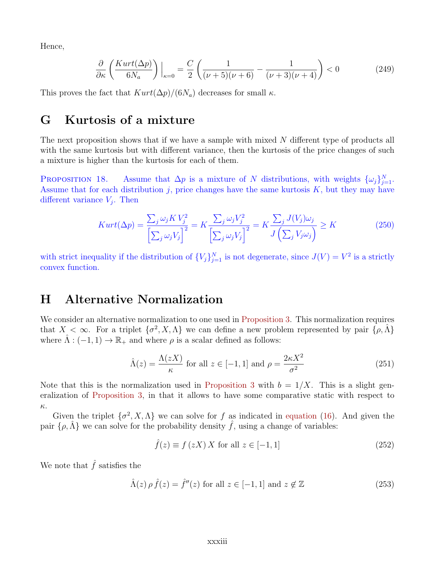Hence,

$$
\frac{\partial}{\partial \kappa} \left( \frac{Kurt(\Delta p)}{6N_a} \right) \Big|_{\kappa=0} = \frac{C}{2} \left( \frac{1}{(\nu+5)(\nu+6)} - \frac{1}{(\nu+3)(\nu+4)} \right) < 0 \tag{249}
$$

This proves the fact that  $Kurt(\Delta p)/(6N_a)$  decreases for small  $\kappa$ .

### G Kurtosis of a mixture

The next proposition shows that if we have a sample with mixed N different type of products all with the same kurtosis but with different variance, then the kurtosis of the price changes of such a mixture is higher than the kurtosis for each of them.

PROPOSITION 18. Assume that  $\Delta p$  is a mixture of N distributions, with weights  $\{\omega_j\}_{j=1}^N$ . Assume that for each distribution  $j$ , price changes have the same kurtosis  $K$ , but they may have different variance  $V_j$ . Then

$$
Kurt(\Delta p) = \frac{\sum_{j} \omega_j K V_j^2}{\left[\sum_{j} \omega_j V_j\right]^2} = K \frac{\sum_{j} \omega_j V_j^2}{\left[\sum_{j} \omega_j V_j\right]^2} = K \frac{\sum_{j} J(V_j) \omega_j}{J\left(\sum_{j} V_j \omega_j\right)} \ge K
$$
\n(250)

with strict inequality if the distribution of  ${V_j}_{j=1}^N$  is not degenerate, since  $J(V) = V^2$  is a strictly convex function.

## H Alternative Normalization

We consider an alternative normalization to one used in Proposition 3. This normalization requires that  $X < \infty$ . For a triplet  $\{\sigma^2, X, \Lambda\}$  we can define a new problem represented by pair  $\{\rho, \hat{\Lambda}\}$ where  $\hat{\Lambda}$  :  $(-1, 1) \rightarrow \mathbb{R}_+$  and where  $\rho$  is a scalar defined as follows:

$$
\hat{\Lambda}(z) = \frac{\Lambda(zX)}{\kappa} \text{ for all } z \in [-1, 1] \text{ and } \rho = \frac{2\kappa X^2}{\sigma^2}
$$
\n(251)

Note that this is the normalization used in Proposition 3 with  $b = 1/X$ . This is a slight generalization of Proposition 3, in that it allows to have some comparative static with respect to κ.

Given the triplet  $\{\sigma^2, X, \Lambda\}$  we can solve for f as indicated in equation (16). And given the pair  $\{\rho,\hat{\Lambda}\}\$  we can solve for the probability density  $\hat{f}$ , using a change of variables:

$$
\hat{f}(z) \equiv f(zX) X \text{ for all } z \in [-1, 1]
$$
\n(252)

We note that  $\hat{f}$  satisfies the

$$
\hat{\Lambda}(z)\,\rho\,\hat{f}(z) = \hat{f}''(z) \text{ for all } z \in [-1,1] \text{ and } z \notin \mathbb{Z}
$$
\n(253)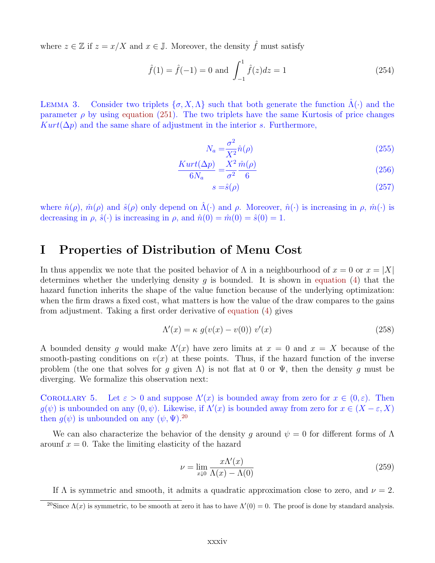where  $z \in \mathbb{Z}$  if  $z = x/X$  and  $x \in \mathbb{J}$ . Moreover, the density  $\hat{f}$  must satisfy

$$
\hat{f}(1) = \hat{f}(-1) = 0
$$
 and  $\int_{-1}^{1} \hat{f}(z)dz = 1$  (254)

LEMMA 3. Consider two triplets  $\{\sigma, X, \Lambda\}$  such that both generate the function  $\Lambda(\cdot)$  and the parameter  $\rho$  by using equation (251). The two triplets have the same Kurtosis of price changes  $Kurt(\Delta p)$  and the same share of adjustment in the interior s. Furthermore,

$$
N_a = \frac{\sigma^2}{X^2} \hat{n}(\rho) \tag{255}
$$

$$
\frac{Kurt(\Delta p)}{6N_a} = \frac{X^2}{\sigma^2} \frac{\hat{m}(\rho)}{6}
$$
\n(256)

$$
s = \hat{s}(\rho) \tag{257}
$$

where  $\hat{n}(\rho)$ ,  $\hat{m}(\rho)$  and  $\hat{s}(\rho)$  only depend on  $\hat{\Lambda}(\cdot)$  and  $\rho$ . Moreover,  $\hat{n}(\cdot)$  is increasing in  $\rho$ ,  $\hat{m}(\cdot)$  is decreasing in  $\rho$ ,  $\hat{s}(\cdot)$  is increasing in  $\rho$ , and  $\hat{n}(0) = \hat{m}(0) = \hat{s}(0) = 1$ .

### I Properties of Distribution of Menu Cost

In thus appendix we note that the posited behavior of  $\Lambda$  in a neighbourhood of  $x = 0$  or  $x = |X|$ determines whether the underlying density q is bounded. It is shown in equation (4) that the hazard function inherits the shape of the value function because of the underlying optimization: when the firm draws a fixed cost, what matters is how the value of the draw compares to the gains from adjustment. Taking a first order derivative of equation (4) gives

$$
\Lambda'(x) = \kappa \ g(v(x) - v(0)) \ v'(x) \tag{258}
$$

A bounded density g would make  $\Lambda'(x)$  have zero limits at  $x = 0$  and  $x = X$  because of the smooth-pasting conditions on  $v(x)$  at these points. Thus, if the hazard function of the inverse problem (the one that solves for g given  $\Lambda$ ) is not flat at 0 or  $\Psi$ , then the density g must be diverging. We formalize this observation next:

COROLLARY 5. Let  $\varepsilon > 0$  and suppose  $\Lambda'(x)$  is bounded away from zero for  $x \in (0, \varepsilon)$ . Then  $g(\psi)$  is unbounded on any  $(0, \psi)$ . Likewise, if  $\Lambda'(x)$  is bounded away from zero for  $x \in (X - \varepsilon, X)$ then  $g(\psi)$  is unbounded on any  $(\psi, \Psi)$ .<sup>20</sup>

We can also characterize the behavior of the density g around  $\psi = 0$  for different forms of  $\Lambda$ arounf  $x = 0$ . Take the limiting elasticity of the hazard

$$
\nu = \lim_{x \downarrow 0} \frac{x \Lambda'(x)}{\Lambda(x) - \Lambda(0)}\tag{259}
$$

If  $\Lambda$  is symmetric and smooth, it admits a quadratic approximation close to zero, and  $\nu = 2$ .

<sup>&</sup>lt;sup>20</sup>Since  $\Lambda(x)$  is symmetric, to be smooth at zero it has to have  $\Lambda'(0) = 0$ . The proof is done by standard analysis.